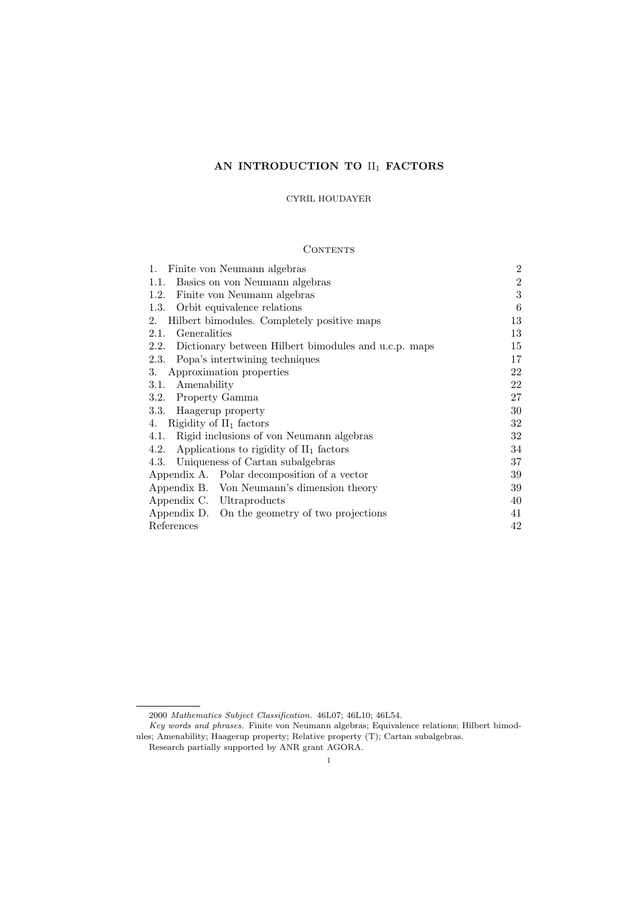# AN INTRODUCTION TO  $\mathrm{II}_1$  FACTORS

# CYRIL HOUDAYER

# **CONTENTS**

| Finite von Neumann algebras<br>1.                            | $\overline{2}$ |  |  |
|--------------------------------------------------------------|----------------|--|--|
| Basics on von Neumann algebras<br>1.1.                       | $\overline{2}$ |  |  |
| 1.2.<br>Finite von Neumann algebras                          | 3              |  |  |
| 1.3.<br>Orbit equivalence relations                          | 6              |  |  |
| Hilbert bimodules. Completely positive maps<br>2.            | 13             |  |  |
| Generalities<br>2.1.                                         | 13             |  |  |
| 2.2.<br>Dictionary between Hilbert bimodules and u.c.p. maps | 15             |  |  |
| 2.3.<br>Popa's intertwining techniques                       | 17             |  |  |
| Approximation properties<br>3.                               | 22             |  |  |
| Amenability<br>3.1.                                          | 22             |  |  |
| Property Gamma<br>3.2.                                       | 27             |  |  |
| 3.3. Haagerup property                                       | 30             |  |  |
| Rigidity of $II_1$ factors<br>4.                             | 32             |  |  |
| Rigid inclusions of von Neumann algebras<br>4.1.             | 32             |  |  |
| Applications to rigidity of $II_1$ factors<br>4.2.           | 34             |  |  |
| 4.3. Uniqueness of Cartan subalgebras                        | 37             |  |  |
| Appendix A. Polar decomposition of a vector                  | 39             |  |  |
| Appendix B. Von Neumann's dimension theory                   | 39             |  |  |
| Appendix C. Ultraproducts                                    | 40             |  |  |
| Appendix D. On the geometry of two projections               | 41             |  |  |
| References                                                   |                |  |  |

<sup>2000</sup> Mathematics Subject Classification. 46L07; 46L10; 46L54.

Key words and phrases. Finite von Neumann algebras; Equivalence relations; Hilbert bimodules; Amenability; Haagerup property; Relative property (T); Cartan subalgebras.

Research partially supported by ANR grant AGORA.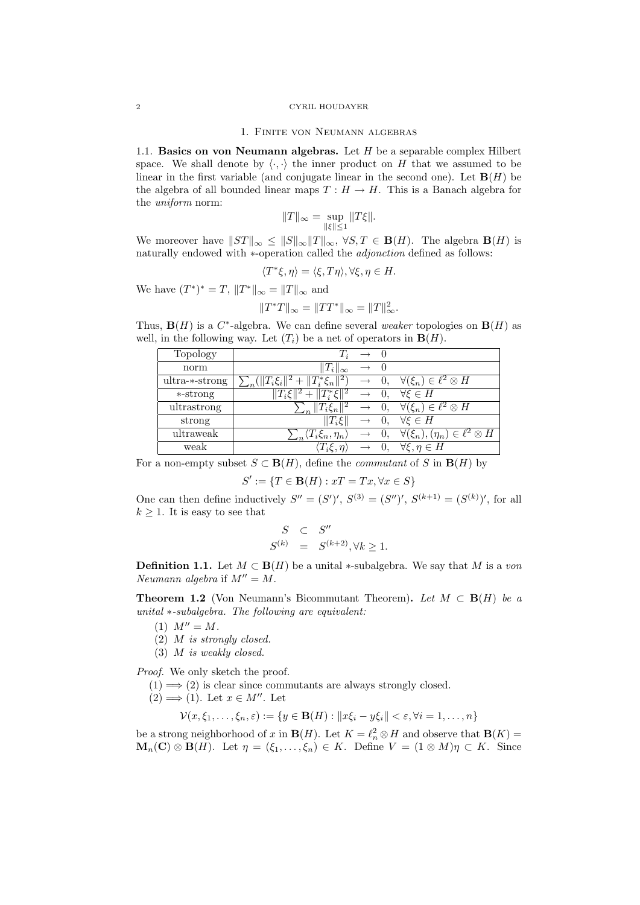#### 2 CYRIL HOUDAYER

#### 1. Finite von Neumann algebras

1.1. Basics on von Neumann algebras. Let  $H$  be a separable complex Hilbert space. We shall denote by  $\langle \cdot, \cdot \rangle$  the inner product on H that we assumed to be linear in the first variable (and conjugate linear in the second one). Let  $\mathbf{B}(H)$  be the algebra of all bounded linear maps  $T : H \to H$ . This is a Banach algebra for the uniform norm:

$$
||T||_{\infty} = \sup_{||\xi|| \le 1} ||T\xi||.
$$

We moreover have  $||ST||_{\infty} \leq ||S||_{\infty}||T||_{\infty}$ ,  $\forall S, T \in \mathbf{B}(H)$ . The algebra  $\mathbf{B}(H)$  is naturally endowed with ∗-operation called the *adjonction* defined as follows:

$$
\langle T^*\xi, \eta \rangle = \langle \xi, T\eta \rangle, \forall \xi, \eta \in H.
$$

We have  $(T^*)^* = T$ ,  $||T^*||_{\infty} = ||T||_{\infty}$  and

$$
||T^*T||_{\infty} = ||TT^*||_{\infty} = ||T||_{\infty}^2.
$$

Thus,  $\mathbf{B}(H)$  is a  $C^*$ -algebra. We can define several weaker topologies on  $\mathbf{B}(H)$  as well, in the following way. Let  $(T_i)$  be a net of operators in  $\mathbf{B}(H)$ .

| Topology       |                                                                                                            | $T_i \rightarrow 0$ |                                                                                      |
|----------------|------------------------------------------------------------------------------------------------------------|---------------------|--------------------------------------------------------------------------------------|
| norm           | $  T_i  _{\infty} \rightarrow 0$                                                                           |                     |                                                                                      |
| ultra-*-strong | $\sum_{n} (  T_i \xi_i  ^2 +   T_i^* \xi_n  ^2) \rightarrow 0, \quad \forall (\xi_n) \in \ell^2 \otimes H$ |                     |                                                                                      |
| *-strong       | $  T_i\xi  ^2 +   T_i^*\xi  ^2 \rightarrow 0, \quad \forall \xi \in H$                                     |                     |                                                                                      |
| ultrastrong    |                                                                                                            |                     | $\sum_{n}   T_i \xi_n  ^2 \rightarrow 0, \quad \forall (\xi_n) \in \ell^2 \otimes H$ |
| strong         | $  T_i \xi  $                                                                                              |                     | $\rightarrow 0, \forall \xi \in H$                                                   |
| ultraweak      | $\sum_n \langle T_i \xi_n, \eta_n \rangle$                                                                 |                     | $\rightarrow 0, \quad \forall (\xi_n), (\eta_n) \in \ell^2 \otimes H$                |
| weak           |                                                                                                            |                     | $\langle T_i \xi, \eta \rangle \rightarrow 0, \quad \forall \xi, \eta \in H$         |

For a non-empty subset  $S \subset \mathbf{B}(H)$ , define the *commutant* of S in  $\mathbf{B}(H)$  by

$$
S' := \{ T \in \mathbf{B}(H) : xT = Tx, \forall x \in S \}
$$

One can then define inductively  $S'' = (S')'$ ,  $S^{(3)} = (S'')'$ ,  $S^{(k+1)} = (S^{(k)})'$ , for all  $k > 1$ . It is easy to see that

$$
S \quad \subset \quad S''
$$
  

$$
S^{(k)} \quad = \quad S^{(k+2)}, \forall k \ge 1.
$$

**Definition 1.1.** Let  $M \subset \mathbf{B}(H)$  be a unital \*-subalgebra. We say that M is a von Neumann algebra if  $M'' = M$ .

**Theorem 1.2** (Von Neumann's Bicommutant Theorem). Let  $M \subset B(H)$  be a unital ∗-subalgebra. The following are equivalent:

- (1)  $M'' = M$ .
- (2) M is strongly closed.
- (3) M is weakly closed.

Proof. We only sketch the proof.

 $(1) \Longrightarrow (2)$  is clear since commutants are always strongly closed.

 $(2) \Longrightarrow (1)$ . Let  $x \in M''$ . Let

$$
\mathcal{V}(x,\xi_1,\ldots,\xi_n,\varepsilon):=\{y\in\mathbf{B}(H):||x\xi_i-y\xi_i||<\varepsilon,\forall i=1,\ldots,n\}
$$

be a strong neighborhood of x in  $\mathbf{B}(H)$ . Let  $K = \ell_n^2 \otimes H$  and observe that  $\mathbf{B}(K) =$  $\mathbf{M}_n(\mathbf{C}) \otimes \mathbf{B}(H)$ . Let  $\eta = (\xi_1, \ldots, \xi_n) \in K$ . Define  $V = (1 \otimes M)\eta \subset K$ . Since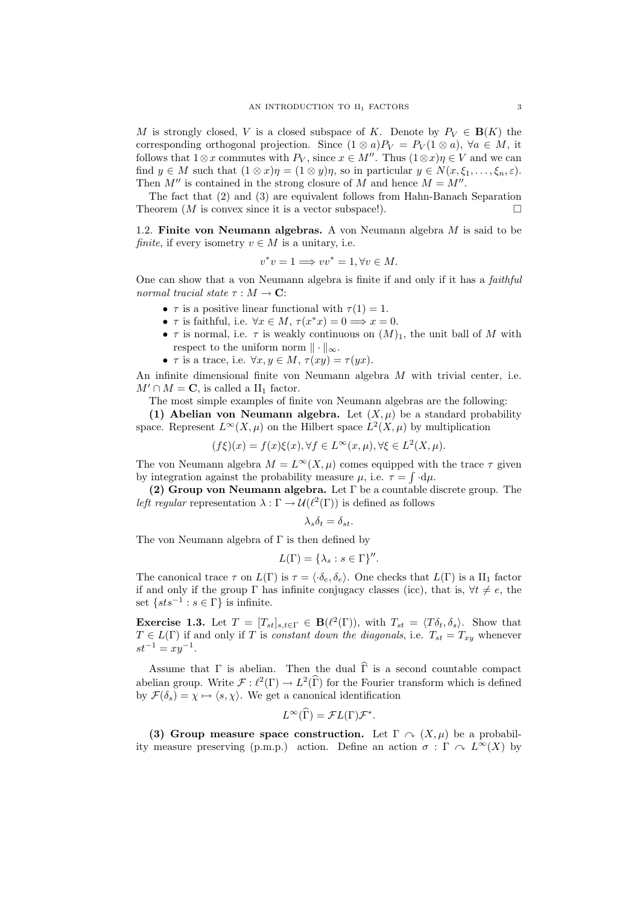M is strongly closed, V is a closed subspace of K. Denote by  $P_V \in \mathbf{B}(K)$  the corresponding orthogonal projection. Since  $(1 \otimes a)P_V = P_V(1 \otimes a)$ ,  $\forall a \in M$ , it follows that  $1 \otimes x$  commutes with  $P_V$ , since  $x \in M''$ . Thus  $(1 \otimes x)\eta \in V$  and we can find  $y \in M$  such that  $(1 \otimes x)\eta = (1 \otimes y)\eta$ , so in particular  $y \in N(x, \xi_1, \ldots, \xi_n, \varepsilon)$ . Then  $M''$  is contained in the strong closure of M and hence  $M = M''$ .

The fact that (2) and (3) are equivalent follows from Hahn-Banach Separation Theorem  $(M \text{ is convex since it is a vector subspace}$ .

1.2. Finite von Neumann algebras. A von Neumann algebra  $M$  is said to be finite, if every isometry  $v \in M$  is a unitary, i.e.

$$
v^*v = 1 \Longrightarrow vv^* = 1, \forall v \in M.
$$

One can show that a von Neumann algebra is finite if and only if it has a faithful normal tracial state  $\tau : M \to \mathbf{C}$ :

- $\tau$  is a positive linear functional with  $\tau(1) = 1$ .
- $\tau$  is faithful, i.e.  $\forall x \in M$ ,  $\tau(x^*x) = 0 \Longrightarrow x = 0$ .
- $\tau$  is normal, i.e.  $\tau$  is weakly continuous on  $(M)_1$ , the unit ball of M with respect to the uniform norm  $\|\cdot\|_{\infty}$ .
- $\tau$  is a trace, i.e.  $\forall x, y \in M$ ,  $\tau(xy) = \tau(yx)$ .

An infinite dimensional finite von Neumann algebra  $M$  with trivial center, i.e.  $M' \cap M = \mathbf{C}$ , is called a II<sub>1</sub> factor.

The most simple examples of finite von Neumann algebras are the following:

(1) Abelian von Neumann algebra. Let  $(X, \mu)$  be a standard probability space. Represent  $L^{\infty}(X,\mu)$  on the Hilbert space  $L^2(X,\mu)$  by multiplication

$$
(f\xi)(x) = f(x)\xi(x), \forall f \in L^{\infty}(x,\mu), \forall \xi \in L^{2}(X,\mu).
$$

The von Neumann algebra  $M = L^{\infty}(X, \mu)$  comes equipped with the trace  $\tau$  given by integration against the probability measure  $\mu$ , i.e.  $\tau = \int d\mu$ .

(2) Group von Neumann algebra. Let  $\Gamma$  be a countable discrete group. The left regular representation  $\lambda : \Gamma \to \mathcal{U}(\ell^2(\Gamma))$  is defined as follows

$$
\lambda_s \delta_t = \delta_{st}.
$$

The von Neumann algebra of  $\Gamma$  is then defined by

$$
L(\Gamma) = \{\lambda_s : s \in \Gamma\}''.
$$

The canonical trace  $\tau$  on  $L(\Gamma)$  is  $\tau = \langle \cdot \delta_e, \delta_e \rangle$ . One checks that  $L(\Gamma)$  is a II<sub>1</sub> factor if and only if the group  $\Gamma$  has infinite conjugacy classes (icc), that is,  $\forall t \neq e$ , the set  $\{sts^{-1} : s \in \Gamma\}$  is infinite.

**Exercise 1.3.** Let  $T = [T_{st}]_{s,t \in \Gamma} \in \mathbf{B}(\ell^2(\Gamma))$ , with  $T_{st} = \langle T\delta_t, \delta_s \rangle$ . Show that  $T \in L(\Gamma)$  if and only if T is constant down the diagonals, i.e.  $T_{st} = T_{xy}$  whenever  $st^{-1} = xy^{-1}.$ 

Assume that  $\Gamma$  is abelian. Then the dual  $\widehat{\Gamma}$  is a second countable compact abelian group. Write  $\mathcal{F} : \ell^2(\Gamma) \to L^2(\widehat{\Gamma})$  for the Fourier transform which is defined by  $\mathcal{F}(\delta_s) = \chi \mapsto \langle s, \chi \rangle$ . We get a canonical identification

$$
L^{\infty}(\widehat{\Gamma}) = \mathcal{F}L(\Gamma)\mathcal{F}^*
$$

.

(3) Group measure space construction. Let  $\Gamma \curvearrowright (X, \mu)$  be a probability measure preserving (p.m.p.) action. Define an action  $\sigma : \Gamma \cap L^{\infty}(X)$  by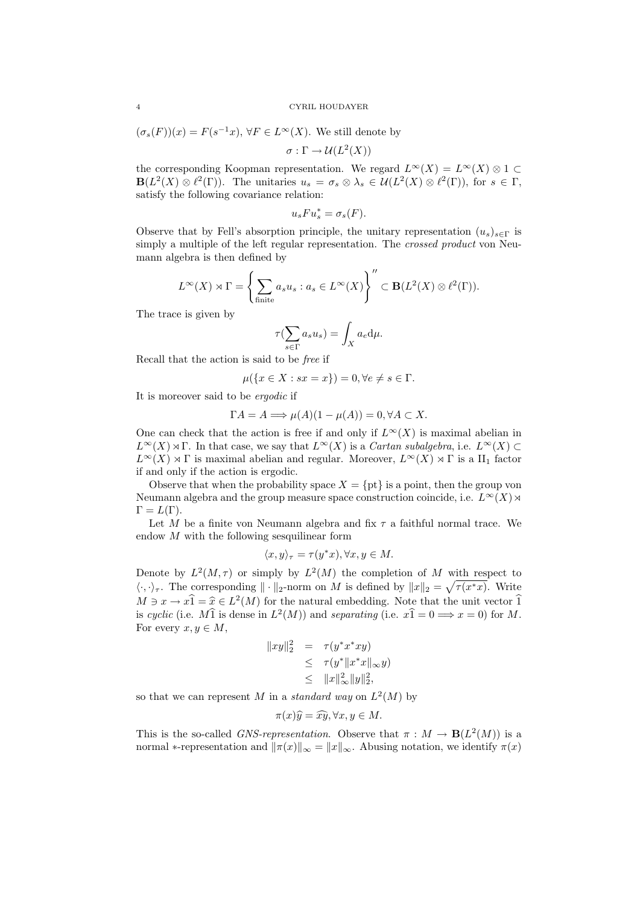$$
(\sigma_s(F))(x) = F(s^{-1}x), \forall F \in L^{\infty}(X)
$$
. We still denote by  

$$
\sigma : \Gamma \to \mathcal{U}(L^2(X))
$$

the corresponding Koopman representation. We regard  $L^{\infty}(X) = L^{\infty}(X) \otimes 1 \subset$  $\mathbf{B}(L^2(X)\otimes \ell^2(\Gamma)).$  The unitaries  $u_s = \sigma_s \otimes \lambda_s \in \mathcal{U}(L^2(X)\otimes \ell^2(\Gamma)),$  for  $s \in \Gamma$ , satisfy the following covariance relation:

$$
u_s F u_s^* = \sigma_s(F).
$$

Observe that by Fell's absorption principle, the unitary representation  $(u_s)_{s\in\Gamma}$  is simply a multiple of the left regular representation. The *crossed product* von Neumann algebra is then defined by

$$
L^{\infty}(X) \rtimes \Gamma = \left\{ \sum_{\text{finite}} a_s u_s : a_s \in L^{\infty}(X) \right\}^{"} \subset \mathbf{B}(L^2(X) \otimes \ell^2(\Gamma)).
$$

The trace is given by

$$
\tau(\sum_{s \in \Gamma} a_s u_s) = \int_X a_e \, \mathrm{d}\mu.
$$

Recall that the action is said to be free if

$$
\mu(\{x \in X : sx = x\}) = 0, \forall e \neq s \in \Gamma.
$$

It is moreover said to be ergodic if

$$
\Gamma A = A \Longrightarrow \mu(A)(1 - \mu(A)) = 0, \forall A \subset X.
$$

One can check that the action is free if and only if  $L^{\infty}(X)$  is maximal abelian in  $L^{\infty}(X) \rtimes \Gamma$ . In that case, we say that  $L^{\infty}(X)$  is a *Cartan subalgebra*, i.e.  $L^{\infty}(X) \subset$  $L^{\infty}(X) \rtimes \Gamma$  is maximal abelian and regular. Moreover,  $L^{\infty}(X) \rtimes \Gamma$  is a  $\text{II}_1$  factor if and only if the action is ergodic.

Observe that when the probability space  $X = \{pt\}$  is a point, then the group von Neumann algebra and the group measure space construction coincide, i.e.  $L^{\infty}(X)$   $\rtimes$  $\Gamma = L(\Gamma).$ 

Let M be a finite von Neumann algebra and fix  $\tau$  a faithful normal trace. We endow M with the following sesquilinear form

$$
\langle x, y \rangle_{\tau} = \tau(y^*x), \forall x, y \in M.
$$

Denote by  $L^2(M, \tau)$  or simply by  $L^2(M)$  the completion of M with respect to  $\langle \cdot, \cdot \rangle_{\tau}$ . The corresponding  $\|\cdot\|_2$ -norm on M is defined by  $\|x\|_2 = \sqrt{\tau(x^*x)}$ . Write  $M \ni x \to x\hat{1} = \hat{x} \in L^2(M)$  for the natural embedding. Note that the unit vector  $\hat{1}$ <br>is qualitative direction  $L^2(M)$  and concepting  $(i, e, \hat{1}, \hat{0}, \hat{1}, \hat{0})$  for M is cyclic (i.e.  $M\hat{1}$  is dense in  $L^2(M)$ ) and separating (i.e.  $x\hat{1} = 0 \Longrightarrow x = 0$ ) for M. For every  $x, y \in M$ ,

$$
||xy||_2^2 = \tau(y^*x^*xy)
$$
  
\n
$$
\leq \tau(y^*||x^*x||_{\infty}y)
$$
  
\n
$$
\leq ||x||_{\infty}^2 ||y||_2^2,
$$

so that we can represent M in a *standard way* on  $L^2(M)$  by

$$
\pi(x)\hat{y} = \hat{x}\hat{y}, \forall x, y \in M.
$$

This is the so-called *GNS-representation*. Observe that  $\pi : M \to \mathbf{B}(L^2(M))$  is a normal ∗-representation and  $\|\pi(x)\|_{\infty} = \|x\|_{\infty}$ . Abusing notation, we identify  $\pi(x)$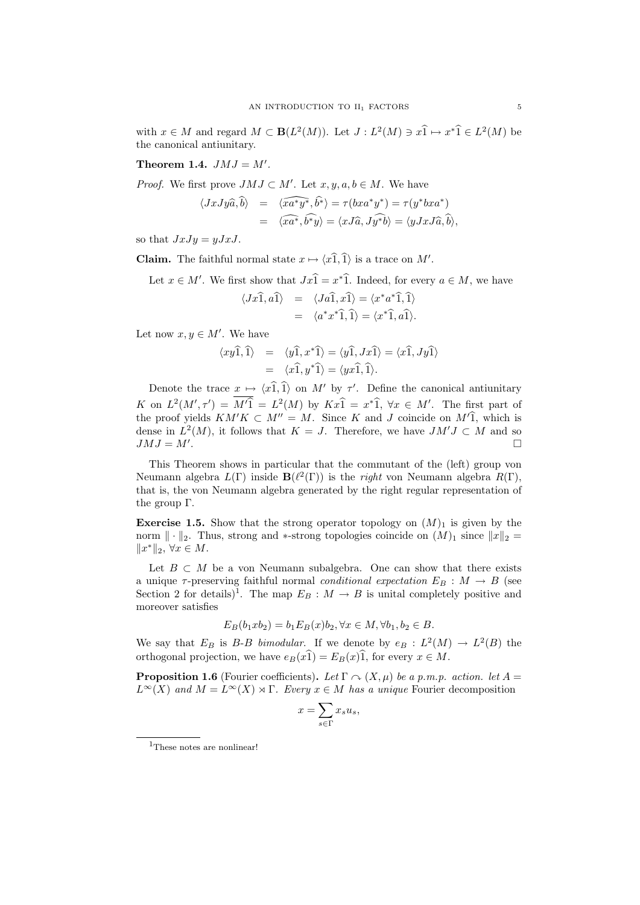with  $x \in M$  and regard  $M \subset \mathbf{B}(L^2(M))$ . Let  $J: L^2(M) \ni x \hat{1} \mapsto x^* \hat{1} \in L^2(M)$  be the canonical antiunitary.

# Theorem 1.4.  $JMJ = M'.$

*Proof.* We first prove  $JMJ \subset M'$ . Let  $x, y, a, b \in M$ . We have

$$
\langle JxJy\hat{a},\hat{b}\rangle = \langle \widehat{xa^*y^*},\hat{b^*}\rangle = \tau(bxa^*y^*) = \tau(y^*bxa^*)
$$
  
= 
$$
\langle \widehat{xa^*},\hat{b^*y}\rangle = \langle xJ\hat{a},J\hat{y^*b}\rangle = \langle yJxJ\hat{a},\hat{b}\rangle,
$$

so that  $JxJy = yJxJ$ .

**Claim.** The faithful normal state  $x \mapsto \langle x \hat{1}, \hat{1} \rangle$  is a trace on M'.

Let  $x \in M'$ . We first show that  $Jx\hat{1} = x^*\hat{1}$ . Indeed, for every  $a \in M$ , we have

$$
\langle Jx\hat{1}, a\hat{1}\rangle = \langle Ja\hat{1}, x\hat{1}\rangle = \langle x^*a^*\hat{1}, \hat{1}\rangle
$$
  
=  $\langle a^*x^*\hat{1}, \hat{1}\rangle = \langle x^*\hat{1}, a\hat{1}\rangle.$ 

Let now  $x, y \in M'$ . We have

$$
\langle xy\hat{1}, \hat{1}\rangle = \langle y\hat{1}, x^*\hat{1}\rangle = \langle y\hat{1}, Jx\hat{1}\rangle = \langle x\hat{1}, Jy\hat{1}\rangle
$$
  
=  $\langle x\hat{1}, y^*\hat{1}\rangle = \langle yx\hat{1}, \hat{1}\rangle.$ 

Denote the trace  $\underline{x} \mapsto \langle x\hat{1}, \hat{1}\rangle$  on  $M'$  by  $\tau'$ . Define the canonical antiunitary K on  $L^2(M', \tau') = M^2 \overline{1} = L^2(M)$  by  $Kx\overline{1} = x^*\overline{1}$ ,  $\forall x \in M'$ . The first part of the proof yields  $KM'K \subset M'' = M$ . Since K and J coincide on  $M'(\hat{1})$ , which is dense in  $L^2(M)$ , it follows that  $K = J$ . Therefore, we have  $JM'J \subset M$  and so  $JMJ = M'.$ .

This Theorem shows in particular that the commutant of the (left) group von Neumann algebra  $L(\Gamma)$  inside  $\mathbf{B}(\ell^2(\Gamma))$  is the *right* von Neumann algebra  $R(\Gamma)$ , that is, the von Neumann algebra generated by the right regular representation of the group Γ.

**Exercise 1.5.** Show that the strong operator topology on  $(M)_1$  is given by the norm  $\|\cdot\|_2$ . Thus, strong and ∗-strong topologies coincide on  $(M)_1$  since  $\|x\|_2 =$  $||x^*||_2, \forall x \in M.$ 

Let  $B \subset M$  be a von Neumann subalgebra. One can show that there exists a unique  $\tau$ -preserving faithful normal *conditional expectation*  $E_B : M \to B$  (see Section 2 for details)<sup>1</sup>. The map  $E_B : M \to B$  is unital completely positive and moreover satisfies

$$
E_B(b_1 x b_2) = b_1 E_B(x) b_2, \forall x \in M, \forall b_1, b_2 \in B.
$$

We say that  $E_B$  is B-B bimodular. If we denote by  $e_B : L^2(M) \to L^2(B)$  the orthogonal projection, we have  $e_B(x\hat{1}) = E_B(x)\hat{1}$ , for every  $x \in M$ .

**Proposition 1.6** (Fourier coefficients). Let  $\Gamma \cap (X, \mu)$  be a p.m.p. action. let  $A =$  $L^{\infty}(X)$  and  $M = L^{\infty}(X) \rtimes \Gamma$ . Every  $x \in M$  has a unique Fourier decomposition

$$
x = \sum_{s \in \Gamma} x_s u_s,
$$

<sup>1</sup>These notes are nonlinear!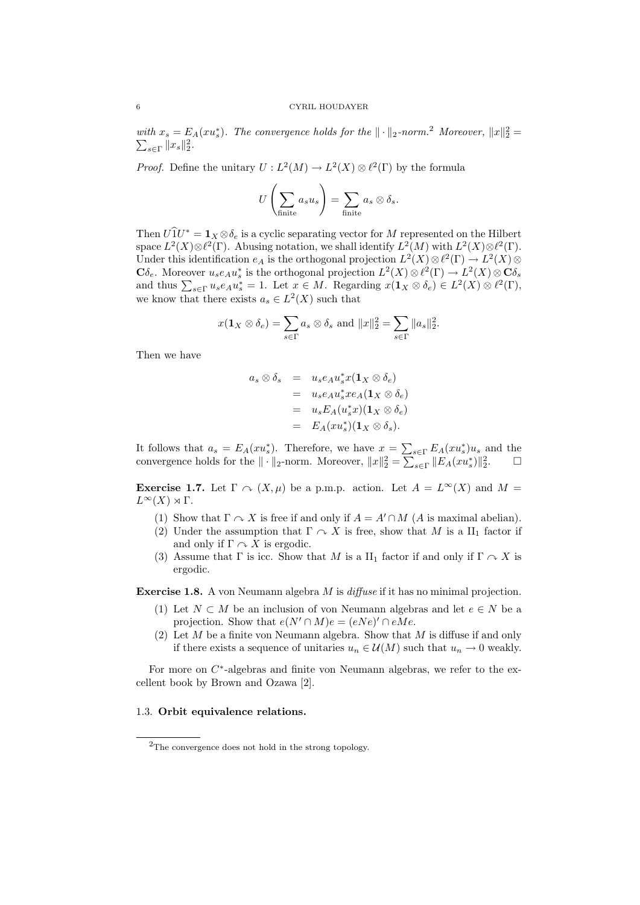with  $x_s = E_A(xu_s^*)$ . The convergence holds for the  $\|\cdot\|_2$ -norm.<sup>2</sup> Moreover,  $\|x\|_2^2 =$  $\sum_{s\in\Gamma}||x_{s}||_{2}^{2}$ .

*Proof.* Define the unitary  $U: L^2(M) \to L^2(X) \otimes \ell^2(\Gamma)$  by the formula

$$
U\left(\sum_{\text{finite}} a_s u_s\right) = \sum_{\text{finite}} a_s \otimes \delta_s.
$$

Then  $U\hat{1}U^* = \mathbf{1}_X \otimes \delta_e$  is a cyclic separating vector for M represented on the Hilbert space  $L^2(X) \otimes \ell^2(\Gamma)$ . Abusing notation, we shall identify  $L^2(M)$  with  $L^2(X) \otimes \ell^2(\Gamma)$ . Under this identification  $e_A$  is the orthogonal projection  $L^2(X) \otimes \ell^2(\Gamma) \to L^2(X) \otimes \ell^2(\Gamma)$  $\mathbf{C}\delta_e$ . Moreover  $u_se_Au_s^*$  is the orthogonal projection  $L^2(X)\otimes \ell^2(\Gamma) \to L^2(X)\otimes \mathbf{C}\delta_s$ and thus  $\sum_{s\in\Gamma} u_s e_A u_s^* = 1$ . Let  $x \in M$ . Regarding  $x(\mathbf{1}_X \otimes \delta_e) \in L^2(X) \otimes \ell^2(\Gamma)$ , we know that there exists  $a_s \in L^2(X)$  such that

$$
x(\mathbf{1}_X \otimes \delta_e) = \sum_{s \in \Gamma} a_s \otimes \delta_s \text{ and } ||x||_2^2 = \sum_{s \in \Gamma} ||a_s||_2^2.
$$

Then we have

$$
a_s \otimes \delta_s = u_s e_A u_s^* x (\mathbf{1}_X \otimes \delta_e)
$$
  
=  $u_s e_A u_s^* x e_A (\mathbf{1}_X \otimes \delta_e)$   
=  $u_s E_A (u_s^* x) (\mathbf{1}_X \otimes \delta_e)$   
=  $E_A (x u_s^*) (\mathbf{1}_X \otimes \delta_s).$ 

It follows that  $a_s = E_A(xu_s^*)$ . Therefore, we have  $x = \sum_{s \in \Gamma} E_A(xu_s^*)u_s$  and the convergence holds for the  $\|\cdot\|_2$ -norm. Moreover,  $\|x\|_2^2 = \sum_{s \in \Gamma} \|E_A(xu_s^*)\|_2^2$ .

**Exercise 1.7.** Let  $\Gamma \cap (X, \mu)$  be a p.m.p. action. Let  $A = L^{\infty}(X)$  and  $M =$  $L^{\infty}(X) \rtimes Γ$ .

- (1) Show that  $\Gamma \cap X$  is free if and only if  $A = A' \cap M$  (A is maximal abelian).
- (2) Under the assumption that  $\Gamma \curvearrowright X$  is free, show that M is a  $\text{II}_1$  factor if and only if  $\Gamma \curvearrowright X$  is ergodic.
- (3) Assume that  $\Gamma$  is icc. Show that M is a  $II_1$  factor if and only if  $\Gamma \curvearrowright X$  is ergodic.

Exercise 1.8. A von Neumann algebra M is diffuse if it has no minimal projection.

- (1) Let  $N \subset M$  be an inclusion of von Neumann algebras and let  $e \in N$  be a projection. Show that  $e(N' \cap M)e = (eNe)' \cap eMe$ .
- (2) Let  $M$  be a finite von Neumann algebra. Show that  $M$  is diffuse if and only if there exists a sequence of unitaries  $u_n \in \mathcal{U}(M)$  such that  $u_n \to 0$  weakly.

For more on  $C^*$ -algebras and finite von Neumann algebras, we refer to the excellent book by Brown and Ozawa [2].

### 1.3. Orbit equivalence relations.

<sup>2</sup>The convergence does not hold in the strong topology.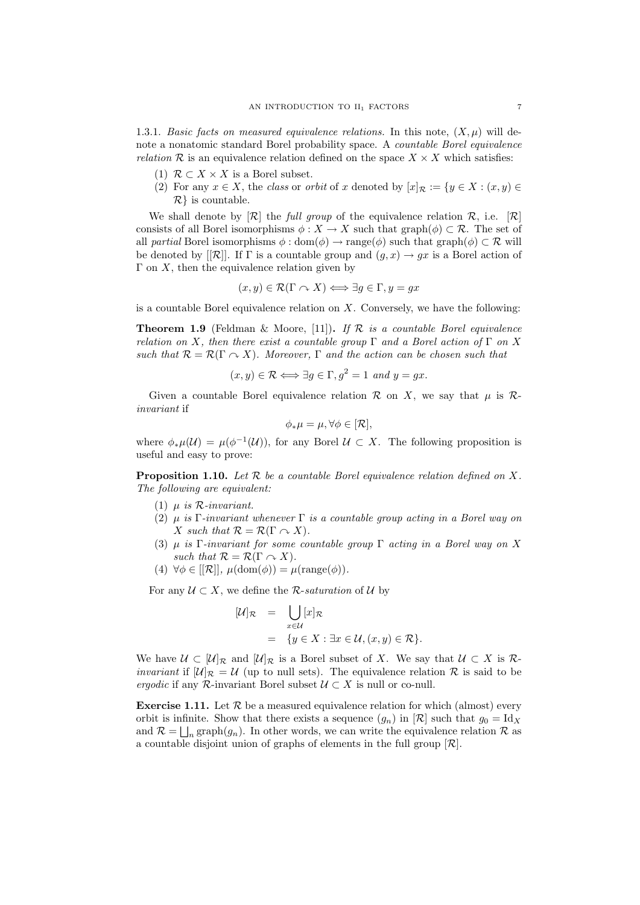1.3.1. Basic facts on measured equivalence relations. In this note,  $(X, \mu)$  will denote a nonatomic standard Borel probability space. A countable Borel equivalence *relation*  $\mathcal{R}$  is an equivalence relation defined on the space  $X \times X$  which satisfies:

- (1)  $\mathcal{R} \subset X \times X$  is a Borel subset.
- (2) For any  $x \in X$ , the class or orbit of x denoted by  $[x]_{\mathcal{R}} := \{y \in X : (x, y) \in$  $\mathcal{R}$  is countable.

We shall denote by  $[\mathcal{R}]$  the full group of the equivalence relation  $\mathcal{R}$ , i.e.  $[\mathcal{R}]$ consists of all Borel isomorphisms  $\phi: X \to X$  such that graph $(\phi) \subset \mathcal{R}$ . The set of all partial Borel isomorphisms  $\phi : \text{dom}(\phi) \to \text{range}(\phi)$  such that graph $(\phi) \subset \mathcal{R}$  will be denoted by [[R]]. If  $\Gamma$  is a countable group and  $(g, x) \to gx$  is a Borel action of  $\Gamma$  on X, then the equivalence relation given by

$$
(x, y) \in \mathcal{R}(\Gamma \cap X) \Longleftrightarrow \exists g \in \Gamma, y = gx
$$

is a countable Borel equivalence relation on  $X$ . Conversely, we have the following:

**Theorem 1.9** (Feldman & Moore, [11]). If  $\mathcal{R}$  is a countable Borel equivalence relation on X, then there exist a countable group  $\Gamma$  and a Borel action of  $\Gamma$  on X such that  $\mathcal{R} = \mathcal{R}(\Gamma \cap X)$ . Moreover,  $\Gamma$  and the action can be chosen such that

$$
(x, y) \in \mathcal{R} \Longleftrightarrow \exists g \in \Gamma, g^2 = 1 \text{ and } y = gx.
$$

Given a countable Borel equivalence relation  $\mathcal R$  on X, we say that  $\mu$  is  $\mathcal R$ invariant if

$$
\phi_*\mu = \mu, \forall \phi \in [\mathcal{R}],
$$

where  $\phi_*\mu(\mathcal{U}) = \mu(\phi^{-1}(\mathcal{U}))$ , for any Borel  $\mathcal{U} \subset X$ . The following proposition is useful and easy to prove:

**Proposition 1.10.** Let  $R$  be a countable Borel equivalence relation defined on  $X$ . The following are equivalent:

- (1)  $\mu$  is R-invariant.
- (2)  $\mu$  is Γ-invariant whenever Γ is a countable group acting in a Borel way on X such that  $\mathcal{R} = \mathcal{R}(\Gamma \cap X)$ .
- (3)  $\mu$  is Γ-invariant for some countable group Γ acting in a Borel way on X such that  $\mathcal{R} = \mathcal{R}(\Gamma \cap X)$ .
- (4)  $\forall \phi \in [[\mathcal{R}]], \mu(\text{dom}(\phi)) = \mu(\text{range}(\phi)).$

For any  $\mathcal{U} \subset X$ , we define the *R*-saturation of  $\mathcal{U}$  by

$$
[\mathcal{U}]_{\mathcal{R}} = \bigcup_{x \in \mathcal{U}} [x]_{\mathcal{R}}
$$
  
= { $y \in X : \exists x \in \mathcal{U}, (x, y) \in \mathcal{R}$  }.

We have  $\mathcal{U} \subset [\mathcal{U}]_{\mathcal{R}}$  and  $[\mathcal{U}]_{\mathcal{R}}$  is a Borel subset of X. We say that  $\mathcal{U} \subset X$  is  $\mathcal{R}$ *invariant* if  $[\mathcal{U}]_{\mathcal{R}} = \mathcal{U}$  (up to null sets). The equivalence relation  $\mathcal{R}$  is said to be ergodic if any R-invariant Borel subset  $\mathcal{U} \subset X$  is null or co-null.

**Exercise 1.11.** Let  $\mathcal{R}$  be a measured equivalence relation for which (almost) every orbit is infinite. Show that there exists a sequence  $(g_n)$  in  $[\mathcal{R}]$  such that  $g_0 = \text{Id}_X$ and  $\mathcal{R} = \bigsqcup_n \text{graph}(g_n)$ . In other words, we can write the equivalence relation  $\mathcal{R}$  as a countable disjoint union of graphs of elements in the full group  $[\mathcal{R}]$ .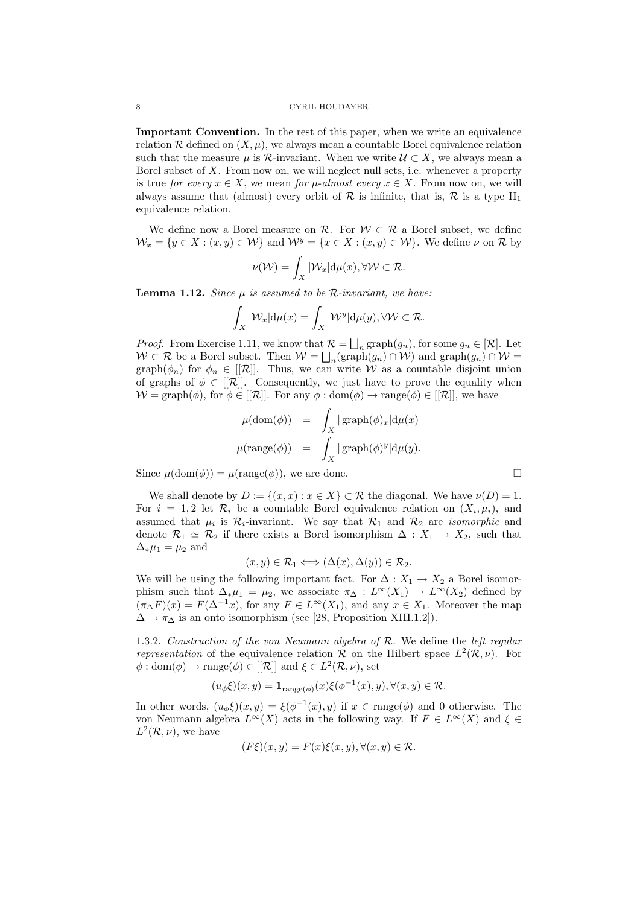Important Convention. In the rest of this paper, when we write an equivalence relation R defined on  $(X, \mu)$ , we always mean a countable Borel equivalence relation such that the measure  $\mu$  is  $\mathcal{R}$ -invariant. When we write  $\mathcal{U} \subset X$ , we always mean a Borel subset of  $X$ . From now on, we will neglect null sets, i.e. whenever a property is true for every  $x \in X$ , we mean for *µ*-almost every  $x \in X$ . From now on, we will always assume that (almost) every orbit of  $\mathcal R$  is infinite, that is,  $\mathcal R$  is a type  $II_1$ equivalence relation.

We define now a Borel measure on  $\mathcal{R}$ . For  $\mathcal{W} \subset \mathcal{R}$  a Borel subset, we define  $\mathcal{W}_x = \{y \in X : (x, y) \in \mathcal{W}\}\$ and  $\mathcal{W}^y = \{x \in X : (x, y) \in \mathcal{W}\}\$ . We define  $\nu$  on  $\mathcal{R}$  by

$$
\nu(\mathcal{W}) = \int_X |\mathcal{W}_x| \mathrm{d}\mu(x), \forall \mathcal{W} \subset \mathcal{R}.
$$

**Lemma 1.12.** Since  $\mu$  is assumed to be R-invariant, we have:

$$
\int_X |W_x| \mathrm{d}\mu(x) = \int_X |W^y| \mathrm{d}\mu(y), \forall W \subset \mathcal{R}.
$$

*Proof.* From Exercise 1.11, we know that  $\mathcal{R} = \bigsqcup_n \text{graph}(g_n)$ , for some  $g_n \in [\mathcal{R}]$ . Let  $W \subset \mathcal{R}$  be a Borel subset. Then  $W = \bigsqcup_n(\text{graph}(g_n) \cap W)$  and  $\text{graph}(g_n) \cap W =$ graph $(\phi_n)$  for  $\phi_n \in [[\mathcal{R}]]$ . Thus, we can write W as a countable disjoint union of graphs of  $\phi \in [[\mathcal{R}]]$ . Consequently, we just have to prove the equality when  $W = \text{graph}(\phi)$ , for  $\phi \in [[\mathcal{R}]]$ . For any  $\phi : \text{dom}(\phi) \to \text{range}(\phi) \in [[\mathcal{R}]]$ , we have

$$
\mu(\text{dom}(\phi)) = \int_X |\operatorname{graph}(\phi)_x| d\mu(x)
$$

$$
\mu(\operatorname{range}(\phi)) = \int_X |\operatorname{graph}(\phi)^y| d\mu(y).
$$

Since  $\mu(\text{dom}(\phi)) = \mu(\text{range}(\phi))$ , we are done.

We shall denote by  $D := \{(x, x) : x \in X\} \subset \mathcal{R}$  the diagonal. We have  $\nu(D) = 1$ . For  $i = 1, 2$  let  $\mathcal{R}_i$  be a countable Borel equivalence relation on  $(X_i, \mu_i)$ , and assumed that  $\mu_i$  is  $\mathcal{R}_i$ -invariant. We say that  $\mathcal{R}_1$  and  $\mathcal{R}_2$  are *isomorphic* and denote  $\mathcal{R}_1 \simeq \mathcal{R}_2$  if there exists a Borel isomorphism  $\Delta : X_1 \to X_2$ , such that  $\Delta_*\mu_1 = \mu_2$  and

$$
(x, y) \in \mathcal{R}_1 \Longleftrightarrow (\Delta(x), \Delta(y)) \in \mathcal{R}_2.
$$

We will be using the following important fact. For  $\Delta: X_1 \to X_2$  a Borel isomorphism such that  $\Delta_* \mu_1 = \mu_2$ , we associate  $\pi_\Delta : L^\infty(X_1) \to L^\infty(X_2)$  defined by  $(\pi_{\Delta}F)(x) = F(\Delta^{-1}x)$ , for any  $F \in L^{\infty}(X_1)$ , and any  $x \in X_1$ . Moreover the map  $\Delta \rightarrow \pi_{\Delta}$  is an onto isomorphism (see [28, Proposition XIII.1.2]).

1.3.2. Construction of the von Neumann algebra of R. We define the left regular representation of the equivalence relation R on the Hilbert space  $L^2(\mathcal{R}, \nu)$ . For  $\phi: dom(\phi) \to range(\phi) \in [[\mathcal{R}]]$  and  $\xi \in L^2(\mathcal{R}, \nu)$ , set

$$
(u_{\phi}\xi)(x,y) = \mathbf{1}_{\text{range}(\phi)}(x)\xi(\phi^{-1}(x),y), \forall (x,y) \in \mathcal{R}.
$$

In other words,  $(u_{\phi}\xi)(x, y) = \xi(\phi^{-1}(x), y)$  if  $x \in \text{range}(\phi)$  and 0 otherwise. The von Neumann algebra  $L^{\infty}(X)$  acts in the following way. If  $F \in L^{\infty}(X)$  and  $\xi \in$  $L^2(\mathcal{R}, \nu)$ , we have

$$
(F\xi)(x,y) = F(x)\xi(x,y), \forall (x,y) \in \mathcal{R}.
$$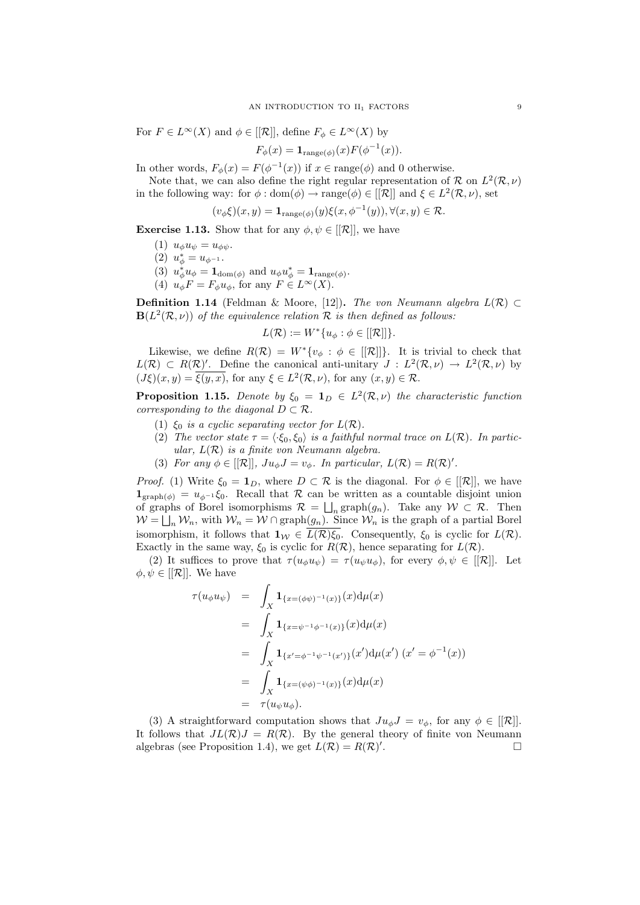For  $F \in L^{\infty}(X)$  and  $\phi \in [[\mathcal{R}]],$  define  $F_{\phi} \in L^{\infty}(X)$  by

$$
F_{\phi}(x) = \mathbf{1}_{\text{range}(\phi)}(x) F(\phi^{-1}(x)).
$$

In other words,  $F_{\phi}(x) = F(\phi^{-1}(x))$  if  $x \in \text{range}(\phi)$  and 0 otherwise.

Note that, we can also define the right regular representation of R on  $L^2(\mathcal{R}, \nu)$ in the following way: for  $\phi : \text{dom}(\phi) \to \text{range}(\phi) \in [[\mathcal{R}]]$  and  $\xi \in L^2(\mathcal{R}, \nu)$ , set

$$
(v_{\phi}\xi)(x,y) = \mathbf{1}_{\text{range}(\phi)}(y)\xi(x,\phi^{-1}(y)), \forall (x,y) \in \mathcal{R}.
$$

**Exercise 1.13.** Show that for any  $\phi, \psi \in [[\mathcal{R}]]$ , we have

- (1)  $u_{\phi}u_{\psi} = u_{\phi\psi}$ .
- (2)  $u_{\phi}^* = u_{\phi^{-1}}$ .
- (3)  $u_{\phi}^* u_{\phi} = \mathbf{1}_{\text{dom}(\phi)}$  and  $u_{\phi} u_{\phi}^* = \mathbf{1}_{\text{range}(\phi)}$ .
- (4)  $u_{\phi}F = F_{\phi}u_{\phi}$ , for any  $F \in L^{\infty}(X)$ .

**Definition 1.14** (Feldman & Moore, [12]). The von Neumann algebra  $L(\mathcal{R})$  ⊂  $\mathbf{B}(L^2(\mathcal{R}, \nu))$  of the equivalence relation  $\mathcal R$  is then defined as follows:

$$
L(\mathcal{R}) := W^*\{u_{\phi} : \phi \in [[\mathcal{R}]]\}.
$$

Likewise, we define  $R(\mathcal{R}) = W^*\{v_{\phi} : \phi \in [[\mathcal{R}]]\}$ . It is trivial to check that  $L(\mathcal{R}) \subset R(\mathcal{R})'$ . Define the canonical anti-unitary  $J : L^2(\mathcal{R}, \nu) \to L^2(\mathcal{R}, \nu)$  by  $(J\xi)(x,y) = \overline{\xi(y,x)}$ , for any  $\xi \in L^2(\mathcal{R},\nu)$ , for any  $(x,y) \in \mathcal{R}$ .

**Proposition 1.15.** Denote by  $\xi_0 = \mathbf{1}_D \in L^2(\mathcal{R}, \nu)$  the characteristic function corresponding to the diagonal  $D \subset \mathcal{R}$ .

- (1)  $\xi_0$  is a cyclic separating vector for  $L(\mathcal{R})$ .
- (2) The vector state  $\tau = \langle \cdot \xi_0, \xi_0 \rangle$  is a faithful normal trace on  $L(\mathcal{R})$ . In particular,  $L(\mathcal{R})$  is a finite von Neumann algebra.
- (3) For any  $\phi \in [[\mathcal{R}]], Ju_{\phi}J = v_{\phi}$ . In particular,  $L(\mathcal{R}) = R(\mathcal{R})'.$

*Proof.* (1) Write  $\xi_0 = \mathbf{1}_D$ , where  $D \subset \mathcal{R}$  is the diagonal. For  $\phi \in [[\mathcal{R}]]$ , we have  $\mathbf{1}_{\text{graph}(\phi)} = u_{\phi^{-1}} \xi_0$ . Recall that R can be written as a countable disjoint union of graphs of Borel isomorphisms  $\mathcal{R} = \bigsqcup_n \text{graph}(g_n)$ . Take any  $\mathcal{W} \subset \mathcal{R}$ . Then  $W = \bigsqcup_n W_n$ , with  $W_n = W \cap \text{graph}(g_n)$ . Since  $W_n$  is the graph of a partial Borel isomorphism, it follows that  $1_W \in \overline{L(\mathcal{R})\xi_0}$ . Consequently,  $\xi_0$  is cyclic for  $L(\mathcal{R})$ . Exactly in the same way,  $\xi_0$  is cyclic for  $R(\mathcal{R})$ , hence separating for  $L(\mathcal{R})$ .

(2) It suffices to prove that  $\tau(u_{\phi}u_{\psi}) = \tau(u_{\psi}u_{\phi})$ , for every  $\phi, \psi \in [[\mathcal{R}]]$ . Let  $\phi, \psi \in [[\mathcal{R}]]$ . We have

$$
\tau(u_{\phi}u_{\psi}) = \int_{X} \mathbf{1}_{\{x=(\phi\psi)^{-1}(x)\}}(x) d\mu(x)
$$
  
\n
$$
= \int_{X} \mathbf{1}_{\{x=\psi^{-1}\phi^{-1}(x)\}}(x) d\mu(x)
$$
  
\n
$$
= \int_{X} \mathbf{1}_{\{x'=\phi^{-1}\psi^{-1}(x')\}}(x') d\mu(x') (x' = \phi^{-1}(x))
$$
  
\n
$$
= \int_{X} \mathbf{1}_{\{x=(\psi\phi)^{-1}(x)\}}(x) d\mu(x)
$$
  
\n
$$
= \tau(u_{\psi}u_{\phi}).
$$

(3) A straightforward computation shows that  $Ju_{\phi}J = v_{\phi}$ , for any  $\phi \in [[\mathcal{R}]]$ . It follows that  $JL(\mathcal{R})J = R(\mathcal{R})$ . By the general theory of finite von Neumann algebras (see Proposition 1.4), we get  $L(\mathcal{R}) = R(\mathcal{R})'$ .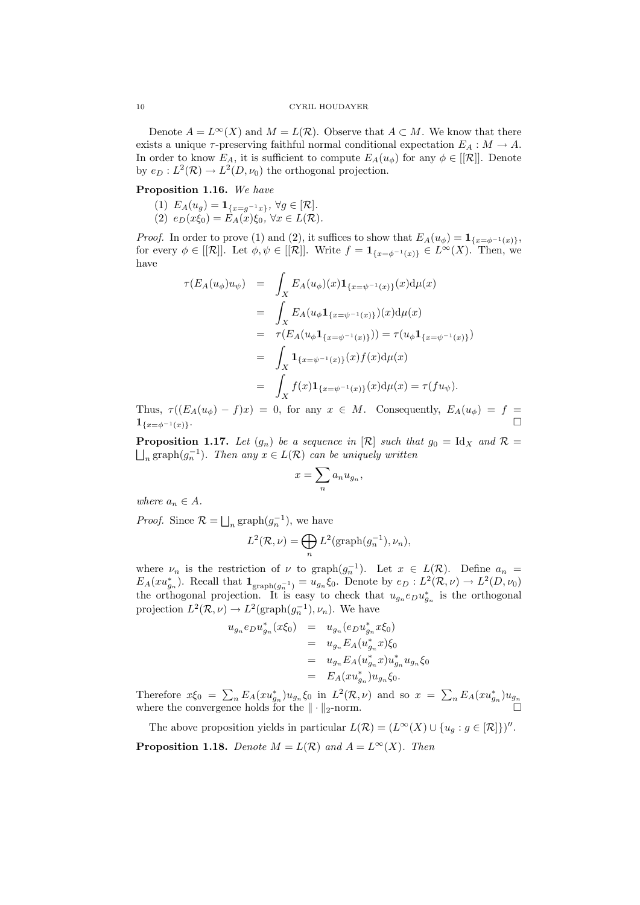Denote  $A = L^{\infty}(X)$  and  $M = L(\mathcal{R})$ . Observe that  $A \subset M$ . We know that there exists a unique  $\tau$ -preserving faithful normal conditional expectation  $E_A : M \to A$ . In order to know  $E_A$ , it is sufficient to compute  $E_A(u_{\phi})$  for any  $\phi \in [[\mathcal{R}]]$ . Denote by  $e_D: L^2(\mathcal{R}) \to L^2(D, \nu_0)$  the orthogonal projection.

# Proposition 1.16. We have

(1)  $E_A(u_g) = \mathbf{1}_{\{x = g^{-1}x\}}, \forall g \in [\mathcal{R}].$ (2)  $e_D(x\xi_0) = E_A(x)\xi_0, \,\forall x \in L(\mathcal{R}).$ 

*Proof.* In order to prove (1) and (2), it suffices to show that  $E_A(u_\phi) = \mathbf{1}_{\{x=\phi^{-1}(x)\}},$ for every  $\phi \in [[\mathcal{R}]]$ . Let  $\phi, \psi \in [[\mathcal{R}]]$ . Write  $f = \mathbf{1}_{\{x = \phi^{-1}(x)\}} \in L^{\infty}(X)$ . Then, we have

$$
\tau(E_A(u_{\phi})u_{\psi}) = \int_X E_A(u_{\phi})(x) \mathbf{1}_{\{x=\psi^{-1}(x)\}}(x) d\mu(x)
$$
  
\n
$$
= \int_X E_A(u_{\phi} \mathbf{1}_{\{x=\psi^{-1}(x)\}})(x) d\mu(x)
$$
  
\n
$$
= \tau(E_A(u_{\phi} \mathbf{1}_{\{x=\psi^{-1}(x)\}})) = \tau(u_{\phi} \mathbf{1}_{\{x=\psi^{-1}(x)\}})
$$
  
\n
$$
= \int_X \mathbf{1}_{\{x=\psi^{-1}(x)\}}(x) f(x) d\mu(x)
$$
  
\n
$$
= \int_X f(x) \mathbf{1}_{\{x=\psi^{-1}(x)\}}(x) d\mu(x) = \tau(fu_{\psi}).
$$

Thus,  $\tau((E_A(u_{\phi})-f)x) = 0$ , for any  $x \in M$ . Consequently,  $E_A(u_{\phi}) = f =$  $1_{\{x=\phi^{-1}(x)\}}$ .

**Proposition 1.17.** Let  $(g_n)$  be a sequence in  $[\mathcal{R}]$  such that  $g_0 = \text{Id}_X$  and  $\mathcal{R} =$  $\bigsqcup_n \text{graph}(g_n^{-1})$ . Then any  $x \in L(\mathcal{R})$  can be uniquely written

$$
x=\sum_n a_n u_{g_n},
$$

where  $a_n \in A$ .

*Proof.* Since  $\mathcal{R} = \bigsqcup_n \text{graph}(g_n^{-1})$ , we have

$$
L^{2}(\mathcal{R},\nu) = \bigoplus_{n} L^{2}(\mathrm{graph}(g_{n}^{-1}),\nu_{n}),
$$

where  $\nu_n$  is the restriction of  $\nu$  to graph $(g_n^{-1})$ . Let  $x \in L(\mathcal{R})$ . Define  $a_n =$  $E_A(xu_{g_n}^*)$ . Recall that  $\mathbf{1}_{\text{graph}(g_n^{-1})} = u_{g_n} \xi_0$ . Denote by  $e_D: L^2(\mathcal{R}, \nu) \to L^2(D, \nu_0)$ the orthogonal projection. It is easy to check that  $u_{g_n}e_Du_{g_n}^*$  is the orthogonal projection  $L^2(\mathcal{R}, \nu) \to L^2(\text{graph}(g_n^{-1}), \nu_n)$ . We have

$$
u_{g_n}e_D u_{g_n}^*(x\xi_0) = u_{g_n}(e_D u_{g_n}^* x\xi_0)
$$
  
=  $u_{g_n}E_A(u_{g_n}^* x)\xi_0$   
=  $u_{g_n}E_A(u_{g_n}^* x)u_{g_n}^* u_{g_n}\xi_0$   
=  $E_A(xu_{g_n}^*)u_{g_n}\xi_0.$ 

Therefore  $x\xi_0 = \sum_n E_A(xu_{g_n}^*)u_{g_n}\xi_0$  in  $L^2(\mathcal{R},\nu)$  and so  $x = \sum_n E_A(xu_{g_n}^*)u_{g_n}$ where the convergence holds for the  $\|\cdot\|_2$ -norm.

The above proposition yields in particular  $L(\mathcal{R}) = (L^{\infty}(X) \cup \{u_g : g \in [\mathcal{R}]\})''$ . **Proposition 1.18.** Denote  $M = L(\mathcal{R})$  and  $A = L^{\infty}(X)$ . Then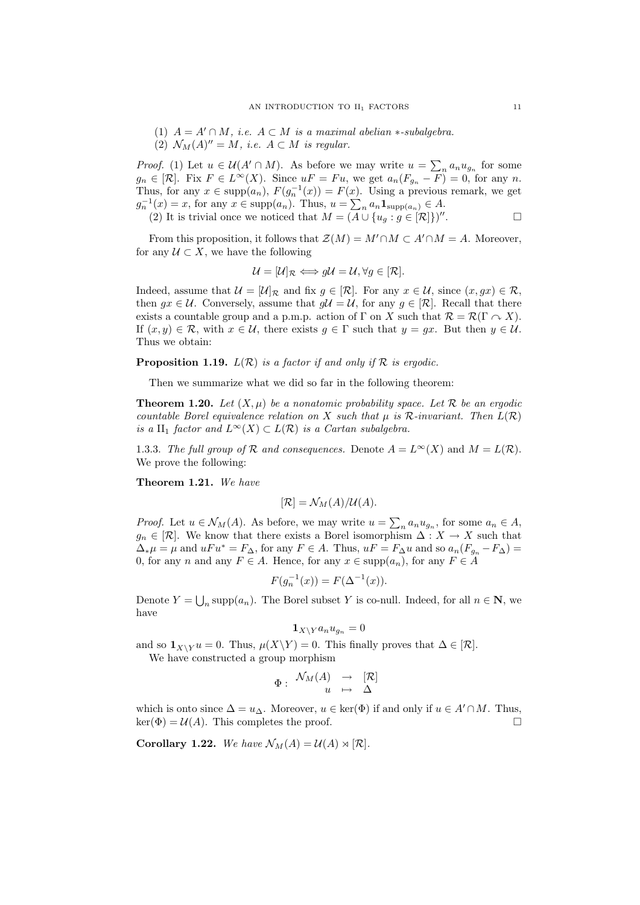- (1)  $A = A' \cap M$ , i.e.  $A \subset M$  is a maximal abelian  $\ast$ -subalgebra.
- (2)  $\mathcal{N}_M(A)'' = M$ , i.e.  $A \subset M$  is regular.

*Proof.* (1) Let  $u \in \mathcal{U}(A' \cap M)$ . As before we may write  $u = \sum_{n} a_n u_{g_n}$  for some  $g_n \in [\mathcal{R}]$ . Fix  $F \in L^{\infty}(X)$ . Since  $uF = Fu$ , we get  $a_n(F_{g_n} - F) = 0$ , for any n. Thus, for any  $x \in \text{supp}(a_n)$ ,  $F(g_n^{-1}(x)) = F(x)$ . Using a previous remark, we get  $g_n^{-1}(x) = x$ , for any  $x \in \text{supp}(a_n)$ . Thus,  $u = \sum_n a_n \mathbf{1}_{\text{supp}(a_n)} \in A$ .

(2) It is trivial once we noticed that 
$$
M = (\overline{A} \cup \{u_g : g \in [\mathcal{R}]\})''
$$
.

From this proposition, it follows that  $\mathcal{Z}(M) = M' \cap M \subset A' \cap M = A$ . Moreover, for any  $U \subset X$ , we have the following

$$
\mathcal{U} = [\mathcal{U}]_{\mathcal{R}} \Longleftrightarrow g\mathcal{U} = \mathcal{U}, \forall g \in [\mathcal{R}].
$$

Indeed, assume that  $\mathcal{U} = [\mathcal{U}]_{\mathcal{R}}$  and fix  $g \in [\mathcal{R}]$ . For any  $x \in \mathcal{U}$ , since  $(x, gx) \in \mathcal{R}$ , then  $gx \in \mathcal{U}$ . Conversely, assume that  $g\mathcal{U} = \mathcal{U}$ , for any  $g \in [\mathcal{R}]$ . Recall that there exists a countable group and a p.m.p. action of  $\Gamma$  on X such that  $\mathcal{R} = \mathcal{R}(\Gamma \cap X)$ . If  $(x, y) \in \mathcal{R}$ , with  $x \in \mathcal{U}$ , there exists  $g \in \Gamma$  such that  $y = gx$ . But then  $y \in \mathcal{U}$ . Thus we obtain:

**Proposition 1.19.**  $L(\mathcal{R})$  is a factor if and only if  $\mathcal{R}$  is ergodic.

Then we summarize what we did so far in the following theorem:

**Theorem 1.20.** Let  $(X, \mu)$  be a nonatomic probability space. Let R be an ergodic countable Borel equivalence relation on X such that  $\mu$  is R-invariant. Then  $L(\mathcal{R})$ is a II<sub>1</sub> factor and  $L^{\infty}(X) \subset L(\mathcal{R})$  is a Cartan subalgebra.

1.3.3. The full group of R and consequences. Denote  $A = L^{\infty}(X)$  and  $M = L(\mathcal{R})$ . We prove the following:

Theorem 1.21. We have

$$
[\mathcal{R}] = \mathcal{N}_M(A)/\mathcal{U}(A).
$$

*Proof.* Let  $u \in \mathcal{N}_M(A)$ . As before, we may write  $u = \sum_n a_n u_{g_n}$ , for some  $a_n \in A$ ,  $g_n \in [\mathcal{R}]$ . We know that there exists a Borel isomorphism  $\Delta : X \to X$  such that  $\Delta_*\mu = \mu$  and  $uFu^* = F_\Delta$ , for any  $F \in A$ . Thus,  $uF = F_\Delta u$  and so  $a_n(F_{g_n} - F_\Delta) =$ 0, for any n and any  $F \in A$ . Hence, for any  $x \in \text{supp}(a_n)$ , for any  $F \in A$ 

$$
F(g_n^{-1}(x)) = F(\Delta^{-1}(x)).
$$

Denote  $Y = \bigcup_n \text{supp}(a_n)$ . The Borel subset Y is co-null. Indeed, for all  $n \in \mathbb{N}$ , we have

$$
\mathbf{1}_{X\setminus Y}a_nu_{g_n}=0
$$

and so  $\mathbf{1}_{X\setminus Y}u = 0$ . Thus,  $\mu(X\setminus Y) = 0$ . This finally proves that  $\Delta \in [\mathcal{R}]$ . We have constructed a group morphism

$$
\Phi: \begin{array}{ccc} \mathcal{N}_M(A) & \to & [\mathcal{R}] \\ u & \mapsto & \Delta \end{array}
$$

which is onto since  $\Delta = u_{\Delta}$ . Moreover,  $u \in \text{ker}(\Phi)$  if and only if  $u \in A' \cap M$ . Thus,  $\ker(\Phi) = \mathcal{U}(A)$ . This completes the proof.

**Corollary 1.22.** We have  $\mathcal{N}_M(A) = \mathcal{U}(A) \rtimes [\mathcal{R}].$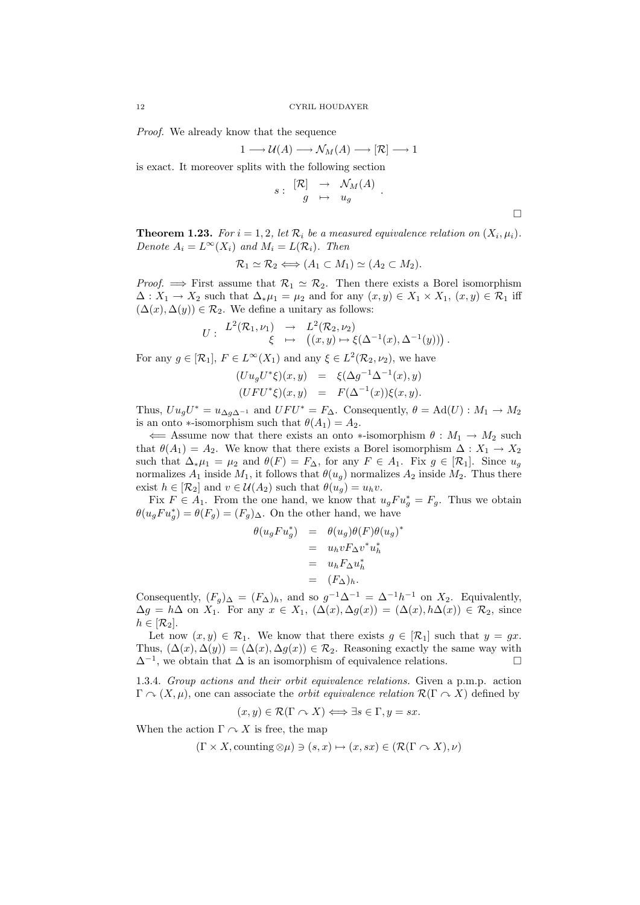Proof. We already know that the sequence

$$
1 \longrightarrow \mathcal{U}(A) \longrightarrow \mathcal{N}_M(A) \longrightarrow [\mathcal{R}] \longrightarrow 1
$$

is exact. It moreover splits with the following section

$$
s: \begin{array}{rcl} [\mathcal{R}] & \rightarrow & \mathcal{N}_M(A) \\ g & \mapsto & u_g \end{array} \, .
$$

**Theorem 1.23.** For  $i = 1, 2$ , let  $\mathcal{R}_i$  be a measured equivalence relation on  $(X_i, \mu_i)$ . Denote  $A_i = L^{\infty}(X_i)$  and  $M_i = L(\mathcal{R}_i)$ . Then

$$
\mathcal{R}_1 \simeq \mathcal{R}_2 \Longleftrightarrow (A_1 \subset M_1) \simeq (A_2 \subset M_2).
$$

*Proof.*  $\implies$  First assume that  $\mathcal{R}_1 \simeq \mathcal{R}_2$ . Then there exists a Borel isomorphism  $\Delta: X_1 \to X_2$  such that  $\Delta_* \mu_1 = \mu_2$  and for any  $(x, y) \in X_1 \times X_1$ ,  $(x, y) \in \mathcal{R}_1$  iff  $(\Delta(x), \Delta(y)) \in \mathcal{R}_2$ . We define a unitary as follows:

$$
U: \begin{array}{ccc} L^2(\mathcal{R}_1,\nu_1) & \to & L^2(\mathcal{R}_2,\nu_2) \\ \xi & \mapsto & \big((x,y)\mapsto \xi(\Delta^{-1}(x),\Delta^{-1}(y))\big) \,. \end{array}
$$

For any  $g \in [\mathcal{R}_1]$ ,  $F \in L^{\infty}(X_1)$  and any  $\xi \in L^2(\mathcal{R}_2, \nu_2)$ , we have

$$
(Uu_gU^*\xi)(x,y) = \xi(\Delta g^{-1}\Delta^{-1}(x),y)
$$
  

$$
(UFU^*\xi)(x,y) = F(\Delta^{-1}(x))\xi(x,y).
$$

Thus,  $Uu_gU^* = u_{\Delta g \Delta^{-1}}$  and  $UFU^* = F_{\Delta}$ . Consequently,  $\theta = \text{Ad}(U) : M_1 \to M_2$ is an onto ∗-isomorphism such that  $\theta(A_1) = A_2$ .

 $\Leftarrow$  Assume now that there exists an onto ∗-isomorphism  $\theta : M_1 \to M_2$  such that  $\theta(A_1) = A_2$ . We know that there exists a Borel isomorphism  $\Delta: X_1 \to X_2$ such that  $\Delta_* \mu_1 = \mu_2$  and  $\theta(F) = F_{\Delta}$ , for any  $F \in A_1$ . Fix  $g \in [\mathcal{R}_1]$ . Since  $u_g$ normalizes  $A_1$  inside  $M_1$ , it follows that  $\theta(u_g)$  normalizes  $A_2$  inside  $M_2$ . Thus there exist  $h \in [\mathcal{R}_2]$  and  $v \in \mathcal{U}(A_2)$  such that  $\theta(u_q) = u_h v$ .

Fix  $F \in A_1$ . From the one hand, we know that  $u_g F u_g^* = F_g$ . Thus we obtain  $\theta(u_g F u_g^*) = \theta(F_g) = (F_g)_{\Delta}$ . On the other hand, we have

$$
\theta(u_g F u_g^*) = \theta(u_g)\theta(F)\theta(u_g)^*
$$
  
=  $u_h v F_{\Delta} v^* u_h^*$   
=  $u_h F_{\Delta} u_h^*$   
=  $(F_{\Delta})_h$ .

Consequently,  $(F_g)_{\Delta} = (F_{\Delta})_h$ , and so  $g^{-1}\Delta^{-1} = \Delta^{-1}h^{-1}$  on  $X_2$ . Equivalently,  $\Delta g = h\Delta$  on  $X_1$ . For any  $x \in X_1$ ,  $(\Delta(x), \Delta g(x)) = (\Delta(x), h\Delta(x)) \in \mathcal{R}_2$ , since  $h \in [\mathcal{R}_2].$ 

Let now  $(x, y) \in \mathcal{R}_1$ . We know that there exists  $g \in [\mathcal{R}_1]$  such that  $y = gx$ . Thus,  $(\Delta(x), \Delta(y)) = (\Delta(x), \Delta(g(x)) \in \mathcal{R}_2$ . Reasoning exactly the same way with  $\Delta^{-1}$ , we obtain that  $\Delta$  is an isomorphism of equivalence relations.

1.3.4. Group actions and their orbit equivalence relations. Given a p.m.p. action  $\Gamma \sim (X, \mu)$ , one can associate the *orbit equivalence relation*  $\mathcal{R}(\Gamma \sim X)$  defined by

$$
(x, y) \in \mathcal{R}(\Gamma \cap X) \Longleftrightarrow \exists s \in \Gamma, y = sx.
$$

When the action  $\Gamma \curvearrowright X$  is free, the map

$$
(\Gamma \times X, \text{counting } \otimes \mu) \ni (s, x) \mapsto (x, sx) \in (\mathcal{R}(\Gamma \cap X), \nu)
$$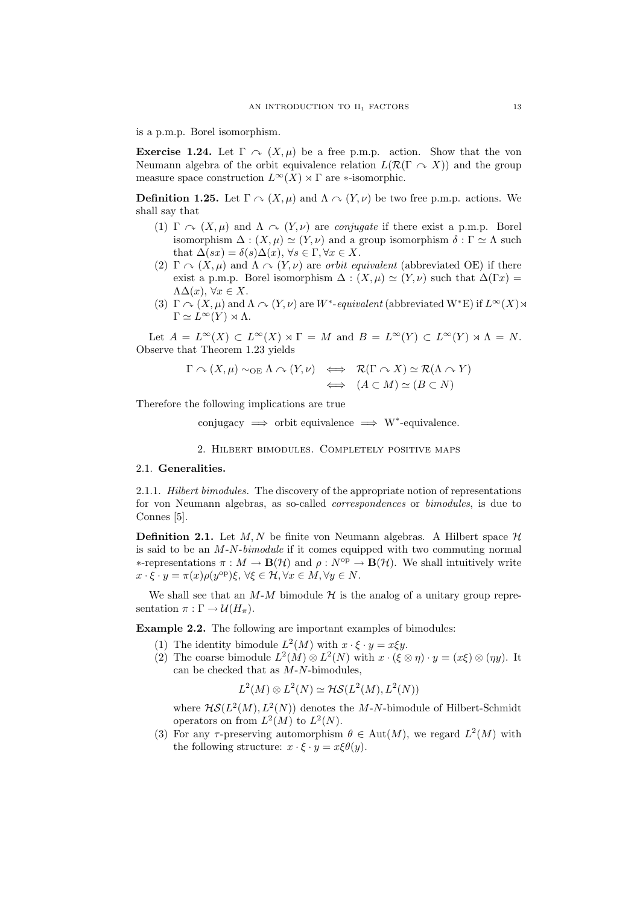is a p.m.p. Borel isomorphism.

**Exercise 1.24.** Let  $\Gamma \sim (X, \mu)$  be a free p.m.p. action. Show that the von Neumann algebra of the orbit equivalence relation  $L(\mathcal{R}(\Gamma \cap X))$  and the group measure space construction  $L^{\infty}(X) \rtimes \Gamma$  are  $\ast$ -isomorphic.

**Definition 1.25.** Let  $\Gamma \sim (X, \mu)$  and  $\Lambda \sim (Y, \nu)$  be two free p.m.p. actions. We shall say that

- (1)  $\Gamma \cap (X, \mu)$  and  $\Lambda \cap (Y, \nu)$  are conjugate if there exist a p.m.p. Borel isomorphism  $\Delta : (X, \mu) \simeq (Y, \nu)$  and a group isomorphism  $\delta : \Gamma \simeq \Lambda$  such that  $\Delta(sx) = \delta(s)\Delta(x)$ ,  $\forall s \in \Gamma, \forall x \in X$ .
- (2)  $\Gamma \cap (X, \mu)$  and  $\Lambda \cap (Y, \nu)$  are *orbit equivalent* (abbreviated OE) if there exist a p.m.p. Borel isomorphism  $\Delta : (X, \mu) \simeq (Y, \nu)$  such that  $\Delta(\Gamma x) =$  $ΛΔ(x), ∀x ∈ X.$
- (3)  $\Gamma \cap (X, \mu)$  and  $\Lambda \cap (Y, \nu)$  are W<sup>\*</sup>-equivalent (abbreviated W<sup>\*</sup>E) if  $L^{\infty}(X)$   $\rtimes$  $\Gamma \simeq L^{\infty}(Y) \rtimes \Lambda$ .

Let  $A = L^{\infty}(X) \subset L^{\infty}(X) \rtimes \Gamma = M$  and  $B = L^{\infty}(Y) \subset L^{\infty}(Y) \rtimes \Lambda = N$ . Observe that Theorem 1.23 yields

$$
\Gamma \curvearrowright (X, \mu) \sim_{\text{OE}} \Lambda \curvearrowright (Y, \nu) \iff \mathcal{R}(\Gamma \curvearrowright X) \simeq \mathcal{R}(\Lambda \curvearrowright Y)
$$
  

$$
\iff (A \subset M) \simeq (B \subset N)
$$

Therefore the following implications are true

conjugacy  $\implies$  orbit equivalence  $\implies$  W<sup>\*</sup>-equivalence.

2. Hilbert bimodules. Completely positive maps

# 2.1. Generalities.

2.1.1. Hilbert bimodules. The discovery of the appropriate notion of representations for von Neumann algebras, as so-called correspondences or bimodules, is due to Connes [5].

**Definition 2.1.** Let M, N be finite von Neumann algebras. A Hilbert space  $\mathcal{H}$ is said to be an M-N-bimodule if it comes equipped with two commuting normal  $\ast$ -representations π :  $M \to \mathbf{B}(\mathcal{H})$  and  $\rho : N^{\text{op}} \to \mathbf{B}(\mathcal{H})$ . We shall intuitively write  $x \cdot \xi \cdot y = \pi(x) \rho(y^{\text{op}}) \xi, \,\forall \xi \in \mathcal{H}, \forall x \in M, \forall y \in N.$ 

We shall see that an  $M-M$  bimodule  $H$  is the analog of a unitary group representation  $\pi : \Gamma \to \mathcal{U}(H_{\pi}).$ 

Example 2.2. The following are important examples of bimodules:

- (1) The identity bimodule  $L^2(M)$  with  $x \cdot \xi \cdot y = x \xi y$ .
- (2) The coarse bimodule  $L^2(M) \otimes L^2(N)$  with  $x \cdot (\xi \otimes \eta) \cdot y = (x \xi) \otimes (\eta y)$ . It can be checked that as  $M-N$ -bimodules,

 $L^2(M) \otimes L^2(N) \simeq \mathcal{H} \mathcal{S}(L^2(M), L^2(N))$ 

where  $H\mathcal{S}(L^2(M), L^2(N))$  denotes the M-N-bimodule of Hilbert-Schmidt operators on from  $L^2(M)$  to  $L^2(N)$ .

(3) For any  $\tau$ -preserving automorphism  $\theta \in Aut(M)$ , we regard  $L^2(M)$  with the following structure:  $x \cdot \xi \cdot y = x \xi \theta(y)$ .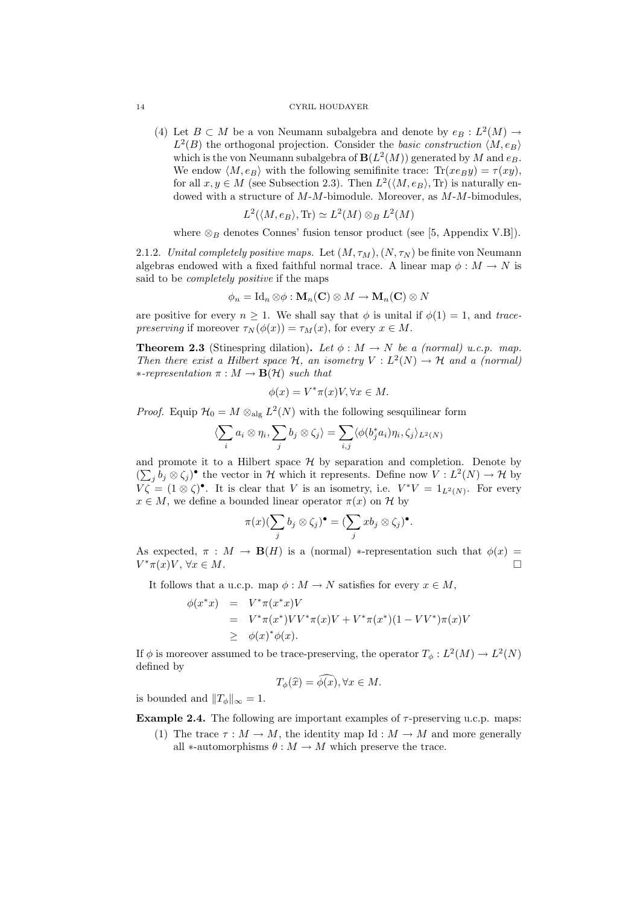### 14 CYRIL HOUDAYER

(4) Let  $B \subset M$  be a von Neumann subalgebra and denote by  $e_B : L^2(M) \to$  $L^2(B)$  the orthogonal projection. Consider the basic construction  $\langle M, e_B \rangle$ which is the von Neumann subalgebra of  $\mathbf{B}(L^2(M))$  generated by M and  $e_B$ . We endow  $\langle M, e_B \rangle$  with the following semifinite trace:  $\text{Tr}(xe_By) = \tau(xy)$ , for all  $x, y \in M$  (see Subsection 2.3). Then  $L^2(\langle M, e_B \rangle, \text{Tr})$  is naturally endowed with a structure of  $M$ - $M$ -bimodule. Moreover, as  $M$ - $M$ -bimodules,

$$
L^2(\langle M, e_B \rangle, \text{Tr}) \simeq L^2(M) \otimes_B L^2(M)
$$

where  $\otimes_B$  denotes Connes' fusion tensor product (see [5, Appendix V.B]).

2.1.2. Unital completely positive maps. Let  $(M, \tau_M), (N, \tau_N)$  be finite von Neumann algebras endowed with a fixed faithful normal trace. A linear map  $\phi : M \to N$  is said to be *completely positive* if the maps

$$
\phi_n = \mathrm{Id}_n \otimes \phi : \mathbf{M}_n(\mathbf{C}) \otimes M \to \mathbf{M}_n(\mathbf{C}) \otimes N
$$

are positive for every  $n > 1$ . We shall say that  $\phi$  is unital if  $\phi(1) = 1$ , and tracepreserving if moreover  $\tau_N(\phi(x)) = \tau_M(x)$ , for every  $x \in M$ .

**Theorem 2.3** (Stinespring dilation). Let  $\phi : M \to N$  be a (normal) u.c.p. map. Then there exist a Hilbert space H, an isometry  $V: L^2(N) \to H$  and a (normal)  $*-representation \pi : M \to \mathbf{B}(\mathcal{H})$  such that

$$
\phi(x) = V^*\pi(x)V, \forall x \in M.
$$

*Proof.* Equip  $\mathcal{H}_0 = M \otimes_{\text{alg}} L^2(N)$  with the following sesquilinear form

$$
\langle \sum_i a_i \otimes \eta_i, \sum_j b_j \otimes \zeta_j \rangle = \sum_{i,j} \langle \phi(b_j^* a_i) \eta_i, \zeta_j \rangle_{L^2(N)}
$$

and promote it to a Hilbert space  $\mathcal H$  by separation and completion. Denote by  $(\sum_j b_j \otimes \zeta_j)$  the vector in H which it represents. Define now  $V: L^2(N) \to H$  by  $V\zeta = (1 \otimes \zeta)^{\bullet}$ . It is clear that V is an isometry, i.e.  $V^*V = 1_{L^2(N)}$ . For every  $x \in M$ , we define a bounded linear operator  $\pi(x)$  on H by

$$
\pi(x)(\sum_j b_j \otimes \zeta_j)^{\bullet} = (\sum_j xb_j \otimes \zeta_j)^{\bullet}.
$$

As expected,  $\pi : M \to \mathbf{B}(H)$  is a (normal) \*-representation such that  $\phi(x) =$  $V^*\pi(x)V, \,\forall x\in M.$ 

It follows that a u.c.p. map  $\phi : M \to N$  satisfies for every  $x \in M$ ,

$$
\begin{array}{rcl}\n\phi(x^*x) & = & V^*\pi(x^*x)V \\
& = & V^*\pi(x^*)VV^*\pi(x)V + V^*\pi(x^*)(1 - VV^*)\pi(x)V \\
& \geq & \phi(x)^*\phi(x).\n\end{array}
$$

If  $\phi$  is moreover assumed to be trace-preserving, the operator  $T_{\phi}: L^2(M) \to L^2(N)$ defined by

$$
T_{\phi}(\widehat{x}) = \phi(x), \forall x \in M.
$$

is bounded and  $||T_{\phi}||_{\infty} = 1$ .

**Example 2.4.** The following are important examples of  $\tau$ -preserving u.c.p. maps:

(1) The trace  $\tau : M \to M$ , the identity map Id :  $M \to M$  and more generally all ∗-automorphisms  $\theta : M \to M$  which preserve the trace.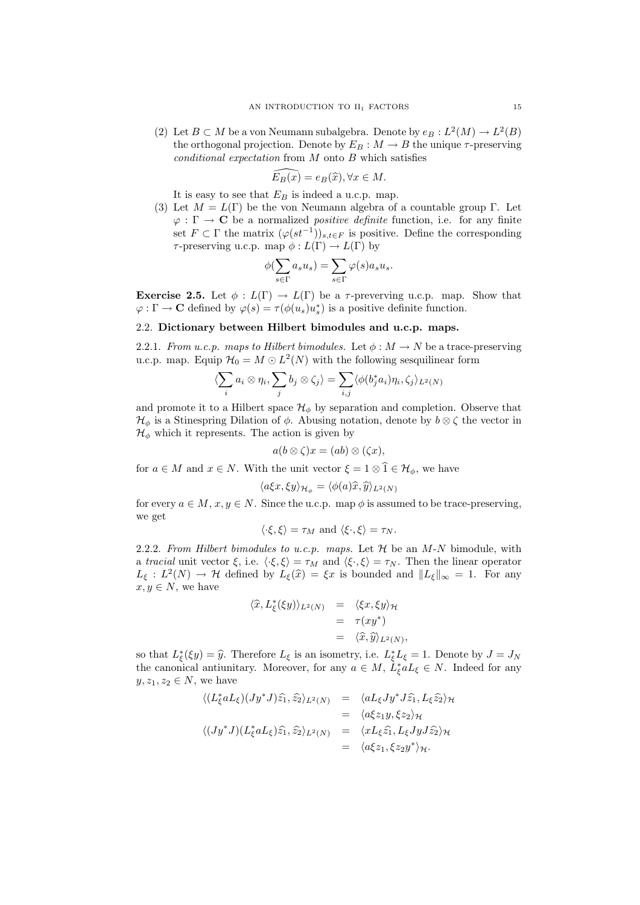(2) Let  $B \subset M$  be a von Neumann subalgebra. Denote by  $e_B : L^2(M) \to L^2(B)$ the orthogonal projection. Denote by  $E_B : M \to B$  the unique  $\tau$ -preserving  $conditional\ expectation\ from\ M\ onto\ B\ which\ satisfies$ 

$$
\widehat{E_B(x)} = e_B(\widehat{x}), \forall x \in M.
$$

It is easy to see that  $E_B$  is indeed a u.c.p. map.

(3) Let  $M = L(\Gamma)$  be the von Neumann algebra of a countable group Γ. Let  $\varphi : \Gamma \to \mathbf{C}$  be a normalized *positive definite* function, i.e. for any finite set  $F \subset \Gamma$  the matrix  $(\varphi(st^{-1}))_{s,t \in F}$  is positive. Define the corresponding  $\tau$ -preserving u.c.p. map  $\phi: L(\Gamma) \to L(\Gamma)$  by

$$
\phi(\sum_{s \in \Gamma} a_s u_s) = \sum_{s \in \Gamma} \varphi(s) a_s u_s.
$$

Exercise 2.5. Let  $\phi: L(\Gamma) \to L(\Gamma)$  be a  $\tau$ -preverving u.c.p. map. Show that  $\varphi : \Gamma \to \mathbf{C}$  defined by  $\varphi(s) = \tau(\phi(u_s)u_s^*)$  is a positive definite function.

# 2.2. Dictionary between Hilbert bimodules and u.c.p. maps.

2.2.1. From u.c.p. maps to Hilbert bimodules. Let  $\phi : M \to N$  be a trace-preserving u.c.p. map. Equip  $\mathcal{H}_0 = M \odot L^2(N)$  with the following sesquilinear form

$$
\langle \sum_i a_i \otimes \eta_i, \sum_j b_j \otimes \zeta_j \rangle = \sum_{i,j} \langle \phi(b_j^* a_i) \eta_i, \zeta_j \rangle_{L^2(N)}
$$

and promote it to a Hilbert space  $\mathcal{H}_{\phi}$  by separation and completion. Observe that  $\mathcal{H}_{\phi}$  is a Stinespring Dilation of  $\phi$ . Abusing notation, denote by  $b \otimes \zeta$  the vector in  $\mathcal{H}_{\phi}$  which it represents. The action is given by

$$
a(b\otimes \zeta)x=(ab)\otimes (\zeta x),
$$

for  $a \in M$  and  $x \in N$ . With the unit vector  $\xi = 1 \otimes \hat{1} \in \mathcal{H}_{\phi}$ , we have

$$
\langle a\xi x, \xi y \rangle_{\mathcal{H}_{\phi}} = \langle \phi(a)\hat{x}, \hat{y} \rangle_{L^2(N)}
$$

for every  $a \in M$ ,  $x, y \in N$ . Since the u.c.p. map  $\phi$  is assumed to be trace-preserving. we get

$$
\langle \cdot \xi, \xi \rangle = \tau_M
$$
 and  $\langle \xi \cdot, \xi \rangle = \tau_N$ .

2.2.2. From Hilbert bimodules to u.c.p. maps. Let  $\mathcal H$  be an M-N bimodule, with a tracial unit vector  $\xi$ , i.e.  $\langle \cdot \xi, \xi \rangle = \tau_M$  and  $\langle \xi \cdot, \xi \rangle = \tau_N$ . Then the linear operator  $L_{\xi}: L^2(N) \to \mathcal{H}$  defined by  $L_{\xi}(\hat{x}) = \xi x$  is bounded and  $||L_{\xi}||_{\infty} = 1$ . For any  $x, y \in N$ , we have

$$
\langle \widehat{x}, L_{\xi}^{*}(\xi y) \rangle_{L^{2}(N)} = \langle \xi x, \xi y \rangle_{\mathcal{H}}
$$
  
=  $\tau(xy^{*})$   
=  $\langle \widehat{x}, \widehat{y} \rangle_{L^{2}(N)},$ 

so that  $L_{\xi}^{*}(ξy) = \hat{y}$ . Therefore  $L_{\xi}$  is an isometry, i.e.  $L_{\xi}^{*}L_{\xi} = 1$ . Denote by  $J = J_N$ <br>the cononical antiunitary. Moreover, for any  $a \in M$ ,  $\hat{I}^{*}aL \in N$ . Indeed for any the canonical antiunitary. Moreover, for any  $a \in M$ ,  $\tilde{L}_{\xi}^{*} a L_{\xi} \in N$ . Indeed for any  $y, z_1, z_2 \in N$ , we have

$$
\langle (L_{\xi}^{*} a L_{\xi})(J y^{*} J)\hat{z}_{1}, \hat{z}_{2}\rangle_{L^{2}(N)} = \langle a L_{\xi} J y^{*} J \hat{z}_{1}, L_{\xi} \hat{z}_{2}\rangle_{\mathcal{H}}
$$
  
\n
$$
= \langle a \xi z_{1} y, \xi z_{2}\rangle_{\mathcal{H}}
$$
  
\n
$$
\langle (J y^{*} J)(L_{\xi}^{*} a L_{\xi}) \hat{z}_{1}, \hat{z}_{2}\rangle_{L^{2}(N)} = \langle x L_{\xi} \hat{z}_{1}, L_{\xi} J y J \hat{z}_{2}\rangle_{\mathcal{H}}
$$
  
\n
$$
= \langle a \xi z_{1}, \xi z_{2} y^{*} \rangle_{\mathcal{H}}.
$$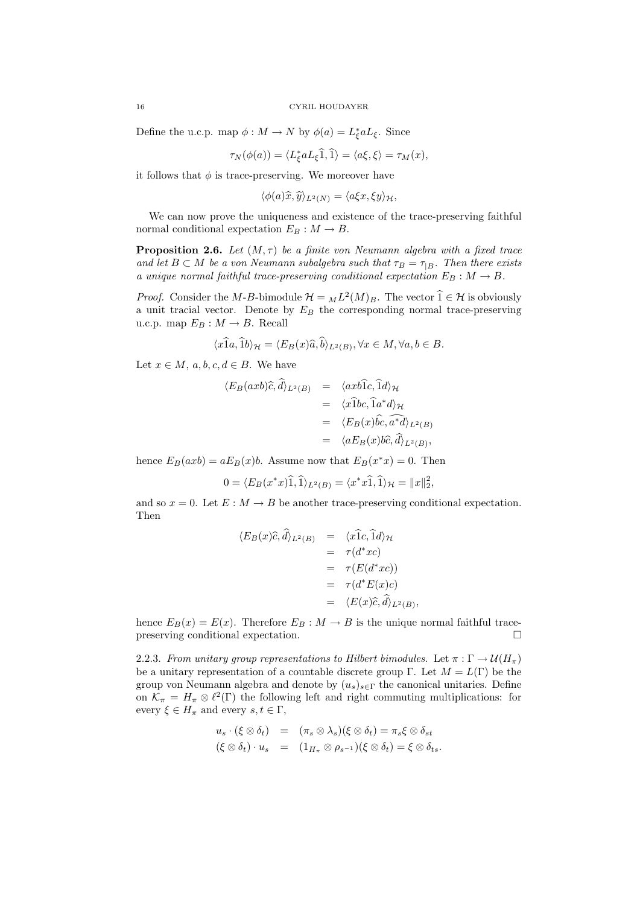Define the u.c.p. map  $\phi: M \to N$  by  $\phi(a) = L_{\xi}^{*} a L_{\xi}$ . Since

$$
\tau_N(\phi(a)) = \langle L_{\xi}^* a L_{\xi} \widehat{1}, \widehat{1} \rangle = \langle a \xi, \xi \rangle = \tau_M(x),
$$

it follows that  $\phi$  is trace-preserving. We moreover have

 $\langle \phi(a)\hat{x}, \hat{y} \rangle_{L^2(N)} = \langle a\xi x, \xi y \rangle_{\mathcal{H}},$ 

We can now prove the uniqueness and existence of the trace-preserving faithful normal conditional expectation  $E_B : M \to B$ .

**Proposition 2.6.** Let  $(M, \tau)$  be a finite von Neumann algebra with a fixed trace and let  $B \subset M$  be a von Neumann subalgebra such that  $\tau_B = \tau_{|B}$ . Then there exists a unique normal faithful trace-preserving conditional expectation  $E_B : M \to B$ .

*Proof.* Consider the M-B-bimodule  $\mathcal{H} = {}_{M}L^{2}(M)_{B}$ . The vector  $\widehat{1} \in \mathcal{H}$  is obviously a unit tracial vector. Denote by  $E_B$  the corresponding normal trace-preserving u.c.p. map  $E_B: M \to B$ . Recall

$$
\langle x\hat{1}a,\hat{1}b\rangle_{\mathcal{H}} = \langle E_B(x)\hat{a},\hat{b}\rangle_{L^2(B)}, \forall x \in M, \forall a, b \in B.
$$

Let  $x \in M$ ,  $a, b, c, d \in B$ . We have

$$
\langle E_B(axb)\hat{c},\hat{d}\rangle_{L^2(B)} = \langle axb\hat{1}c,\hat{1}d\rangle_{\mathcal{H}}
$$
  
\n
$$
= \langle x\hat{1}bc,\hat{1}a^*d\rangle_{\mathcal{H}}
$$
  
\n
$$
= \langle E_B(x)\hat{bc},\hat{a^*d}\rangle_{L^2(B)}
$$
  
\n
$$
= \langle aE_B(x)b\hat{c},\hat{d}\rangle_{L^2(B)},
$$

hence  $E_B(axb) = aE_B(x)b$ . Assume now that  $E_B(x^*x) = 0$ . Then

$$
0 = \langle E_B(x^*x)\hat{1}, \hat{1}\rangle_{L^2(B)} = \langle x^*x\hat{1}, \hat{1}\rangle_{\mathcal{H}} = ||x||_2^2,
$$

and so  $x = 0$ . Let  $E : M \to B$  be another trace-preserving conditional expectation. Then

$$
\langle E_B(x)\hat{c},d\rangle_{L^2(B)} = \langle x1c,1d\rangle_{\mathcal{H}}
$$
  
=  $\tau(d^*xc)$   
=  $\tau(E(d^*xc))$   
=  $\tau(d^*E(x)c)$   
=  $\langle E(x)\hat{c},\hat{d}\rangle_{L^2(B)}$ ,

hence  $E_B(x) = E(x)$ . Therefore  $E_B : M \to B$  is the unique normal faithful tracepreserving conditional expectation.

2.2.3. From unitary group representations to Hilbert bimodules. Let  $\pi : \Gamma \to \mathcal{U}(H_{\pi})$ be a unitary representation of a countable discrete group Γ. Let  $M = L(\Gamma)$  be the group von Neumann algebra and denote by  $(u_s)_{s \in \Gamma}$  the canonical unitaries. Define on  $\mathcal{K}_{\pi} = H_{\pi} \otimes \ell^2(\Gamma)$  the following left and right commuting multiplications: for every  $\xi \in H_{\pi}$  and every  $s, t \in \Gamma$ ,

$$
u_s \cdot (\xi \otimes \delta_t) = (\pi_s \otimes \lambda_s)(\xi \otimes \delta_t) = \pi_s \xi \otimes \delta_{st}
$$
  

$$
(\xi \otimes \delta_t) \cdot u_s = (1_{H_\pi} \otimes \rho_{s^{-1}})(\xi \otimes \delta_t) = \xi \otimes \delta_{ts}.
$$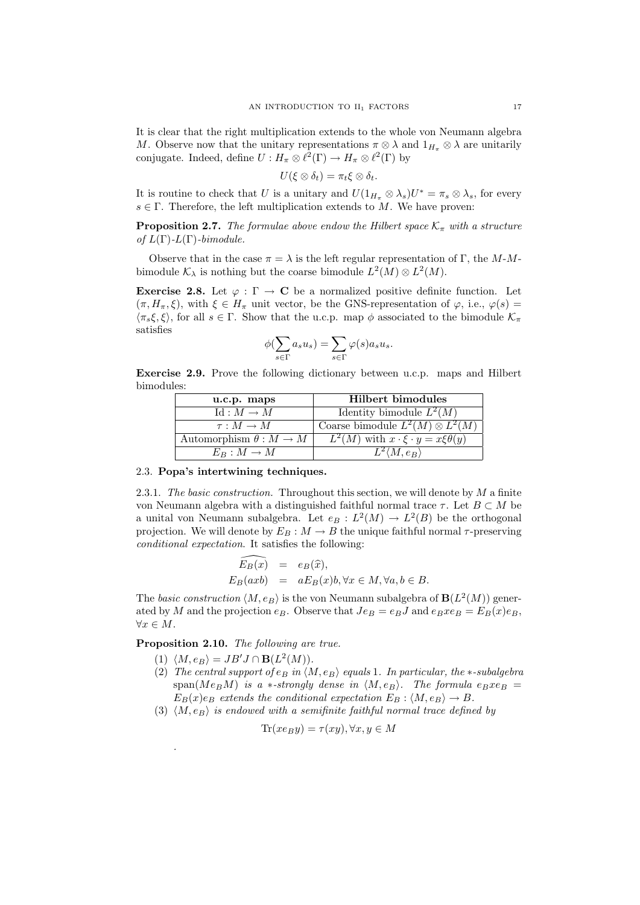It is clear that the right multiplication extends to the whole von Neumann algebra M. Observe now that the unitary representations  $\pi \otimes \lambda$  and  $1_{H_{\pi}} \otimes \lambda$  are unitarily conjugate. Indeed, define  $U: H_{\pi} \otimes \ell^2(\Gamma) \to H_{\pi} \otimes \ell^2(\Gamma)$  by

$$
U(\xi\otimes\delta_t)=\pi_t\xi\otimes\delta_t.
$$

It is routine to check that U is a unitary and  $U(1_{H_{\pi}} \otimes \lambda_s)U^* = \pi_s \otimes \lambda_s$ , for every  $s \in \Gamma$ . Therefore, the left multiplication extends to M. We have proven:

**Proposition 2.7.** The formulae above endow the Hilbert space  $\mathcal{K}_{\pi}$  with a structure of  $L(\Gamma)$ - $L(\Gamma)$ -bimodule.

Observe that in the case  $\pi = \lambda$  is the left regular representation of Γ, the M-Mbimodule  $\mathcal{K}_{\lambda}$  is nothing but the coarse bimodule  $L^2(M) \otimes L^2(M)$ .

Exercise 2.8. Let  $\varphi : \Gamma \to \mathbb{C}$  be a normalized positive definite function. Let  $(\pi, H_\pi, \xi)$ , with  $\xi \in H_\pi$  unit vector, be the GNS-representation of  $\varphi$ , i.e.,  $\varphi(s)$  $\langle \pi_s \xi, \xi \rangle$ , for all  $s \in \Gamma$ . Show that the u.c.p. map  $\phi$  associated to the bimodule  $\mathcal{K}_\pi$ satisfies

$$
\phi(\sum_{s\in \Gamma} a_s u_s) = \sum_{s\in \Gamma} \varphi(s) a_s u_s.
$$

Exercise 2.9. Prove the following dictionary between u.c.p. maps and Hilbert bimodules:

| u.c.p. maps                     | <b>Hilbert bimodules</b>                              |
|---------------------------------|-------------------------------------------------------|
| $\mathrm{Id}: M \to M$          | Identity bimodule $L^2(M)$                            |
| $\tau: M \to M$                 | Coarse bimodule $L^2(M) \otimes L^2(M)$               |
| Automorphism $\theta : M \to M$ | $L^2(M)$ with $x \cdot \xi \cdot y = x \xi \theta(y)$ |
| $E_B: M \to M$                  | $L^2(M,e_B)$                                          |

### 2.3. Popa's intertwining techniques.

2.3.1. The basic construction. Throughout this section, we will denote by  $M$  a finite von Neumann algebra with a distinguished faithful normal trace  $\tau$ . Let  $B \subset M$  be a unital von Neumann subalgebra. Let  $e_B : L^2(M) \to L^2(B)$  be the orthogonal projection. We will denote by  $E_B : M \to B$  the unique faithful normal  $\tau$ -preserving conditional expectation. It satisfies the following:

$$
\widehat{E_B(x)} = e_B(\widehat{x}),
$$
  
\n
$$
E_B(axb) = aE_B(x)b, \forall x \in M, \forall a, b \in B.
$$

The basic construction  $\langle M, e_B \rangle$  is the von Neumann subalgebra of  $\mathbf{B}(L^2(M))$  generated by M and the projection  $e_B$ . Observe that  $Je_B = e_B J$  and  $e_B x e_B = E_B(x)e_B$ ,  $\forall x \in M.$ 

Proposition 2.10. The following are true.

(1)  $\langle M, e_B \rangle = JB'J \cap \mathbf{B}(L^2(M)).$ 

.

- (2) The central support of  $e_B$  in  $\langle M, e_B \rangle$  equals 1. In particular, the ∗-subalgebra  $\text{span}(Me_BM)$  is a \*-strongly dense in  $\langle M, e_B \rangle$ . The formula  $e_Bxe_B$  =  $E_B(x)e_B$  extends the conditional expectation  $E_B$ :  $\langle M, e_B \rangle \rightarrow B$ .
- (3)  $\langle M, e_B \rangle$  is endowed with a semifinite faithful normal trace defined by

$$
\text{Tr}(x e_B y) = \tau(xy), \forall x, y \in M
$$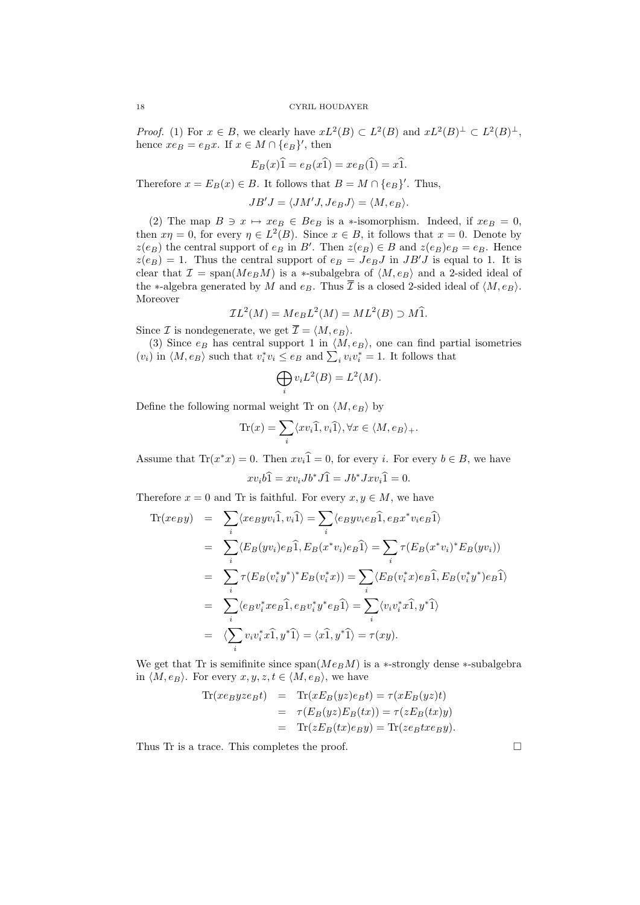*Proof.* (1) For  $x \in B$ , we clearly have  $xL^2(B) \subset L^2(B)$  and  $xL^2(B)^{\perp} \subset L^2(B)^{\perp}$ , hence  $xe_B = e_Bx$ . If  $x \in M \cap \{e_B\}'$ , then

$$
E_B(x)\hat{1} = e_B(x\hat{1}) = xe_B(\hat{1}) = x\hat{1}.
$$

Therefore  $x = E_B(x) \in B$ . It follows that  $B = M \cap \{e_B\}'$ . Thus,

 $JB'J = \langle JM'J, Je_BJ \rangle = \langle M, e_B \rangle.$ 

(2) The map  $B \ni x \mapsto xe_B \in Be_B$  is a ∗-isomorphism. Indeed, if  $xe_B = 0$ , then  $x\eta = 0$ , for every  $\eta \in L^2(B)$ . Since  $x \in B$ , it follows that  $x = 0$ . Denote by  $z(e_B)$  the central support of  $e_B$  in B'. Then  $z(e_B) \in B$  and  $z(e_B)e_B = e_B$ . Hence  $z(e_B) = 1$ . Thus the central support of  $e_B = Je_BJ$  in  $JB'J$  is equal to 1. It is clear that  $\mathcal{I} = \text{span}(Me_B M)$  is a ∗-subalgebra of  $\langle M, e_B \rangle$  and a 2-sided ideal of the ∗-algebra generated by M and  $e_B$ . Thus  $\overline{I}$  is a closed 2-sided ideal of  $\langle M, e_B \rangle$ . Moreover

$$
\mathcal{I}L^{2}(M) = Me_{B}L^{2}(M) = ML^{2}(B) \supset M\widehat{1}.
$$

Since  $\mathcal I$  is nondegenerate, we get  $\overline{\mathcal I} = \langle M, e_B \rangle$ .

(3) Since  $e_B$  has central support 1 in  $\langle M, e_B \rangle$ , one can find partial isometries  $(v_i)$  in  $\langle M, e_B \rangle$  such that  $v_i^* v_i \le e_B$  and  $\sum_i v_i v_i^* = 1$ . It follows that

$$
\bigoplus_i v_i L^2(B) = L^2(M).
$$

Define the following normal weight Tr on  $\langle M, e_B \rangle$  by

$$
\text{Tr}(x) = \sum_{i} \langle xv_i \hat{1}, v_i \hat{1} \rangle, \forall x \in \langle M, e_B \rangle_+.
$$

Assume that  $\text{Tr}(x^*x) = 0$ . Then  $xv_i\hat{1} = 0$ , for every i. For every  $b \in B$ , we have  $xv_i b\hat{1} = xv_i Jb^* J\hat{1} = Jb^* Jxv_i \hat{1} = 0.$ 

Therefore  $x = 0$  and Tr is faithful. For every  $x, y \in M$ , we have

$$
\begin{split}\n\text{Tr}(xe_By) &= \sum_i \langle xeyyv_i \hat{1}, v_i \hat{1} \rangle = \sum_i \langle eyv_i e_B \hat{1}, e_B x^* v_i e_B \hat{1} \rangle \\
&= \sum_i \langle E_B(yv_i) e_B \hat{1}, E_B(x^* v_i) e_B \hat{1} \rangle = \sum_i \tau(E_B(x^* v_i)^* E_B(yv_i)) \\
&= \sum_i \tau(E_B(v_i^* y^*)^* E_B(v_i^* x)) = \sum_i \langle E_B(v_i^* x) e_B \hat{1}, E_B(v_i^* y^*) e_B \hat{1} \rangle \\
&= \sum_i \langle e_B v_i^* x e_B \hat{1}, e_B v_i^* y^* e_B \hat{1} \rangle = \sum_i \langle v_i v_i^* x \hat{1}, y^* \hat{1} \rangle \\
&= \langle \sum_i v_i v_i^* x \hat{1}, y^* \hat{1} \rangle = \langle x \hat{1}, y^* \hat{1} \rangle = \tau(xy).\n\end{split}
$$

We get that Tr is semifinite since  $\text{span}(Me_BM)$  is a ∗-strongly dense ∗-subalgebra in  $\langle M, e_B \rangle$ . For every  $x, y, z, t \in \langle M, e_B \rangle$ , we have

$$
\begin{array}{rcl}\n\text{Tr}(xe_B y ze_B t) & = & \text{Tr}(xE_B(yz)e_B t) = \tau(xE_B(yz)t) \\
& = & \tau(E_B(yz)E_B(tx)) = \tau(zE_B(tx)y) \\
& = & \text{Tr}(zE_B(tx)e_B y) = \text{Tr}(ze_B txe_B y).\n\end{array}
$$

Thus Tr is a trace. This completes the proof.  $\Box$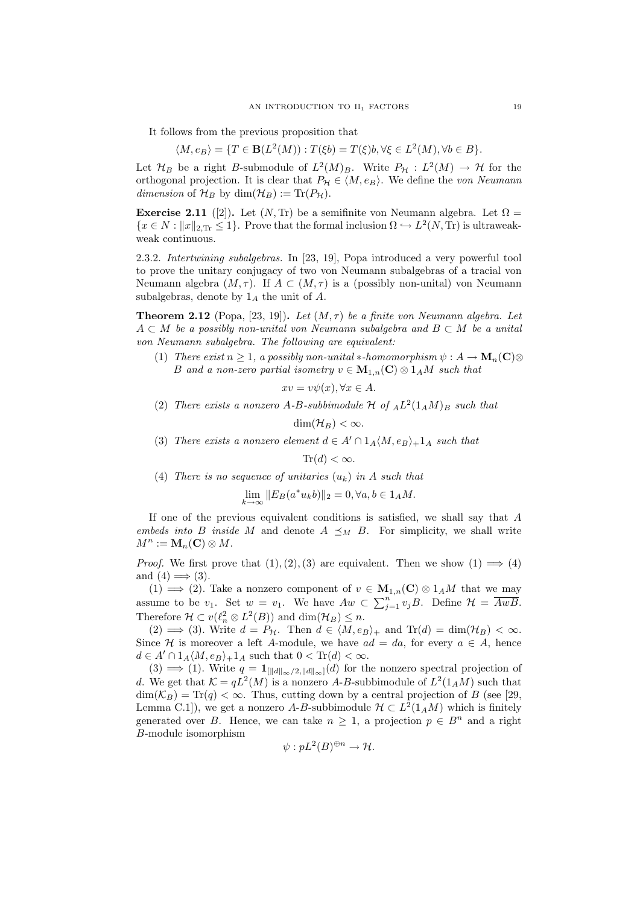It follows from the previous proposition that

$$
\langle M, e_B \rangle = \{ T \in \mathbf{B}(L^2(M)) : T(\xi b) = T(\xi)b, \forall \xi \in L^2(M), \forall b \in B \}.
$$

Let  $\mathcal{H}_B$  be a right B-submodule of  $L^2(M)_B$ . Write  $P_{\mathcal{H}} : L^2(M) \to \mathcal{H}$  for the orthogonal projection. It is clear that  $P_{\mathcal{H}} \in \langle M, e_B \rangle$ . We define the von Neumann dimension of  $\mathcal{H}_B$  by dim $(\mathcal{H}_B) := \text{Tr}(P_{\mathcal{H}})$ .

**Exercise 2.11** ([2]). Let  $(N, Tr)$  be a semifinite von Neumann algebra. Let  $\Omega$  =  $\{x \in N : ||x||_{2,\text{Tr}} \leq 1\}$ . Prove that the formal inclusion  $\Omega \hookrightarrow L^2(N, \text{Tr})$  is ultraweakweak continuous.

2.3.2. Intertwining subalgebras. In [23, 19], Popa introduced a very powerful tool to prove the unitary conjugacy of two von Neumann subalgebras of a tracial von Neumann algebra  $(M, \tau)$ . If  $A \subset (M, \tau)$  is a (possibly non-unital) von Neumann subalgebras, denote by  $1_A$  the unit of A.

**Theorem 2.12** (Popa, [23, 19]). Let  $(M, \tau)$  be a finite von Neumann algebra. Let  $A \subset M$  be a possibly non-unital von Neumann subalgebra and  $B \subset M$  be a unital von Neumann subalgebra. The following are equivalent:

(1) There exist  $n \geq 1$ , a possibly non-unital  $\ast$ -homomorphism  $\psi : A \to M_n(\mathbf{C}) \otimes$ B and a non-zero partial isometry  $v \in M_{1,n}(\mathbb{C}) \otimes 1_A M$  such that

 $xv = v\psi(x), \forall x \in A.$ 

(2) There exists a nonzero A-B-subbimodule H of  $_A L^2(1_A M)_B$  such that

 $\dim(\mathcal{H}_B) < \infty$ .

(3) There exists a nonzero element  $d \in A' \cap 1_A \langle M, e_B \rangle + 1_A$  such that

 $\text{Tr}(d) < \infty$ .

(4) There is no sequence of unitaries  $(u_k)$  in A such that

$$
\lim_{k \to \infty} ||E_B(a^* u_k b)||_2 = 0, \forall a, b \in 1_A M.
$$

If one of the previous equivalent conditions is satisfied, we shall say that A embeds into B inside M and denote  $A \preceq_M B$ . For simplicity, we shall write  $M^n := \mathbf{M}_n(\mathbf{C}) \otimes M.$ 

*Proof.* We first prove that  $(1), (2), (3)$  are equivalent. Then we show  $(1) \implies (4)$ and  $(4) \implies (3)$ .

(1)  $\implies$  (2). Take a nonzero component of  $v \in M_{1,n}(\mathbb{C}) \otimes 1_A M$  that we may assume to be  $v_1$ . Set  $w = v_1$ . We have  $Aw \subset \sum_{j=1}^n v_jB$ . Define  $\mathcal{H} = \overline{AwB}$ . Therefore  $\mathcal{H} \subset v(\ell_n^2 \otimes L^2(B))$  and  $\dim(\mathcal{H}_B) \leq n$ .

(2)  $\implies$  (3). Write  $d = P_H$ . Then  $d \in \langle M, e_B \rangle_+$  and  $Tr(d) = dim(\mathcal{H}_B) < \infty$ . Since H is moreover a left A-module, we have  $ad = da$ , for every  $a \in A$ , hence  $d \in A' \cap 1_A \langle M, e_B \rangle + 1_A$  such that  $0 < \text{Tr}(d) < \infty$ .

(3)  $\implies$  (1). Write  $q = \mathbf{1}_{\left[\|d\|_{\infty}/2, \|d\|_{\infty}\right]}(d)$  for the nonzero spectral projection of d. We get that  $\mathcal{K} = qL^2(M)$  is a nonzero A-B-subbimodule of  $L^2(1_A M)$  such that  $\dim(\mathcal{K}_B) = \text{Tr}(q) < \infty$ . Thus, cutting down by a central projection of B (see [29, Lemma C.1]), we get a nonzero A-B-subbimodule  $\mathcal{H} \subset L^2(1_A M)$  which is finitely generated over B. Hence, we can take  $n \geq 1$ , a projection  $p \in B<sup>n</sup>$  and a right B-module isomorphism

$$
\psi: pL^2(B)^{\oplus n} \to \mathcal{H}.
$$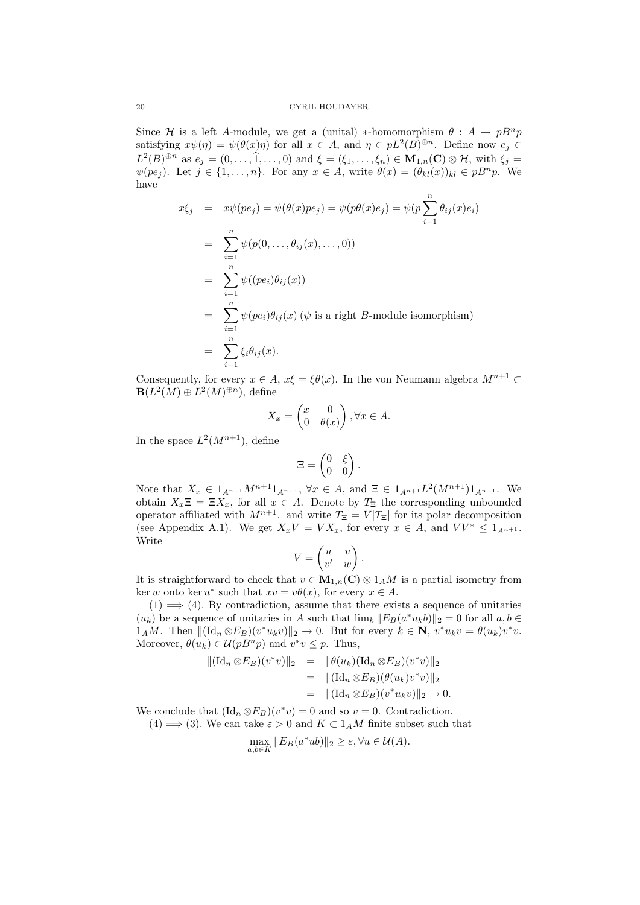Since H is a left A-module, we get a (unital) \*-homomorphism  $\theta : A \to pB^n p$ satisfying  $x\psi(\eta) = \psi(\theta(x)\eta)$  for all  $x \in A$ , and  $\eta \in pL^2(B)^{\oplus n}$ . Define now  $e_j \in$  $L^2(B)^{\oplus n}$  as  $e_j = (0, \ldots, \widehat{1}, \ldots, 0)$  and  $\xi = (\xi_1, \ldots, \xi_n) \in \mathbf{M}_{1,n}(\mathbf{C}) \otimes \mathcal{H}$ , with  $\xi_j =$  $\psi(pe_j)$ . Let  $j \in \{1,\ldots,n\}$ . For any  $x \in A$ , write  $\theta(x) = (\theta_{kl}(x))_{kl} \in pB^n p$ . We have

$$
x\xi_j = x\psi(pe_j) = \psi(\theta(x)pe_j) = \psi(p\theta(x)e_j) = \psi(p\sum_{i=1}^n \theta_{ij}(x)e_i)
$$
  
\n
$$
= \sum_{i=1}^n \psi(p(0, ..., \theta_{ij}(x), ..., 0))
$$
  
\n
$$
= \sum_{i=1}^n \psi((pe_i)\theta_{ij}(x))
$$
  
\n
$$
= \sum_{i=1}^n \psi(pe_i)\theta_{ij}(x) \quad (\psi \text{ is a right } B\text{-module isomorphism})
$$
  
\n
$$
= \sum_{i=1}^n \xi_i\theta_{ij}(x).
$$

Consequently, for every  $x \in A$ ,  $x\xi = \xi \theta(x)$ . In the von Neumann algebra  $M^{n+1} \subset$  $\mathbf{B}(L^2(M) \oplus L^2(M)^{\oplus n})$ , define

$$
X_x = \begin{pmatrix} x & 0 \\ 0 & \theta(x) \end{pmatrix}, \forall x \in A.
$$

In the space  $L^2(M^{n+1})$ , define

$$
\Xi = \begin{pmatrix} 0 & \xi \\ 0 & 0 \end{pmatrix}.
$$

Note that  $X_x \in 1_{A^{n+1}} M^{n+1} 1_{A^{n+1}}$ ,  $\forall x \in A$ , and  $\Xi \in 1_{A^{n+1}} L^2(M^{n+1}) 1_{A^{n+1}}$ . We obtain  $X_x \Xi = \Xi X_x$ , for all  $x \in A$ . Denote by  $T_{\Xi}$  the corresponding unbounded operator affiliated with  $M^{n+1}$ . and write  $T_{\Xi} = V |T_{\Xi}|$  for its polar decomposition (see Appendix A.1). We get  $X_xV = VX_x$ , for every  $x \in A$ , and  $VV^* \leq 1_{A^{n+1}}$ . Write

$$
V = \begin{pmatrix} u & v \\ v' & w \end{pmatrix}.
$$

It is straightforward to check that  $v \in M_{1,n}(\mathbb{C}) \otimes 1_A M$  is a partial isometry from ker w onto ker  $u^*$  such that  $xv = v\theta(x)$ , for every  $x \in A$ .

 $(1) \implies (4)$ . By contradiction, assume that there exists a sequence of unitaries  $(u_k)$  be a sequence of unitaries in A such that  $\lim_k ||E_B(a^*u_k b)||_2 = 0$  for all  $a, b \in$  $1_A M$ . Then  $\|(\mathrm{Id}_n \otimes E_B)(v^*u_kv)\|_2 \to 0$ . But for every  $k \in \mathbb{N}$ ,  $v^*u_kv = \theta(u_k)v^*v$ . Moreover,  $\theta(u_k) \in \mathcal{U}(pB^n p)$  and  $v^*v \leq p$ . Thus,

$$
\begin{array}{rcl} \|( \mathrm{Id}_n \otimes E_B)(v^*v) \|_2 & = & \|\theta(u_k)(\mathrm{Id}_n \otimes E_B)(v^*v) \|_2 \\ & = & \|(\mathrm{Id}_n \otimes E_B)(\theta(u_k)v^*v) \|_2 \\ & = & \|(\mathrm{Id}_n \otimes E_B)(v^*u_kv) \|_2 \to 0. \end{array}
$$

We conclude that  $(\mathrm{Id}_n \otimes E_B)(v^*v) = 0$  and so  $v = 0$ . Contradiction.

 $(4) \Longrightarrow (3)$ . We can take  $\varepsilon > 0$  and  $K \subset 1_A M$  finite subset such that

$$
\max_{a,b \in K} \|E_B(a^*ub)\|_2 \ge \varepsilon, \forall u \in \mathcal{U}(A).
$$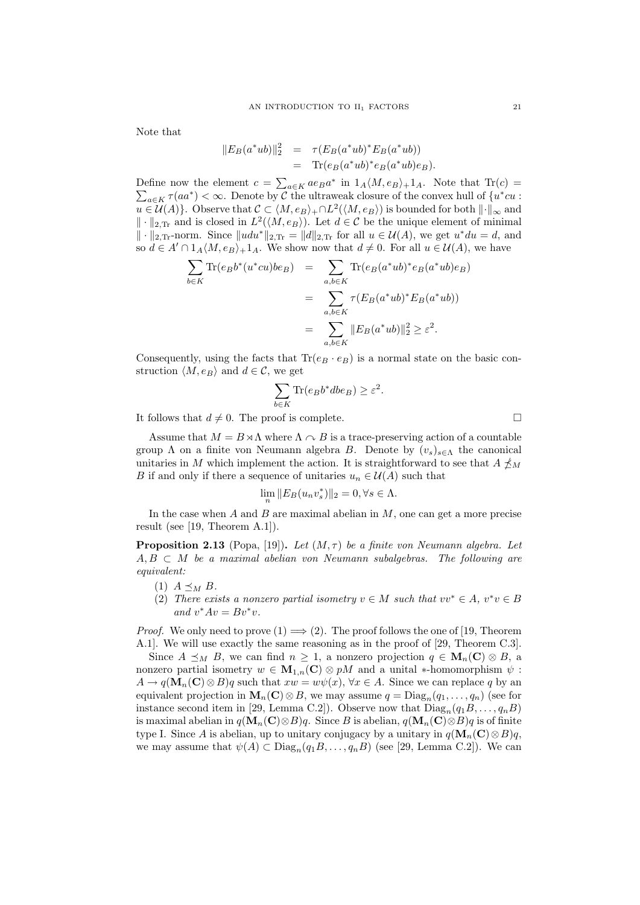Note that

$$
||E_B(a^*ub)||_2^2 = \tau(E_B(a^*ub)^* E_B(a^*ub))
$$
  
= Tr( $e_B(a^*ub)^* e_B(a^*ub)e_B$ ).

Define now the element  $c = \sum_{a \in K} a e_B a^*$  in  $1_A \langle M, e_B \rangle + 1_A$ . Note that  $\text{Tr}(c) =$  $\sum_{a \in K} \tau(aa^*) < \infty$ . Denote by C the ultraweak closure of the convex hull of  $\{u^*cu :$  $u \in \mathcal{U}(A)$ . Observe that  $\mathcal{C} \subset \langle M, e_B \rangle + \cap L^2(\langle M, e_B \rangle)$  is bounded for both  $\|\cdot\|_{\infty}$  and  $\|\cdot\|_{2,\text{Tr}}$  and is closed in  $L^2(\langle M, e_B \rangle)$ . Let  $d \in \mathcal{C}$  be the unique element of minimal  $\|\cdot\|_{2,\text{Tr}}$ -norm. Since  $\|udu^*\|_{2,\text{Tr}} = \|d\|_{2,\text{Tr}}$  for all  $u \in \mathcal{U}(A)$ , we get  $u^*du = d$ , and so  $d \in A' \cap 1_A \langle M, e_B \rangle + 1_A$ . We show now that  $d \neq 0$ . For all  $u \in \mathcal{U}(A)$ , we have

$$
\sum_{b \in K} \text{Tr}(e_B b^*(u^* cu)be_B) = \sum_{a,b \in K} \text{Tr}(e_B(a^*ub)^* e_B(a^*ub)e_B)
$$
  

$$
= \sum_{a,b \in K} \tau(E_B(a^*ub)^* E_B(a^*ub))
$$
  

$$
= \sum_{a,b \in K} ||E_B(a^*ub)||_2^2 \ge \varepsilon^2.
$$

Consequently, using the facts that  $\text{Tr}(e_B \cdot e_B)$  is a normal state on the basic construction  $\langle M, e_B \rangle$  and  $d \in \mathcal{C}$ , we get

$$
\sum_{b \in K} \text{Tr}(e_B b^* dbe_B) \ge \varepsilon^2.
$$

It follows that  $d \neq 0$ . The proof is complete.

Assume that  $M = B \times \Lambda$  where  $\Lambda \cap B$  is a trace-preserving action of a countable group  $\Lambda$  on a finite von Neumann algebra B. Denote by  $(v_s)_{s\in\Lambda}$  the canonical unitaries in M which implement the action. It is straightforward to see that  $A \npreceq_M$ B if and only if there a sequence of unitaries  $u_n \in \mathcal{U}(A)$  such that

$$
\lim_{n} \|E_B(u_n v_s^*)\|_2 = 0, \forall s \in \Lambda.
$$

In the case when  $A$  and  $B$  are maximal abelian in  $M$ , one can get a more precise result (see [19, Theorem A.1]).

**Proposition 2.13** (Popa, [19]). Let  $(M, \tau)$  be a finite von Neumann algebra. Let  $A, B \subset M$  be a maximal abelian von Neumann subalgebras. The following are equivalent:

- (1)  $A \preceq_M B$ .
- (2) There exists a nonzero partial isometry  $v \in M$  such that  $vv^* \in A$ ,  $v^*v \in B$ and  $v^*Av = Bv^*v$ .

*Proof.* We only need to prove  $(1) \Longrightarrow (2)$ . The proof follows the one of [19, Theorem A.1]. We will use exactly the same reasoning as in the proof of [29, Theorem C.3].

Since  $A \preceq_M B$ , we can find  $n \geq 1$ , a nonzero projection  $q \in M_n(C) \otimes B$ , a nonzero partial isometry  $w \in M_{1,n}(\mathbb{C}) \otimes pM$  and a unital \*-homomorphism  $\psi$ :  $A \to q(\mathbf{M}_n(\mathbf{C}) \otimes B)q$  such that  $xw = w\psi(x), \forall x \in A$ . Since we can replace q by an equivalent projection in  $\mathbf{M}_n(\mathbf{C}) \otimes B$ , we may assume  $q = \text{Diag}_n(q_1, \ldots, q_n)$  (see for instance second item in [29, Lemma C.2]). Observe now that  $Diag_n(q_1B,\ldots,q_nB)$ is maximal abelian in  $q(\mathbf{M}_n(\mathbf{C})\otimes B)q$ . Since B is abelian,  $q(\mathbf{M}_n(\mathbf{C})\otimes B)q$  is of finite type I. Since A is abelian, up to unitary conjugacy by a unitary in  $q(\mathbf{M}_n(\mathbf{C})\otimes B)q$ , we may assume that  $\psi(A) \subset \text{Diag}_n(q_1B, \ldots, q_nB)$  (see [29, Lemma C.2]). We can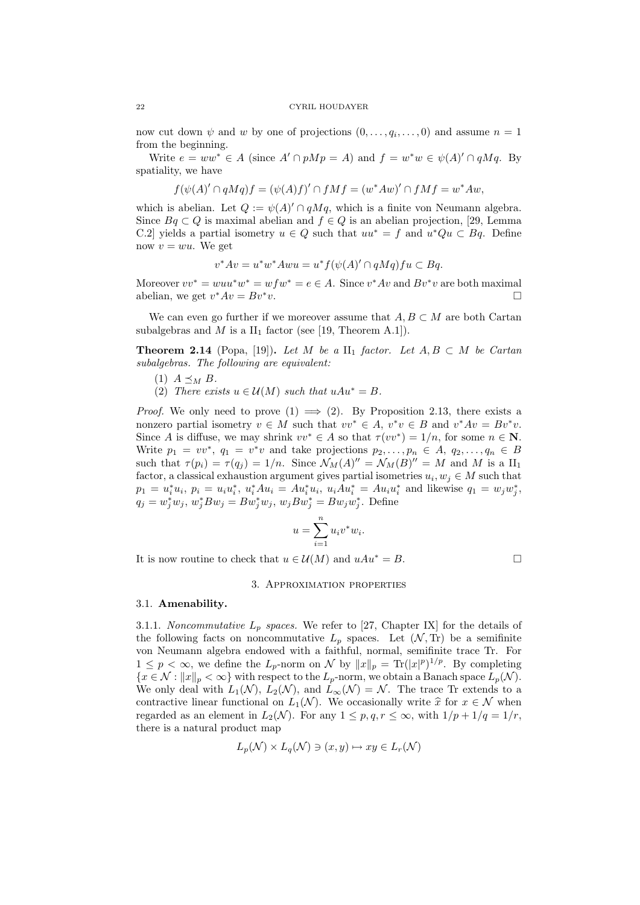#### 22 CYRIL HOUDAYER

now cut down  $\psi$  and  $w$  by one of projections  $(0, \ldots, q_i, \ldots, 0)$  and assume  $n = 1$ from the beginning.

Write  $e = ww^* \in A$  (since  $A' \cap pMp = A$ ) and  $f = w^*w \in \psi(A)' \cap qMq$ . By spatiality, we have

$$
f(\psi(A)' \cap qMq)f = (\psi(A)f)' \cap fMf = (w^*Aw)' \cap fMf = w^*Aw,
$$

which is abelian. Let  $Q := \psi(A)' \cap qMq$ , which is a finite von Neumann algebra. Since  $Bq \subset Q$  is maximal abelian and  $f \in Q$  is an abelian projection, [29, Lemma C.2 yields a partial isometry  $u \in Q$  such that  $uu^* = f$  and  $u^*Qu \subset Bq$ . Define now  $v = wu$ . We get

$$
v^*Av = u^*w^*Awu = u^*f(\psi(A)'\cap qMq)fu \subset Bq.
$$

Moreover  $vv^* = wuu^*w^* = wfw^* = e \in A$ . Since  $v^*Av$  and  $Bv^*v$  are both maximal abelian, we get  $v^*Av = Bv^*v$ .

We can even go further if we moreover assume that  $A, B \subset M$  are both Cartan subalgebras and M is a  $II_1$  factor (see [19, Theorem A.1]).

**Theorem 2.14** (Popa, [19]). Let M be a  $II_1$  factor. Let  $A, B \subset M$  be Cartan subalgebras. The following are equivalent:

- (1)  $A \preceq_M B$ .
- (2) There exists  $u \in \mathcal{U}(M)$  such that  $uAu^* = B$ .

*Proof.* We only need to prove  $(1) \implies (2)$ . By Proposition 2.13, there exists a nonzero partial isometry  $v \in M$  such that  $vv^* \in A$ ,  $v^*v \in B$  and  $v^*Av = Bv^*v$ . Since A is diffuse, we may shrink  $vv^* \in A$  so that  $\tau(vv^*) = 1/n$ , for some  $n \in \mathbb{N}$ . Write  $p_1 = vv^*$ ,  $q_1 = v^*v$  and take projections  $p_2, \ldots, p_n \in A$ ,  $q_2, \ldots, q_n \in B$ such that  $\tau(p_i) = \tau(q_j) = 1/n$ . Since  $\mathcal{N}_M(A)'' = \mathcal{N}_M(B)'' = M$  and M is a  $\text{II}_1$ factor, a classical exhaustion argument gives partial isometries  $u_i, w_j \in M$  such that  $p_1 = u_i^* u_i, p_i = u_i u_i^*, u_i^* A u_i = A u_i^* u_i, u_i A u_i^* = A u_i u_i^*$  and likewise  $q_1 = w_j w_j^*$ ,  $q_j = w_j^* w_j, w_j^* B w_j = B w_j^* w_j, w_j B w_j^* = B w_j w_j^*$ . Define

$$
u = \sum_{i=1}^{n} u_i v^* w_i.
$$

It is now routine to check that  $u \in \mathcal{U}(M)$  and  $uAu^* = B$ .

### 3. Approximation properties

### 3.1. Amenability.

3.1.1. Noncommutative  $L_p$  spaces. We refer to [27, Chapter IX] for the details of the following facts on noncommutative  $L_p$  spaces. Let  $(\mathcal{N}, \text{Tr})$  be a semifinite von Neumann algebra endowed with a faithful, normal, semifinite trace Tr. For  $1 \leq p < \infty$ , we define the  $L_p$ -norm on N by  $||x||_p = \text{Tr}(|x|^p)^{1/p}$ . By completing  ${x \in \mathcal{N} : ||x||_p < \infty}$  with respect to the  $L_p$ -norm, we obtain a Banach space  $L_p(\mathcal{N})$ . We only deal with  $L_1(\mathcal{N})$ ,  $L_2(\mathcal{N})$ , and  $L_{\infty}(\mathcal{N}) = \mathcal{N}$ . The trace Tr extends to a contractive linear functional on  $L_1(\mathcal{N})$ . We occasionally write  $\hat{x}$  for  $x \in \mathcal{N}$  when regarded as an element in  $L_2(\mathcal{N})$ . For any  $1 \leq p, q, r \leq \infty$ , with  $1/p + 1/q = 1/r$ , there is a natural product map

$$
L_p(\mathcal{N}) \times L_q(\mathcal{N}) \ni (x, y) \mapsto xy \in L_r(\mathcal{N})
$$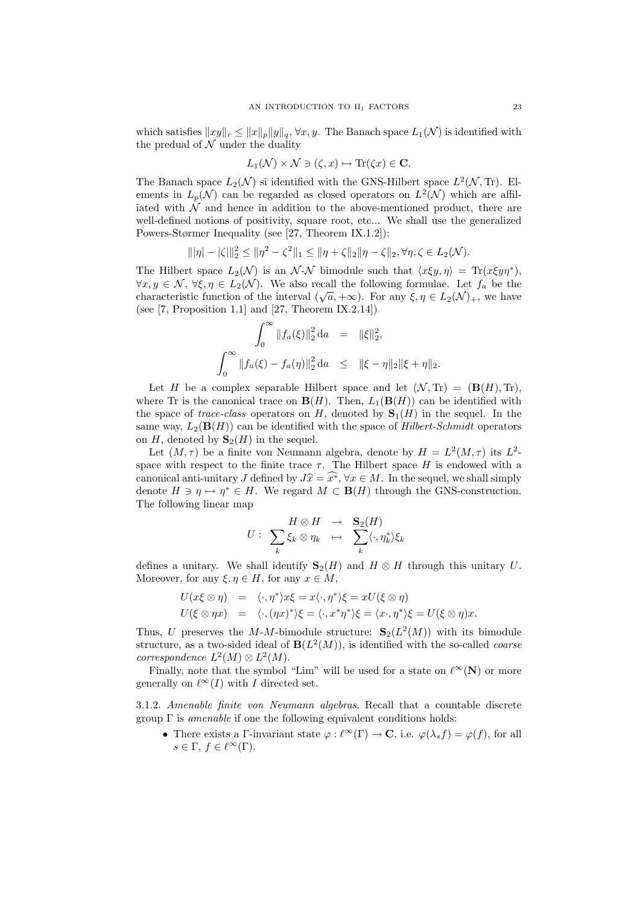which satisfies  $||xy||_r \leq ||x||_p||y||_q$ ,  $\forall x, y$ . The Banach space  $L_1(\mathcal{N})$  is identified with the predual of  $\mathcal N$  under the duality

$$
L_1(\mathcal{N}) \times \mathcal{N} \ni (\zeta, x) \mapsto \text{Tr}(\zeta x) \in \mathbf{C}.
$$

The Banach space  $L_2(\mathcal{N})$  si identified with the GNS-Hilbert space  $L^2(\mathcal{N}, T_r)$ . Elements in  $L_p(\mathcal{N})$  can be regarded as closed operators on  $L^2(\mathcal{N})$  which are affiliated with  $\mathcal N$  and hence in addition to the above-mentioned product, there are well-defined notions of positivity, square root, etc... We shall use the generalized Powers-Størmer Inequality (see [27, Theorem IX.1.2]):

$$
\|\|\eta| - |\zeta|\|_2^2 \le \|\eta^2 - \zeta^2\|_1 \le \|\eta + \zeta\|_2 \|\eta - \zeta\|_2, \forall \eta, \zeta \in L_2(\mathcal{N}).
$$

The Hilbert space  $L_2(\mathcal{N})$  is an  $\mathcal{N}\text{-}\mathcal{N}$  bimodule such that  $\langle x\xi y, \eta \rangle = \text{Tr}(x\xi y \eta^*),$  $\forall x, y \in \mathcal{N}, \forall \xi, \eta \in L_2(\mathcal{N})$ . We also recall the following formulae. Let  $f_a$  be the vx,  $y \in \mathcal{N}$ ,  $v\zeta, \eta \in L_2(\mathcal{N})$ . We also recall the intowing formulae. Let  $f_a$  be the characteristic function of the interval  $(\sqrt{a}, +\infty)$ . For any  $\xi, \eta \in L_2(\mathcal{N})_+$ , we have (see  $[7,$  Proposition 1.1] and  $[27,$  Theorem IX.2.14])

$$
\int_0^\infty \|f_a(\xi)\|_2^2 \, \mathrm{d}a = \|\xi\|_2^2,
$$
  

$$
\int_0^\infty \|f_a(\xi) - f_a(\eta)\|_2^2 \, \mathrm{d}a \le \|\xi - \eta\|_2 \|\xi + \eta\|_2.
$$

Let H be a complex separable Hilbert space and let  $(\mathcal{N}, \text{Tr}) = (\mathbf{B}(H), \text{Tr})$ . where Tr is the canonical trace on  $\mathbf{B}(H)$ . Then,  $L_1(\mathbf{B}(H))$  can be identified with the space of trace-class operators on H, denoted by  $S_1(H)$  in the sequel. In the same way,  $L_2(\mathbf{B}(H))$  can be identified with the space of Hilbert-Schmidt operators on H, denoted by  $S_2(H)$  in the sequel.

Let  $(M, \tau)$  be a finite von Neumann algebra, denote by  $H = L^2(M, \tau)$  its  $L^2$ space with respect to the finite trace  $\tau$ . The Hilbert space H is endowed with a canonical anti-unitary J defined by  $J\widehat{x} = \widehat{x^*}, \forall x \in M$ . In the sequel, we shall simply denote  $H \ni \eta \mapsto \eta^* \in H$ . We regard  $M \subset \mathbf{B}(H)$  through the GNS-construction. The following linear map

$$
U: \sum_{k} H \otimes H \rightarrow \sum_{k} (\langle \cdot, \eta_k^* \rangle \xi_k)
$$

defines a unitary. We shall identify  $S_2(H)$  and  $H \otimes H$  through this unitary U. Moreover, for any  $\xi, \eta \in H$ , for any  $x \in M$ ,

$$
U(x\xi \otimes \eta) = \langle \cdot, \eta^* \rangle x\xi = x \langle \cdot, \eta^* \rangle \xi = xU(\xi \otimes \eta)
$$
  

$$
U(\xi \otimes \eta x) = \langle \cdot, (\eta x)^* \rangle \xi = \langle \cdot, x^* \eta^* \rangle \xi = \langle x \cdot, \eta^* \rangle \xi = U(\xi \otimes \eta)x.
$$

Thus, U preserves the M-M-bimodule structure:  $S_2(L^2(M))$  with its bimodule structure, as a two-sided ideal of  $\mathbf{B}(L^2(M))$ , is identified with the so-called *coarse* correspondence  $L^2(M) \otimes L^2(M)$ .

Finally, note that the symbol "Lim" will be used for a state on  $\ell^{\infty}(\mathbf{N})$  or more generally on  $\ell^{\infty}(I)$  with I directed set.

3.1.2. Amenable finite von Neumann algebras. Recall that a countable discrete group  $\Gamma$  is *amenable* if one the following equivalent conditions holds:

• There exists a Γ-invariant state  $\varphi : \ell^{\infty}(\Gamma) \to \mathbf{C}$ , i.e.  $\varphi(\lambda_s f) = \varphi(f)$ , for all  $s \in \Gamma, f \in \ell^{\infty}(\Gamma).$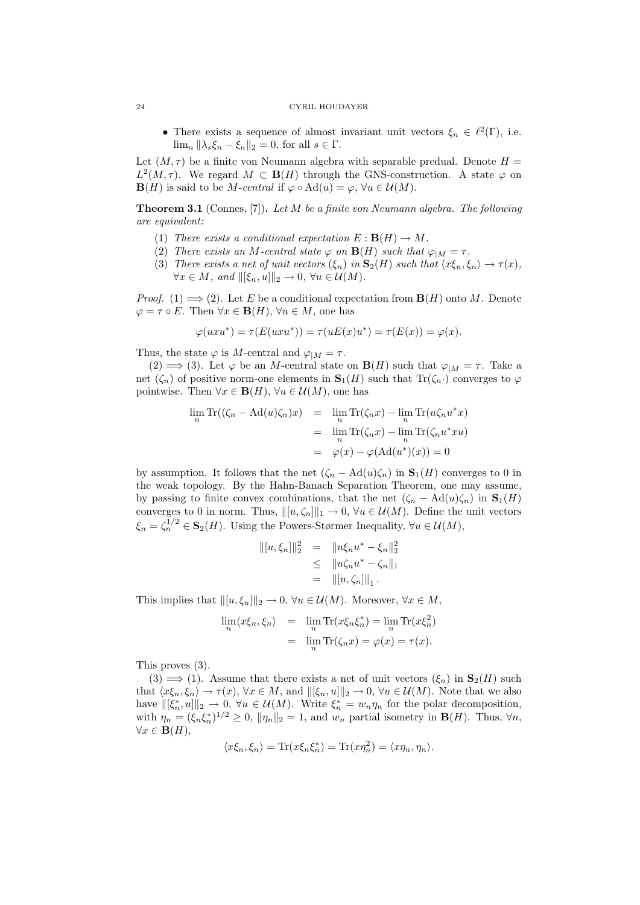### 24 CYRIL HOUDAYER

• There exists a sequence of almost invariant unit vectors  $\xi_n \in \ell^2(\Gamma)$ , i.e.  $\lim_{n} \|\lambda_{s} \xi_{n} - \xi_{n}\|_{2} = 0$ , for all  $s \in \Gamma$ .

Let  $(M, \tau)$  be a finite von Neumann algebra with separable predual. Denote  $H =$  $L^2(M, \tau)$ . We regard  $M \subset \mathbf{B}(H)$  through the GNS-construction. A state  $\varphi$  on  $\mathbf{B}(H)$  is said to be M-central if  $\varphi \circ \mathrm{Ad}(u) = \varphi$ ,  $\forall u \in \mathcal{U}(M)$ .

**Theorem 3.1** (Connes,  $[7]$ ). Let  $M$  be a finite von Neumann algebra. The following are equivalent:

- (1) There exists a conditional expectation  $E : \mathbf{B}(H) \to M$ .
- (2) There exists an M-central state  $\varphi$  on  $\mathbf{B}(H)$  such that  $\varphi_{|M} = \tau$ .
- (3) There exists a net of unit vectors  $(\xi_n)$  in  $\mathbf{S}_2(H)$  such that  $\langle x\xi_n, \xi_n \rangle \to \tau(x)$ ,  $\forall x \in M$ , and  $\|[\xi_n, u]\|_2 \to 0$ ,  $\forall u \in \mathcal{U}(M)$ .

*Proof.* (1)  $\implies$  (2). Let E be a conditional expectation from **B**(H) onto M. Denote  $\varphi = \tau \circ E$ . Then  $\forall x \in \mathbf{B}(H)$ ,  $\forall u \in M$ , one has

$$
\varphi(uxu^*) = \tau(E(uxu^*)) = \tau(uE(x)u^*) = \tau(E(x)) = \varphi(x).
$$

Thus, the state  $\varphi$  is M-central and  $\varphi_{|M} = \tau$ .

(2)  $\implies$  (3). Let  $\varphi$  be an *M*-central state on **B**(*H*) such that  $\varphi_{|M} = \tau$ . Take a net  $(\zeta_n)$  of positive norm-one elements in  $S_1(H)$  such that  $\text{Tr}(\zeta_n \cdot)$  converges to  $\varphi$ pointwise. Then  $\forall x \in \mathbf{B}(H)$ ,  $\forall u \in \mathcal{U}(M)$ , one has

$$
\lim_{n} \text{Tr}((\zeta_{n} - \text{Ad}(u)\zeta_{n})x) = \lim_{n} \text{Tr}(\zeta_{n}x) - \lim_{n} \text{Tr}(u\zeta_{n}u^{*}x)
$$

$$
= \lim_{n} \text{Tr}(\zeta_{n}x) - \lim_{n} \text{Tr}(\zeta_{n}u^{*}xu)
$$

$$
= \varphi(x) - \varphi(\text{Ad}(u^{*})(x)) = 0
$$

by assumption. It follows that the net  $(\zeta_n - \mathrm{Ad}(u)\zeta_n)$  in  $\mathbf{S}_1(H)$  converges to 0 in the weak topology. By the Hahn-Banach Separation Theorem, one may assume, by passing to finite convex combinations, that the net  $(\zeta_n - \mathrm{Ad}(u)\zeta_n)$  in  $\mathbf{S}_1(H)$ converges to 0 in norm. Thus,  $\|[u,\zeta_n]\|_1 \to 0$ ,  $\forall u \in \mathcal{U}(M)$ . Define the unit vectors  $\xi_n = \zeta_n^{1/2} \in \mathbf{S}_2(H)$ . Using the Powers-Størmer Inequality,  $\forall u \in \mathcal{U}(M)$ ,

$$
||[u, \xi_n]||_2^2 = ||u\xi_n u^* - \xi_n||_2^2
$$
  
\n
$$
\leq ||u\zeta_n u^* - \zeta_n||_1
$$
  
\n
$$
= ||[u, \zeta_n]||_1.
$$

This implies that  $\|[u, \xi_n]\|_2 \to 0$ ,  $\forall u \in \mathcal{U}(M)$ . Moreover,  $\forall x \in M$ ,

$$
\lim_{n} \langle x\xi_n, \xi_n \rangle = \lim_{n} \text{Tr}(x\xi_n \xi_n^*) = \lim_{n} \text{Tr}(x\xi_n^2) \n= \lim_{n} \text{Tr}(\zeta_n x) = \varphi(x) = \tau(x).
$$

This proves (3).

 $(3) \implies (1)$ . Assume that there exists a net of unit vectors  $(\xi_n)$  in  $S_2(H)$  such that  $\langle x\xi_n, \xi_n \rangle \to \tau(x), \forall x \in M$ , and  $\|\xi_n, u\|_2 \to 0, \forall u \in \mathcal{U}(M)$ . Note that we also have  $\|[ \xi_n^*, u] \|_2 \to 0$ ,  $\forall u \in \mathcal{U}(M)$ . Write  $\xi_n^* = w_n \eta_n$  for the polar decomposition, with  $\eta_n = (\xi_n \xi_n^*)^{1/2} \geq 0$ ,  $\|\eta_n\|_2 = 1$ , and  $w_n$  partial isometry in  $\mathbf{B}(H)$ . Thus,  $\forall n$ ,  $\forall x \in \mathbf{B}(H),$ 

$$
\langle x\xi_n, \xi_n \rangle = \text{Tr}(x\xi_n \xi_n^*) = \text{Tr}(x\eta_n^2) = \langle x\eta_n, \eta_n \rangle.
$$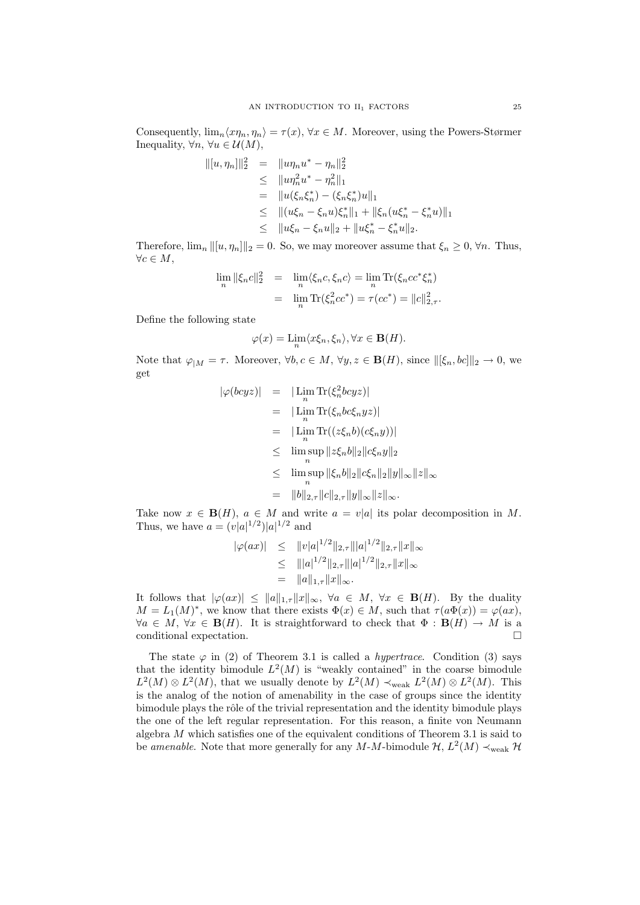Consequently,  $\lim_{n} \langle x \eta_n, \eta_n \rangle = \tau(x), \forall x \in M$ . Moreover, using the Powers-Størmer Inequality,  $\forall n, \forall u \in \mathcal{U}(M)$ ,

$$
||[u, \eta_n]||_2^2 = ||u\eta_n u^* - \eta_n||_2^2
$$
  
\n
$$
\leq ||u\eta_n^2 u^* - \eta_n^2||_1
$$
  
\n
$$
= ||u(\xi_n \xi_n^*) - (\xi_n \xi_n^*)u||_1
$$
  
\n
$$
\leq ||(u\xi_n - \xi_n u)\xi_n^*||_1 + ||\xi_n(u\xi_n^* - \xi_n^*u)||_1
$$
  
\n
$$
\leq ||u\xi_n - \xi_n u||_2 + ||u\xi_n^* - \xi_n^*u||_2.
$$

Therefore,  $\lim_{n} ||[u, \eta_n]||_2 = 0$ . So, we may moreover assume that  $\xi_n \geq 0$ ,  $\forall n$ . Thus,  $\forall c \in M,$ 

$$
\lim_{n} \|\xi_n c\|_2^2 = \lim_{n} \langle \xi_n c, \xi_n c \rangle = \lim_{n} \text{Tr}(\xi_n c c^* \xi_n^*)
$$

$$
= \lim_{n} \text{Tr}(\xi_n^2 c c^*) = \tau (c c^*) = ||c||_{2,\tau}^2.
$$

Define the following state

$$
\varphi(x) = \lim_{n} \langle x\xi_n, \xi_n \rangle, \forall x \in \mathbf{B}(H).
$$

Note that  $\varphi_{|M} = \tau$ . Moreover,  $\forall b, c \in M$ ,  $\forall y, z \in \mathbf{B}(H)$ , since  $\|\[\xi_n, bc\]\|_2 \to 0$ , we get

$$
\begin{array}{rcl}\n|\varphi(bcyz)| & = & |\operatorname{Lim} \operatorname{Tr}(\xi_n^2 bcyz)| \\
 & = & |\operatorname{Lim} \operatorname{Tr}(\xi_n b c \xi_n y z)| \\
 & = & |\operatorname{Lim} \operatorname{Tr}((z \xi_n b)(c \xi_n y))| \\
 & \leq & \operatorname{lim} \sup_n ||z \xi_n b||_2 ||c \xi_n y||_2 \\
 & \leq & \operatorname{lim} \sup_n ||\xi_n b||_2 ||c \xi_n ||_2 ||y||_\infty ||z||_\infty \\
 & = & ||b||_{2,\tau} ||c||_{2,\tau} ||y||_\infty ||z||_\infty.\n\end{array}
$$

Take now  $x \in \mathbf{B}(H)$ ,  $a \in M$  and write  $a = v|a|$  its polar decomposition in M. Thus, we have  $a = (v|a|^{1/2})|a|^{1/2}$  and

$$
|\varphi(ax)| \leq ||v|a|^{1/2}||_{2,\tau}|||a|^{1/2}||_{2,\tau}||x||_{\infty}
$$
  
\n
$$
\leq |||a|^{1/2}||_{2,\tau}|||a|^{1/2}||_{2,\tau}||x||_{\infty}
$$
  
\n
$$
= ||a||_{1,\tau}||x||_{\infty}.
$$

It follows that  $|\varphi(ax)| \leq ||a||_{1,\tau} ||x||_{\infty}, \forall a \in M, \forall x \in \mathbf{B}(H)$ . By the duality  $M = L_1(M)^*$ , we know that there exists  $\Phi(x) \in M$ , such that  $\tau(a\Phi(x)) = \varphi(ax)$ ,  $\forall a \in M, \forall x \in \mathbf{B}(H)$ . It is straightforward to check that  $\Phi : \mathbf{B}(H) \to M$  is a conditional expectation.

The state  $\varphi$  in (2) of Theorem 3.1 is called a *hypertrace*. Condition (3) says that the identity bimodule  $L^2(M)$  is "weakly contained" in the coarse bimodule  $L^2(M) \otimes L^2(M)$ , that we usually denote by  $L^2(M) \prec_{weak} L^2(M) \otimes L^2(M)$ . This is the analog of the notion of amenability in the case of groups since the identity bimodule plays the rôle of the trivial representation and the identity bimodule plays the one of the left regular representation. For this reason, a finite von Neumann algebra  $M$  which satisfies one of the equivalent conditions of Theorem 3.1 is said to be amenable. Note that more generally for any M-M-bimodule  $\mathcal{H}, L^2(M) \prec_{weak} \mathcal{H}$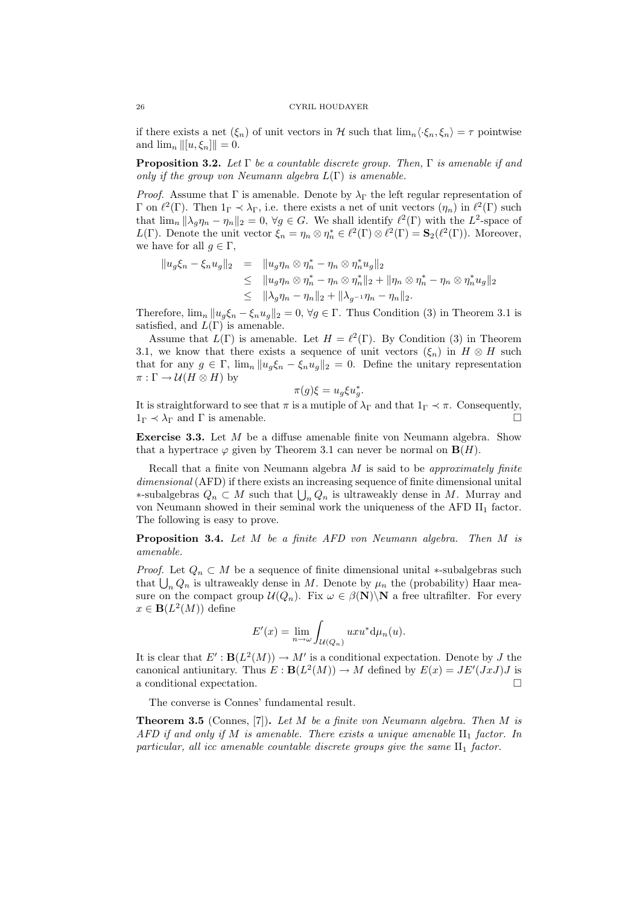if there exists a net  $(\xi_n)$  of unit vectors in H such that  $\lim_n \langle \cdot \xi_n, \xi_n \rangle = \tau$  pointwise and  $\lim_{n} \| [u, \xi_n] \| = 0.$ 

**Proposition 3.2.** Let  $\Gamma$  be a countable discrete group. Then,  $\Gamma$  is amenable if and only if the group von Neumann algebra  $L(\Gamma)$  is amenable.

*Proof.* Assume that Γ is amenable. Denote by  $\lambda_{\Gamma}$  the left regular representation of Γ on  $\ell^2$ (Γ). Then 1<sub>Γ</sub>  $\prec \lambda$ <sub>Γ</sub>, i.e. there exists a net of unit vectors  $(η_n)$  in  $\ell^2$ (Γ) such that  $\lim_{n} ||\lambda_g \eta_n - \eta_n||_2 = 0$ ,  $\forall g \in G$ . We shall identify  $\ell^2(\Gamma)$  with the  $L^2$ -space of L(Γ). Denote the unit vector  $\xi_n = \eta_n \otimes \eta_n^* \in \ell^2(\Gamma) \otimes \ell^2(\Gamma) = \mathbf{S}_2(\ell^2(\Gamma))$ . Moreover, we have for all  $g \in \Gamma$ ,

$$
||u_g\xi_n - \xi_n u_g||_2 = ||u_g \eta_n \otimes \eta_n^* - \eta_n \otimes \eta_n^* u_g||_2
$$
  
\n
$$
\leq ||u_g \eta_n \otimes \eta_n^* - \eta_n \otimes \eta_n^*||_2 + ||\eta_n \otimes \eta_n^* - \eta_n \otimes \eta_n^* u_g||_2
$$
  
\n
$$
\leq ||\lambda_g \eta_n - \eta_n||_2 + ||\lambda_{g^{-1}} \eta_n - \eta_n||_2.
$$

Therefore,  $\lim_{n} ||u_g \xi_n - \xi_n u_g||_2 = 0$ ,  $\forall g \in \Gamma$ . Thus Condition (3) in Theorem 3.1 is satisfied, and  $L(\Gamma)$  is amenable.

Assume that  $L(\Gamma)$  is amenable. Let  $H = \ell^2(\Gamma)$ . By Condition (3) in Theorem 3.1, we know that there exists a sequence of unit vectors  $(\xi_n)$  in  $H \otimes H$  such that for any  $g \in \Gamma$ ,  $\lim_{n} ||u_g \xi_n - \xi_n u_g||_2 = 0$ . Define the unitary representation  $\pi : \Gamma \to \mathcal{U}(H \otimes H)$  by

$$
\pi(g)\xi = u_g \xi u_g^*.
$$

It is straightforward to see that  $\pi$  is a mutiple of  $\lambda_{\Gamma}$  and that  $1_{\Gamma} \prec \pi$ . Consequently,  $1_{\Gamma} \prec \lambda_{\Gamma}$  and  $\Gamma$  is amenable.

Exercise 3.3. Let M be a diffuse amenable finite von Neumann algebra. Show that a hypertrace  $\varphi$  given by Theorem 3.1 can never be normal on  $\mathbf{B}(H)$ .

Recall that a finite von Neumann algebra  $M$  is said to be approximately finite dimensional (AFD) if there exists an increasing sequence of finite dimensional unital ∗-subalgebras  $Q_n \subset M$  such that  $\bigcup_n Q_n$  is ultraweakly dense in M. Murray and von Neumann showed in their seminal work the uniqueness of the AFD  $II_1$  factor. The following is easy to prove.

Proposition 3.4. Let M be a finite AFD von Neumann algebra. Then M is amenable.

*Proof.* Let  $Q_n \subset M$  be a sequence of finite dimensional unital ∗-subalgebras such that  $\bigcup_n Q_n$  is ultraweakly dense in M. Denote by  $\mu_n$  the (probability) Haar measure on the compact group  $\mathcal{U}(Q_n)$ . Fix  $\omega \in \beta(\mathbf{N})\backslash\mathbf{N}$  a free ultrafilter. For every  $x \in \mathbf{B}(L^2(M))$  define

$$
E'(x) = \lim_{n \to \omega} \int_{\mathcal{U}(Q_n)} uxu^* d\mu_n(u).
$$

It is clear that  $E': \mathbf{B}(L^2(M)) \to M'$  is a conditional expectation. Denote by J the canonical antiunitary. Thus  $E : B(L^2(M)) \to M$  defined by  $E(x) = JE'(JxJ)J$  is a conditional expectation.

The converse is Connes' fundamental result.

**Theorem 3.5** (Connes, [7]). Let  $M$  be a finite von Neumann algebra. Then  $M$  is AFD if and only if M is amenable. There exists a unique amenable  $II_1$  factor. In particular, all icc amenable countable discrete groups give the same  $II_1$  factor.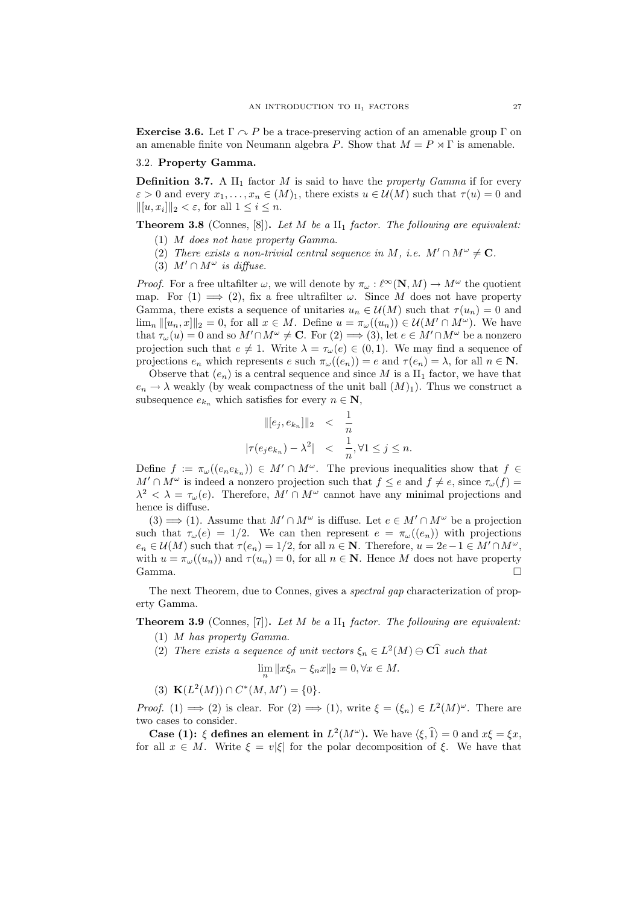**Exercise 3.6.** Let  $\Gamma \cap P$  be a trace-preserving action of an amenable group  $\Gamma$  on an amenable finite von Neumann algebra P. Show that  $M = P \rtimes \Gamma$  is amenable.

### 3.2. Property Gamma.

**Definition 3.7.** A  $II_1$  factor M is said to have the *property Gamma* if for every  $\varepsilon > 0$  and every  $x_1, \ldots, x_n \in (M)_1$ , there exists  $u \in \mathcal{U}(M)$  such that  $\tau(u) = 0$  and  $\|[u, x_i]\|_2 < \varepsilon$ , for all  $1 \leq i \leq n$ .

**Theorem 3.8** (Connes, [8]). Let M be a  $II_1$  factor. The following are equivalent:

- (1) M does not have property Gamma.
- (2) There exists a non-trivial central sequence in M, i.e.  $M' \cap M^{\omega} \neq \mathbf{C}$ .
- (3)  $M' \cap M^{\omega}$  is diffuse.

*Proof.* For a free ultafilter  $\omega$ , we will denote by  $\pi_{\omega} : \ell^{\infty}(\mathbf{N}, M) \to M^{\omega}$  the quotient map. For  $(1) \implies (2)$ , fix a free ultrafilter  $\omega$ . Since M does not have property Gamma, there exists a sequence of unitaries  $u_n \in \mathcal{U}(M)$  such that  $\tau(u_n) = 0$  and  $\lim_{n} ||[u_n, x]||_2 = 0$ , for all  $x \in M$ . Define  $u = \pi_\omega((u_n)) \in \mathcal{U}(M' \cap M^\omega)$ . We have that  $\tau_{\omega}(u) = 0$  and so  $M' \cap M^{\omega} \neq \mathbb{C}$ . For  $(2) \implies (3)$ , let  $e \in M' \cap M^{\omega}$  be a nonzero projection such that  $e \neq 1$ . Write  $\lambda = \tau_{\omega}(e) \in (0, 1)$ . We may find a sequence of projections  $e_n$  which represents  $e$  such  $\pi_\omega((e_n)) = e$  and  $\tau(e_n) = \lambda$ , for all  $n \in \mathbb{N}$ .

Observe that  $(e_n)$  is a central sequence and since M is a  $II_1$  factor, we have that  $e_n \to \lambda$  weakly (by weak compactness of the unit ball  $(M)_1$ ). Thus we construct a subsequence  $e_{k_n}$  which satisfies for every  $n \in \mathbb{N}$ ,

$$
\begin{aligned}\n||[e_j, e_{k_n}]||_2 &< \frac{1}{n} \\
|\tau(e_j e_{k_n}) - \lambda^2| &< \frac{1}{n}, \forall 1 \le j \le n.\n\end{aligned}
$$

Define  $f := \pi_{\omega}((e_n e_{k_n})) \in M' \cap M^{\omega}$ . The previous inequalities show that  $f \in$  $M' \cap M^{\omega}$  is indeed a nonzero projection such that  $f \leq e$  and  $f \neq e$ , since  $\tau_{\omega}(f) =$  $\lambda^2 < \lambda = \tau_{\omega}(e)$ . Therefore,  $M' \cap M^{\omega}$  cannot have any minimal projections and hence is diffuse.

 $(3) \Longrightarrow (1)$ . Assume that  $M' \cap M^{\omega}$  is diffuse. Let  $e \in M' \cap M^{\omega}$  be a projection such that  $\tau_{\omega}(e) = 1/2$ . We can then represent  $e = \pi_{\omega}((e_n))$  with projections  $e_n \in \mathcal{U}(M)$  such that  $\tau(e_n) = 1/2$ , for all  $n \in \mathbb{N}$ . Therefore,  $u = 2e - 1 \in M' \cap M^\omega$ , with  $u = \pi_{\omega}((u_n))$  and  $\tau(u_n) = 0$ , for all  $n \in \mathbb{N}$ . Hence M does not have property Gamma.

The next Theorem, due to Connes, gives a spectral gap characterization of property Gamma.

**Theorem 3.9** (Connes, [7]). Let M be a  $\text{II}_1$  factor. The following are equivalent:

- (1) M has property Gamma.
- (2) There exists a sequence of unit vectors  $\xi_n \in L^2(M) \ominus \mathbb{C} \hat{1}$  such that

$$
\lim_{n} \|x\xi_n - \xi_n x\|_2 = 0, \forall x \in M.
$$

(3)  $\mathbf{K}(L^2(M)) \cap C^*(M, M') = \{0\}.$ 

*Proof.* (1)  $\implies$  (2) is clear. For (2)  $\implies$  (1), write  $\xi = (\xi_n) \in L^2(M)^\omega$ . There are two cases to consider.

**Case (1):**  $\xi$  defines an element in  $L^2(M^{\omega})$ . We have  $\langle \xi, \hat{1} \rangle = 0$  and  $x\xi = \xi x$ , for all  $x \in M$ . Write  $\xi = v|\xi|$  for the polar decomposition of  $\xi$ . We have that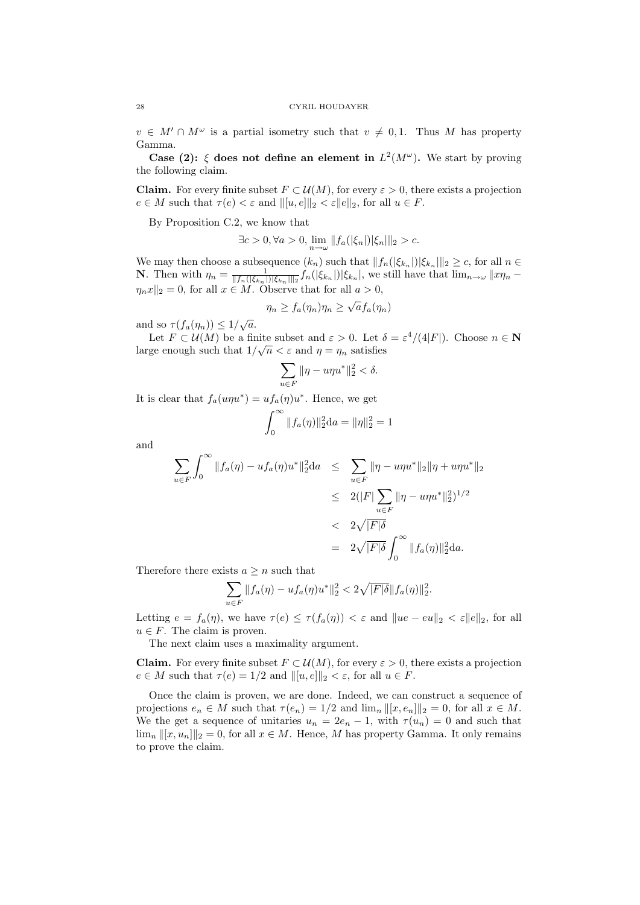$v \in M' \cap M^{\omega}$  is a partial isometry such that  $v \neq 0, 1$ . Thus M has property Gamma.

Case (2):  $\xi$  does not define an element in  $L^2(M^{\omega})$ . We start by proving the following claim.

**Claim.** For every finite subset  $F \subset \mathcal{U}(M)$ , for every  $\varepsilon > 0$ , there exists a projection  $e \in M$  such that  $\tau(e) < \varepsilon$  and  $\| [u, e] \|_2 < \varepsilon \| e \|_2$ , for all  $u \in F$ .

By Proposition C.2, we know that

$$
\exists c > 0, \forall a > 0, \lim_{n \to \omega} ||f_a(|\xi_n|) |\xi_n||_2 > c.
$$

We may then choose a subsequence  $(k_n)$  such that  $||f_n(|\xi_{k_n}|)|\xi_{k_n}||_2 \geq c$ , for all  $n \in$ **N**. Then with  $\eta_n = \frac{1}{||f_n(|\xi_{k_n}|)||\xi_{k_n}||_2} f_n(|\xi_{k_n}|) |\xi_{k_n}|$ , we still have that  $\lim_{n\to\infty} ||x\eta_n \eta_n x \rVert_2 = 0$ , for all  $x \in M$ . Observe that for all  $a > 0$ ,

$$
\eta_n \ge f_a(\eta_n)\eta_n \ge \sqrt{a}f_a(\eta_n)
$$

and so  $\tau(f_a(\eta_n)) \leq 1/\sqrt{a}$ .

Let  $F \subset \mathcal{U}(M)$  be a finite subset and  $\varepsilon > 0$ . Let  $\delta = \varepsilon^4/(4|F|)$ . Choose  $n \in \mathbb{N}$ large enough such that  $1/\sqrt{n} < \varepsilon$  and  $\eta = \eta_n$  satisfies

$$
\sum_{u \in F} \|\eta - u\eta u^*\|_2^2 < \delta.
$$

It is clear that  $f_a(u\eta u^*) = uf_a(\eta)u^*$ . Hence, we get

$$
\int_0^\infty \|f_a(\eta)\|_2^2 \mathrm{d}a = \|\eta\|_2^2 = 1
$$

and

$$
\sum_{u \in F} \int_0^\infty \|f_a(\eta) - uf_a(\eta)u^*\|_2^2 da \le \sum_{u \in F} \|\eta - u\eta u^*\|_2 \|\eta + u\eta u^*\|_2
$$
  
\n
$$
\le 2(|F| \sum_{u \in F} \|\eta - u\eta u^*\|_2^2)^{1/2}
$$
  
\n
$$
< 2\sqrt{|F|\delta}
$$
  
\n
$$
= 2\sqrt{|F|\delta} \int_0^\infty \|f_a(\eta)\|_2^2 da.
$$

Therefore there exists  $a \geq n$  such that

$$
\sum_{u \in F} ||f_a(\eta) - u f_a(\eta) u^*||_2^2 < 2\sqrt{|F|\delta} ||f_a(\eta)||_2^2.
$$

Letting  $e = f_a(\eta)$ , we have  $\tau(e) \leq \tau(f_a(\eta)) < \varepsilon$  and  $\|ue - eu\|_2 < \varepsilon \|e\|_2$ , for all  $u \in F$ . The claim is proven.

The next claim uses a maximality argument.

**Claim.** For every finite subset  $F \subset \mathcal{U}(M)$ , for every  $\varepsilon > 0$ , there exists a projection  $e \in M$  such that  $\tau(e) = 1/2$  and  $||[u, e]||_2 < \varepsilon$ , for all  $u \in F$ .

Once the claim is proven, we are done. Indeed, we can construct a sequence of projections  $e_n \in M$  such that  $\tau(e_n) = 1/2$  and  $\lim_n ||[x, e_n]||_2 = 0$ , for all  $x \in M$ . We the get a sequence of unitaries  $u_n = 2e_n - 1$ , with  $\tau(u_n) = 0$  and such that  $\lim_{n} ||[x, u_n]||_2 = 0$ , for all  $x \in M$ . Hence, M has property Gamma. It only remains to prove the claim.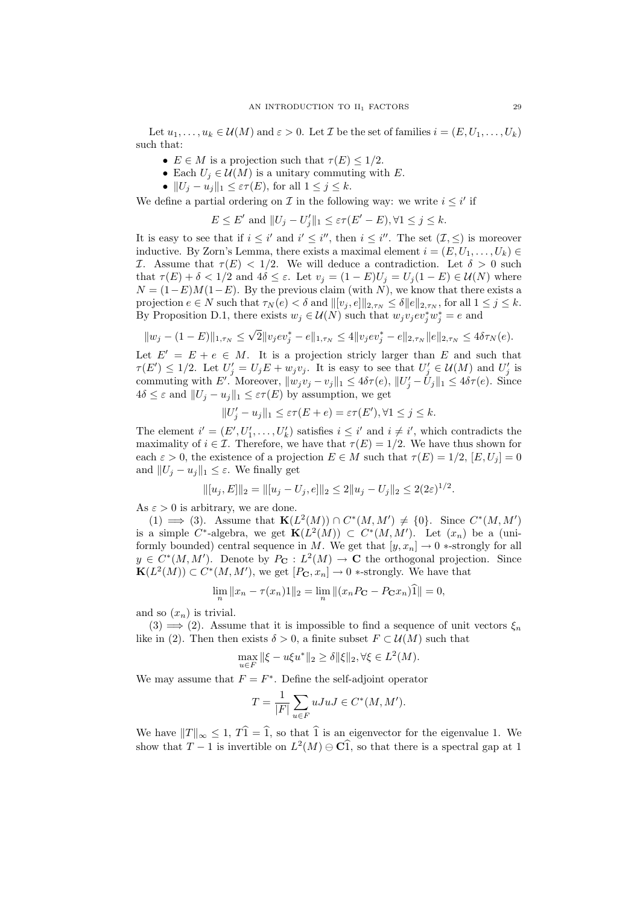Let  $u_1, \ldots, u_k \in \mathcal{U}(M)$  and  $\varepsilon > 0$ . Let T be the set of families  $i = (E, U_1, \ldots, U_k)$ such that:

- $E \in M$  is a projection such that  $\tau(E) \leq 1/2$ .
- Each  $U_i \in \mathcal{U}(M)$  is a unitary commuting with E.
- $||U_i u_i||_1 \leq \varepsilon \tau(E)$ , for all  $1 \leq j \leq k$ .

We define a partial ordering on  $\mathcal I$  in the following way: we write  $i \leq i'$  if

$$
E \le E' \text{ and } ||U_j - U'_j||_1 \le \varepsilon \tau(E' - E), \forall 1 \le j \le k.
$$

It is easy to see that if  $i \leq i'$  and  $i' \leq i''$ , then  $i \leq i''$ . The set  $(\mathcal{I}, \leq)$  is moreover inductive. By Zorn's Lemma, there exists a maximal element  $i = (E, U_1, \ldots, U_k) \in$ I. Assume that  $\tau(E) < 1/2$ . We will deduce a contradiction. Let  $\delta > 0$  such that  $\tau(E) + \delta < 1/2$  and  $4\delta \leq \varepsilon$ . Let  $v_j = (1 - E)U_j = U_j(1 - E) \in \mathcal{U}(N)$  where  $N = (1-E)M(1-E)$ . By the previous claim (with N), we know that there exists a projection  $e \in N$  such that  $\tau_N(e) < \delta$  and  $||[v_i, e]||_{2,\tau_N} \leq \delta ||e||_{2,\tau_N}$ , for all  $1 \leq j \leq k$ . By Proposition D.1, there exists  $w_j \in \mathcal{U}(N)$  such that  $w_j v_j e v_j^* w_j^* = e$  and

$$
||w_j - (1 - E)||_{1, \tau_N} \le \sqrt{2} ||v_j ev_j^* - e||_{1, \tau_N} \le 4 ||v_j ev_j^* - e||_{2, \tau_N} ||e||_{2, \tau_N} \le 4\delta \tau_N(e).
$$

Let  $E' = E + e \in M$ . It is a projection stricly larger than E and such that  $\tau(E') \leq 1/2$ . Let  $U'_j = U_j E + w_j v_j$ . It is easy to see that  $U'_j \in \mathcal{U}(M)$  and  $U'_j$  is commuting with E'. Moreover,  $||w_jv_j - v_j||_1 \leq 4\delta\tau(e)$ ,  $||U'_j - U_j||_1 \leq 4\delta\tau(e)$ . Since  $4\delta \leq \varepsilon$  and  $||U_i - u_j||_1 \leq \varepsilon \tau(E)$  by assumption, we get

$$
||U'_j - u_j||_1 \le \varepsilon \tau(E + e) = \varepsilon \tau(E'), \forall 1 \le j \le k.
$$

The element  $i' = (E', U'_1, \ldots, U'_k)$  satisfies  $i \leq i'$  and  $i \neq i'$ , which contradicts the maximality of  $i \in \mathcal{I}$ . Therefore, we have that  $\tau(E) = 1/2$ . We have thus shown for each  $\varepsilon > 0$ , the existence of a projection  $E \in M$  such that  $\tau(E) = 1/2$ ,  $[E, U_i] = 0$ and  $||U_i - u_j||_1 \leq \varepsilon$ . We finally get

$$
\| [u_j, E] \|_2 = \| [u_j - U_j, e] \|_2 \le 2 \| u_j - U_j \|_2 \le 2(2\varepsilon)^{1/2}.
$$

As  $\varepsilon > 0$  is arbitrary, we are done.

(1)  $\implies$  (3). Assume that  $\mathbf{K}(L^2(M)) \cap C^*(M, M') \neq \{0\}$ . Since  $C^*(M, M')$ is a simple C<sup>\*</sup>-algebra, we get  $\mathbf{K}(L^2(M)) \subset C^*(M, M')$ . Let  $(x_n)$  be a (uniformly bounded) central sequence in M. We get that  $[y, x_n] \to 0$  \*-strongly for all  $y \in C^*(M, M')$ . Denote by  $P_{\mathbf{C}}: L^2(M) \to \mathbf{C}$  the orthogonal projection. Since  $\mathbf{K}(L^2(M)) \subset C^*(M, M'),$  we get  $[P_{\mathbf{C}}, x_n] \to 0$  \*-strongly. We have that

$$
\lim_{n} \|x_{n} - \tau(x_{n})\mathbf{1}\|_{2} = \lim_{n} \| (x_{n}P_{\mathbf{C}} - P_{\mathbf{C}}x_{n})\mathbf{\hat{1}} \| = 0,
$$

and so  $(x_n)$  is trivial.

 $(3) \implies (2)$ . Assume that it is impossible to find a sequence of unit vectors  $\xi_n$ like in (2). Then then exists  $\delta > 0$ , a finite subset  $F \subset \mathcal{U}(M)$  such that

$$
\max_{u \in F} \|\xi - u\xi u^*\|_2 \ge \delta \|\xi\|_2, \forall \xi \in L^2(M).
$$

We may assume that  $F = F^*$ . Define the self-adjoint operator

$$
T = \frac{1}{|F|} \sum_{u \in F} uJuJ \in C^*(M, M').
$$

We have  $||T||_{\infty} \leq 1$ ,  $T\hat{1} = \hat{1}$ , so that  $\hat{1}$  is an eigenvector for the eigenvalue 1. We show that  $T-1$  is invertible on  $L^2(M) \ominus \overline{Cl}$ , so that there is a spectral gap at 1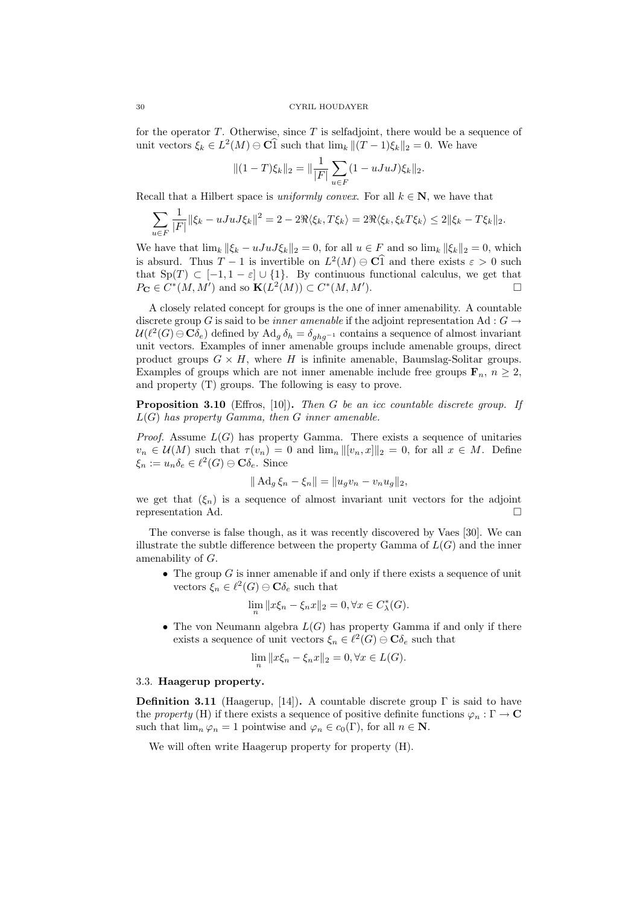for the operator  $T$ . Otherwise, since  $T$  is selfadjoint, there would be a sequence of unit vectors  $\xi_k \in L^2(M) \ominus \mathbb{C} \widehat{1}$  such that  $\lim_k ||(T-1)\xi_k||_2 = 0$ . We have

$$
||(1-T)\xi_k||_2 = ||\frac{1}{|F|}\sum_{u\in F} (1 - uJuJ)\xi_k||_2.
$$

Recall that a Hilbert space is *uniformly convex*. For all  $k \in \mathbb{N}$ , we have that

$$
\sum_{u \in F} \frac{1}{|F|} \|\xi_k - uJuJ\xi_k\|^2 = 2 - 2\Re\langle \xi_k, T\xi_k \rangle = 2\Re\langle \xi_k, \xi_k T\xi_k \rangle \le 2\|\xi_k - T\xi_k\|_2.
$$

We have that  $\lim_k \|\xi_k - uJuJ\xi_k\|_2 = 0$ , for all  $u \in F$  and so  $\lim_k \|\xi_k\|_2 = 0$ , which is absurd. Thus  $T - 1$  is invertible on  $L^2(M) \ominus \widehat{Cl}$  and there exists  $\varepsilon > 0$  such that  $\text{Sp}(T) \subset [-1, 1-\varepsilon] \cup \{1\}$ . By continuous functional calculus, we get that  $P_{\mathbf{C}} \in C^*(M, M')$  and so  $\mathbf{K}(L^2(M)) \subset C^*(M, M')$  $\Box$ 

A closely related concept for groups is the one of inner amenability. A countable discrete group G is said to be *inner amenable* if the adjoint representation Ad :  $G \rightarrow$  $\mathcal{U}(\ell^2(G) \ominus \mathbf{C}\delta_e)$  defined by  $\text{Ad}_g \,\delta_h = \delta_{ghg^{-1}}$  contains a sequence of almost invariant unit vectors. Examples of inner amenable groups include amenable groups, direct product groups  $G \times H$ , where H is infinite amenable, Baumslag-Solitar groups. Examples of groups which are not inner amenable include free groups  $\mathbf{F}_n$ ,  $n \geq 2$ , and property (T) groups. The following is easy to prove.

Proposition 3.10 (Effros, [10]). Then G be an icc countable discrete group. If  $L(G)$  has property Gamma, then G inner amenable.

*Proof.* Assume  $L(G)$  has property Gamma. There exists a sequence of unitaries  $v_n \in \mathcal{U}(M)$  such that  $\tau(v_n) = 0$  and  $\lim_n ||[v_n, x]||_2 = 0$ , for all  $x \in M$ . Define  $\xi_n := u_n \delta_e \in \ell^2(G) \ominus \mathbf{C} \delta_e$ . Since

$$
\|\mathrm{Ad}_g \,\xi_n - \xi_n\| = \|u_g v_n - v_n u_g\|_2,
$$

we get that  $(\xi_n)$  is a sequence of almost invariant unit vectors for the adjoint representation Ad.

The converse is false though, as it was recently discovered by Vaes [30]. We can illustrate the subtle difference between the property Gamma of  $L(G)$  and the inner amenability of G.

• The group  $G$  is inner amenable if and only if there exists a sequence of unit vectors  $\xi_n \in \ell^2(G) \ominus \mathbf{C} \delta_e$  such that

$$
\lim_{n} \|x\xi_n - \xi_n x\|_2 = 0, \forall x \in C_{\lambda}^*(G).
$$

• The von Neumann algebra  $L(G)$  has property Gamma if and only if there exists a sequence of unit vectors  $\xi_n \in \ell^2(G) \ominus \mathbf{C} \delta_e$  such that

$$
\lim_{n} \|x\xi_n - \xi_n x\|_2 = 0, \forall x \in L(G).
$$

### 3.3. Haagerup property.

**Definition 3.11** (Haagerup, [14]). A countable discrete group  $\Gamma$  is said to have the property (H) if there exists a sequence of positive definite functions  $\varphi_n : \Gamma \to \mathbb{C}$ such that  $\lim_{n \to \infty} \varphi_n = 1$  pointwise and  $\varphi_n \in c_0(\Gamma)$ , for all  $n \in \mathbb{N}$ .

We will often write Haagerup property for property (H).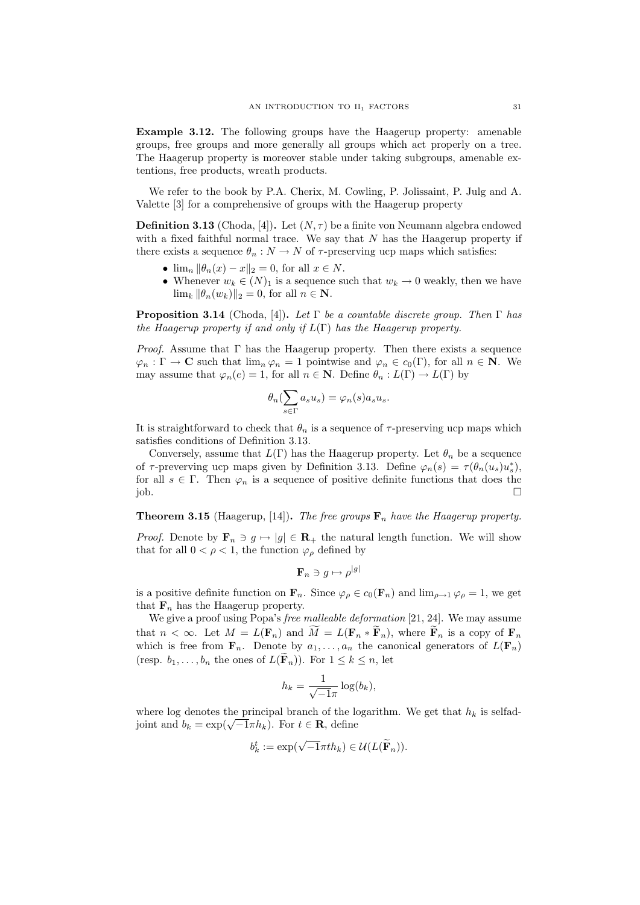Example 3.12. The following groups have the Haagerup property: amenable groups, free groups and more generally all groups which act properly on a tree. The Haagerup property is moreover stable under taking subgroups, amenable extentions, free products, wreath products.

We refer to the book by P.A. Cherix, M. Cowling, P. Jolissaint, P. Julg and A. Valette [3] for a comprehensive of groups with the Haagerup property

**Definition 3.13** (Choda, [4]). Let  $(N, \tau)$  be a finite von Neumann algebra endowed with a fixed faithful normal trace. We say that  $N$  has the Haagerup property if there exists a sequence  $\theta_n : N \to N$  of  $\tau$ -preserving ucp maps which satisfies:

- $\lim_{n} ||\theta_n(x) x||_2 = 0$ , for all  $x \in N$ .
- Whenever  $w_k \in (N)_1$  is a sequence such that  $w_k \to 0$  weakly, then we have  $\lim_k \|\theta_n(w_k)\|_2 = 0$ , for all  $n \in \mathbb{N}$ .

**Proposition 3.14** (Choda, [4]). Let  $\Gamma$  be a countable discrete group. Then  $\Gamma$  has the Haagerup property if and only if  $L(\Gamma)$  has the Haagerup property.

*Proof.* Assume that  $\Gamma$  has the Haagerup property. Then there exists a sequence  $\varphi_n : \Gamma \to \mathbf{C}$  such that  $\lim_n \varphi_n = 1$  pointwise and  $\varphi_n \in c_0(\Gamma)$ , for all  $n \in \mathbf{N}$ . We may assume that  $\varphi_n(e) = 1$ , for all  $n \in \mathbb{N}$ . Define  $\theta_n : L(\Gamma) \to L(\Gamma)$  by

$$
\theta_n(\sum_{s \in \Gamma} a_s u_s) = \varphi_n(s) a_s u_s.
$$

It is straightforward to check that  $\theta_n$  is a sequence of  $\tau$ -preserving ucp maps which satisfies conditions of Definition 3.13.

Conversely, assume that  $L(\Gamma)$  has the Haagerup property. Let  $\theta_n$  be a sequence of  $\tau$ -preverving ucp maps given by Definition 3.13. Define  $\varphi_n(s) = \tau(\theta_n(u_s)u_s^*)$ , for all  $s \in \Gamma$ . Then  $\varphi_n$  is a sequence of positive definite functions that does the  $j$ ob.  $\Box$ 

**Theorem 3.15** (Haagerup, [14]). The free groups  $\mathbf{F}_n$  have the Haagerup property.

*Proof.* Denote by  $\mathbf{F}_n \ni g \mapsto |g| \in \mathbf{R}_+$  the natural length function. We will show that for all  $0 < \rho < 1$ , the function  $\varphi_{\rho}$  defined by

$$
\mathbf{F}_n \ni g \mapsto \rho^{|g|}
$$

is a positive definite function on  $\mathbf{F}_n$ . Since  $\varphi_{\rho} \in c_0(\mathbf{F}_n)$  and  $\lim_{\rho \to 1} \varphi_{\rho} = 1$ , we get that  $\mathbf{F}_n$  has the Haagerup property.

We give a proof using Popa's free malleable deformation [21, 24]. We may assume that  $n < \infty$ . Let  $M = L(\mathbf{F}_n)$  and  $\tilde{M} = L(\mathbf{F}_n * \tilde{\mathbf{F}}_n)$ , where  $\tilde{\mathbf{F}}_n$  is a copy of  $\mathbf{F}_n$ which is free from  $\mathbf{F}_n$ . Denote by  $a_1, \ldots, a_n$  the canonical generators of  $L(\mathbf{F}_n)$ (resp.  $b_1, \ldots, b_n$  the ones of  $L(\mathbf{F}_n)$ ). For  $1 \leq k \leq n$ , let

$$
h_k = \frac{1}{\sqrt{-1}\pi} \log(b_k),
$$

where log denotes the principal branch of the logarithm. We get that  $h_k$  is selfadwhere log denotes the principal branch of the R<br>joint and  $b_k = \exp(\sqrt{-1}\pi h_k)$ . For  $t \in \mathbf{R}$ , define

$$
b_k^t := \exp(\sqrt{-1}\pi t h_k) \in \mathcal{U}(L(\widetilde{\mathbf{F}}_n)).
$$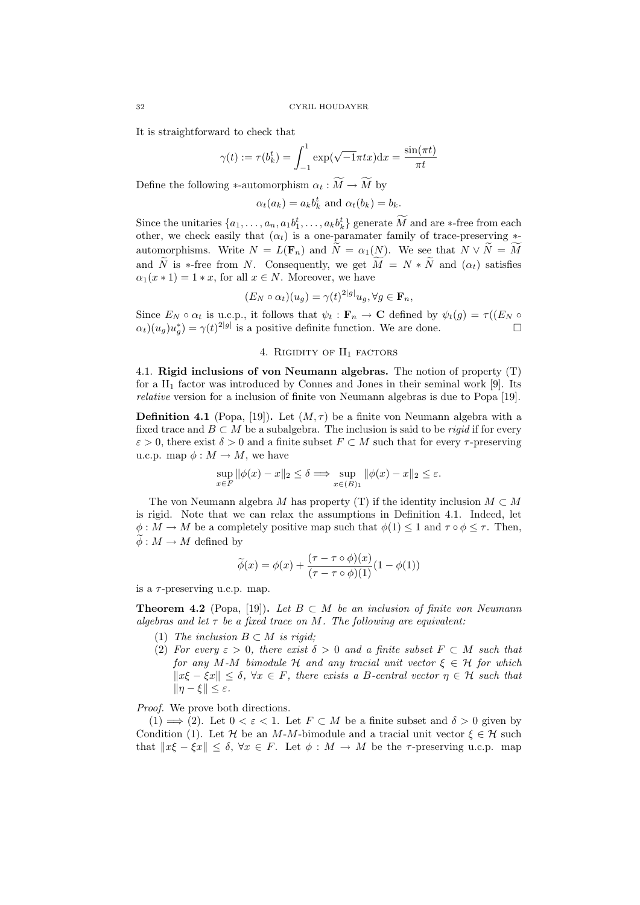It is straightforward to check that

$$
\gamma(t) := \tau(b_k^t) = \int_{-1}^1 \exp(\sqrt{-1}\pi t x) dx = \frac{\sin(\pi t)}{\pi t}
$$

Define the following ∗-automorphism  $\alpha_t : \widetilde{M} \to \widetilde{M}$  by

 $\alpha_t(a_k) = a_k b_k^t$  and  $\alpha_t(b_k) = b_k$ .

Since the unitaries  $\{a_1, \ldots, a_n, a_1b_1^t, \ldots, a_kb_k^t\}$  generate M and are  $*$ -free from each other, we check easily that  $(\alpha_t)$  is a one-paramater family of trace-preserving  $*$ automorphisms. Write  $N = L(\mathbf{F}_n)$  and  $\widetilde{N} = \alpha_1(N)$ . We see that  $N \vee \widetilde{N} = \widetilde{M}$ and  $\widetilde{N}$  is ∗-free from N. Consequently, we get  $\widetilde{M} = N * \widetilde{N}$  and  $(\alpha_t)$  satisfies  $\alpha_1(x * 1) = 1 * x$ , for all  $x \in N$ . Moreover, we have

$$
(E_N \circ \alpha_t)(u_g) = \gamma(t)^{2|g|} u_g, \forall g \in \mathbf{F}_n,
$$

Since  $E_N \circ \alpha_t$  is u.c.p., it follows that  $\psi_t : \mathbf{F}_n \to \mathbf{C}$  defined by  $\psi_t(g) = \tau((E_N \circ$  $\alpha_t(u_g)u_g^* = \gamma(t)^{2|g|}$  is a positive definite function. We are done.

# 4. RIGIDITY OF  $II_1$  factors

4.1. Rigid inclusions of von Neumann algebras. The notion of property (T) for a  $II_1$  factor was introduced by Connes and Jones in their seminal work [9]. Its relative version for a inclusion of finite von Neumann algebras is due to Popa [19].

**Definition 4.1** (Popa, [19]). Let  $(M, \tau)$  be a finite von Neumann algebra with a fixed trace and  $B \subset M$  be a subalgebra. The inclusion is said to be *rigid* if for every  $\varepsilon > 0$ , there exist  $\delta > 0$  and a finite subset  $F \subset M$  such that for every  $\tau$ -preserving u.c.p. map  $\phi : M \to M$ , we have

$$
\sup_{x \in F} \|\phi(x) - x\|_2 \le \delta \Longrightarrow \sup_{x \in (B)_1} \|\phi(x) - x\|_2 \le \varepsilon.
$$

The von Neumann algebra M has property (T) if the identity inclusion  $M \subset M$ is rigid. Note that we can relax the assumptions in Definition 4.1. Indeed, let  $\phi: M \to M$  be a completely positive map such that  $\phi(1) \leq 1$  and  $\tau \circ \phi \leq \tau$ . Then,  $\phi : M \to M$  defined by

$$
\widetilde{\phi}(x) = \phi(x) + \frac{(\tau - \tau \circ \phi)(x)}{(\tau - \tau \circ \phi)(1)}(1 - \phi(1))
$$

is a  $\tau$ -preserving u.c.p. map.

**Theorem 4.2** (Popa, [19]). Let  $B \subset M$  be an inclusion of finite von Neumann algebras and let  $\tau$  be a fixed trace on M. The following are equivalent:

- (1) The inclusion  $B \subset M$  is rigid;
- (2) For every  $\varepsilon > 0$ , there exist  $\delta > 0$  and a finite subset  $F \subset M$  such that for any M-M bimodule H and any tracial unit vector  $\xi \in \mathcal{H}$  for which  $||x\xi - \xi x|| \leq \delta, \forall x \in F$ , there exists a B-central vector  $\eta \in \mathcal{H}$  such that  $\|\eta-\xi\|\leq \varepsilon.$

Proof. We prove both directions.

(1)  $\implies$  (2). Let  $0 < \varepsilon < 1$ . Let  $F \subset M$  be a finite subset and  $\delta > 0$  given by Condition (1). Let  $\mathcal H$  be an M-M-bimodule and a tracial unit vector  $\xi \in \mathcal H$  such that  $||x\xi - \xi x|| \leq \delta, \forall x \in F$ . Let  $\phi : M \to M$  be the  $\tau$ -preserving u.c.p. map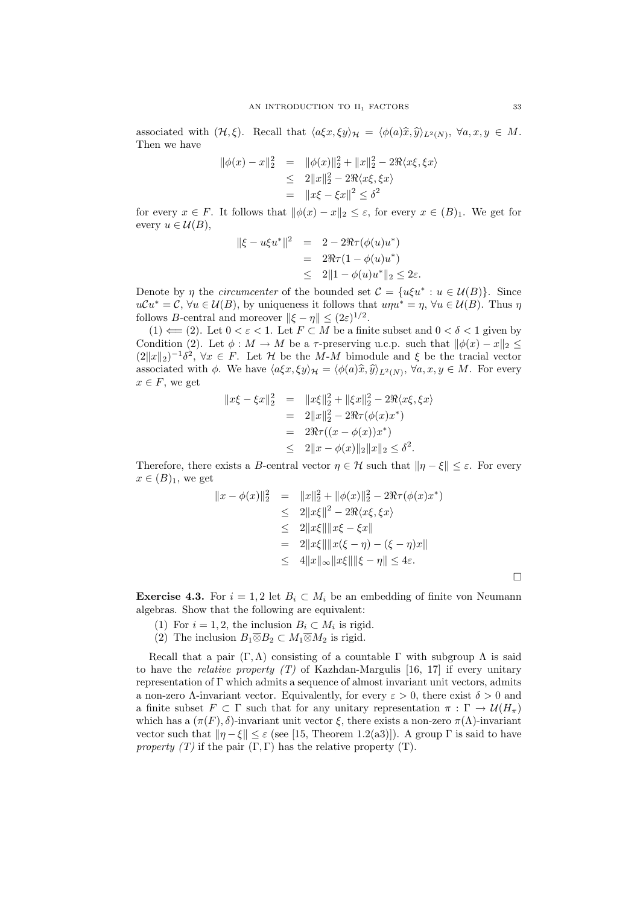associated with  $(\mathcal{H}, \xi)$ . Recall that  $\langle a\xi x, \xi y \rangle_{\mathcal{H}} = \langle \phi(a)\hat{x}, \hat{y} \rangle_{L^2(N)}, \ \forall a, x, y \in M$ .<br>Then we have Then we have

$$
\|\phi(x) - x\|_2^2 = \|\phi(x)\|_2^2 + \|x\|_2^2 - 2\Re\langle x\xi, \xi x \rangle
$$
  
\n
$$
\leq 2\|x\|_2^2 - 2\Re\langle x\xi, \xi x \rangle
$$
  
\n
$$
= \|x\xi - \xi x\|^2 \leq \delta^2
$$

for every  $x \in F$ . It follows that  $\|\phi(x) - x\|_2 \leq \varepsilon$ , for every  $x \in (B)_1$ . We get for every  $u \in \mathcal{U}(B)$ ,

$$
||\xi - u\xi u^*||^2 = 2 - 2\Re\tau(\phi(u)u^*)
$$
  
= 2\Re\tau(1 - \phi(u)u^\*)  

$$
\leq 2||1 - \phi(u)u^*||_2 \leq 2\varepsilon.
$$

Denote by  $\eta$  the *circumcenter* of the bounded set  $\mathcal{C} = \{u\xi u^* : u \in \mathcal{U}(B)\}\)$ . Since  $u\mathcal{C}u^* = \mathcal{C}, \forall u \in \mathcal{U}(B),$  by uniqueness it follows that  $u\eta u^* = \eta, \forall u \in \mathcal{U}(B)$ . Thus  $\eta$ follows *B*-central and moreover  $\|\xi - \eta\| \leq (2\varepsilon)^{1/2}$ .

(1)  $\Leftarrow$  (2). Let  $0 < \varepsilon < 1$ . Let  $F \subset M$  be a finite subset and  $0 < \delta < 1$  given by Condition (2). Let  $\phi : M \to M$  be a  $\tau$ -preserving u.c.p. such that  $\|\phi(x) - x\|_2 \leq$  $(2||x||_2)^{-1}\delta^2$ ,  $\forall x \in F$ . Let  $\mathcal H$  be the M-M bimodule and  $\xi$  be the tracial vector associated with  $\phi$ . We have  $\langle a\xi x, \xi y \rangle_{\mathcal{H}} = \langle \phi(a)\hat{x}, \hat{y} \rangle_{L^2(N)}, \forall a, x, y \in M$ . For every  $x \in F$ , we set  $x \in F$ , we get

$$
||x\xi - \xi x||_2^2 = ||x\xi||_2^2 + ||\xi x||_2^2 - 2\Re\langle x\xi, \xi x \rangle
$$
  
= 2||x||\_2^2 - 2\Re\tau(\phi(x)x^\*)  
= 2\Re\tau((x - \phi(x))x^\*)  
\le 2||x - \phi(x)||\_2||x||\_2 \le \delta^2.

Therefore, there exists a B-central vector  $\eta \in \mathcal{H}$  such that  $\|\eta - \xi\| \leq \varepsilon$ . For every  $x \in (B)_1$ , we get

$$
||x - \phi(x)||_2^2 = ||x||_2^2 + ||\phi(x)||_2^2 - 2\Re\tau(\phi(x)x^*)
$$
  
\n
$$
\leq 2||x\xi||^2 - 2\Re\langle x\xi, \xi x \rangle
$$
  
\n
$$
\leq 2||x\xi|| ||x\xi - \xi x||
$$
  
\n
$$
= 2||x\xi|| ||x(\xi - \eta) - (\xi - \eta)x||
$$
  
\n
$$
\leq 4||x||_{\infty}||x\xi|| ||\xi - \eta|| \leq 4\varepsilon.
$$

**Exercise 4.3.** For  $i = 1, 2$  let  $B_i \subset M_i$  be an embedding of finite von Neumann algebras. Show that the following are equivalent:

- (1) For  $i = 1, 2$ , the inclusion  $B_i \subset M_i$  is rigid.
- (2) The inclusion  $B_1 \overline{\otimes} B_2 \subset M_1 \overline{\otimes} M_2$  is rigid.

Recall that a pair  $(\Gamma, \Lambda)$  consisting of a countable  $\Gamma$  with subgroup  $\Lambda$  is said to have the *relative property*  $(T)$  of Kazhdan-Margulis [16, 17] if every unitary representation of Γ which admits a sequence of almost invariant unit vectors, admits a non-zero Λ-invariant vector. Equivalently, for every  $\varepsilon > 0$ , there exist  $\delta > 0$  and a finite subset  $F \subset \Gamma$  such that for any unitary representation  $\pi : \Gamma \to \mathcal{U}(H_{\pi})$ which has a  $(\pi(F), \delta)$ -invariant unit vector  $\xi$ , there exists a non-zero  $\pi(\Lambda)$ -invariant vector such that  $\|\eta - \xi\| \leq \varepsilon$  (see [15, Theorem 1.2(a3)]). A group  $\Gamma$  is said to have *property* (T) if the pair  $(\Gamma, \Gamma)$  has the relative property (T).

 $\Box$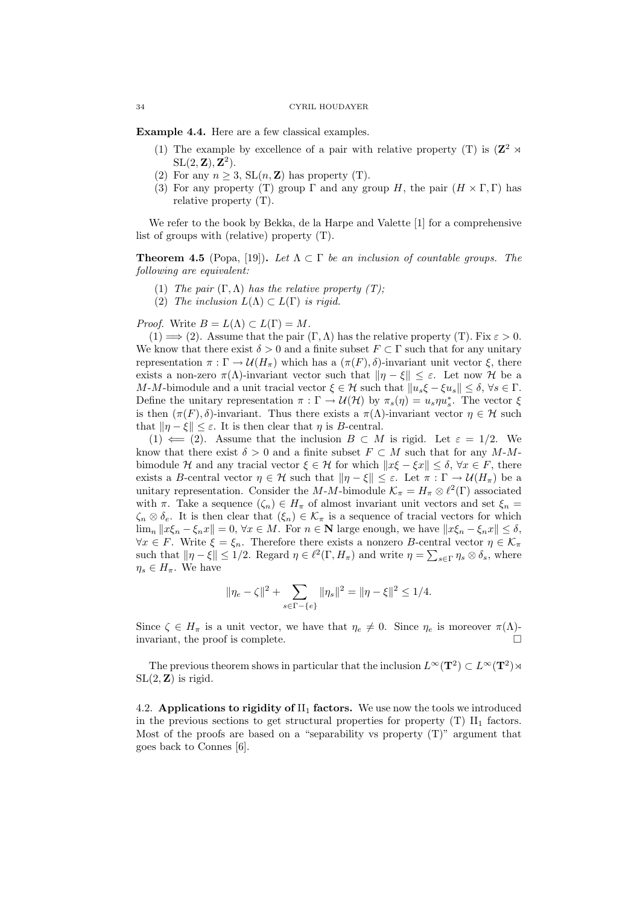Example 4.4. Here are a few classical examples.

- (1) The example by excellence of a pair with relative property (T) is  $(\mathbb{Z}^2 \rtimes$  $SL(2, \mathbb{Z}), \mathbb{Z}^2$ .
- (2) For any  $n \geq 3$ ,  $SL(n, \mathbb{Z})$  has property (T).
- (3) For any property (T) group  $\Gamma$  and any group H, the pair  $(H \times \Gamma, \Gamma)$  has relative property (T).

We refer to the book by Bekka, de la Harpe and Valette [1] for a comprehensive list of groups with (relative) property (T).

**Theorem 4.5** (Popa, [19]). Let  $\Lambda \subset \Gamma$  be an inclusion of countable groups. The following are equivalent:

- (1) The pair  $(\Gamma, \Lambda)$  has the relative property  $(T)$ ;
- (2) The inclusion  $L(\Lambda) \subset L(\Gamma)$  is rigid.

*Proof.* Write  $B = L(\Lambda) \subset L(\Gamma) = M$ .

(1)  $\implies$  (2). Assume that the pair  $(\Gamma, \Lambda)$  has the relative property (T). Fix  $\varepsilon > 0$ . We know that there exist  $\delta > 0$  and a finite subset  $F \subset \Gamma$  such that for any unitary representation  $\pi : \Gamma \to \mathcal{U}(H_{\pi})$  which has a  $(\pi(F), \delta)$ -invariant unit vector  $\xi$ , there exists a non-zero  $\pi(\Lambda)$ -invariant vector such that  $\|\eta - \xi\| \leq \varepsilon$ . Let now H be a M-M-bimodule and a unit tracial vector  $\xi \in \mathcal{H}$  such that  $||u_s \xi - \xi u_s|| \leq \delta, \forall s \in \Gamma$ . Define the unitary representation  $\pi : \Gamma \to \mathcal{U}(\mathcal{H})$  by  $\pi_s(\eta) = u_s \eta u_s^*$ . The vector  $\xi$ is then  $(\pi(F), \delta)$ -invariant. Thus there exists a  $\pi(\Lambda)$ -invariant vector  $\eta \in \mathcal{H}$  such that  $\|\eta - \xi\| \leq \varepsilon$ . It is then clear that  $\eta$  is B-central.

(1)  $\Leftarrow$  (2). Assume that the inclusion  $B \subset M$  is rigid. Let  $\varepsilon = 1/2$ . We know that there exist  $\delta > 0$  and a finite subset  $F \subset M$  such that for any  $M-M$ bimodule H and any tracial vector  $\xi \in H$  for which  $||x\xi - \xi x|| < \delta, \forall x \in F$ , there exists a B-central vector  $\eta \in \mathcal{H}$  such that  $\|\eta - \xi\| \leq \varepsilon$ . Let  $\pi : \Gamma \to \mathcal{U}(H_{\pi})$  be a unitary representation. Consider the M-M-bimodule  $\mathcal{K}_{\pi} = H_{\pi} \otimes \ell^2(\Gamma)$  associated with  $\pi$ . Take a sequence  $(\zeta_n) \in H_\pi$  of almost invariant unit vectors and set  $\xi_n =$  $\zeta_n \otimes \delta_e$ . It is then clear that  $(\xi_n) \in \mathcal{K}_{\pi}$  is a sequence of tracial vectors for which  $\lim_{n} ||x\xi_n - \xi_n x|| = 0, \forall x \in M.$  For  $n \in \mathbb{N}$  large enough, we have  $||x\xi_n - \xi_n x|| \leq \delta$ ,  $\forall x \in F$ . Write  $\xi = \xi_n$ . Therefore there exists a nonzero B-central vector  $\eta \in \mathcal{K}_\pi$ such that  $\|\eta - \xi\| \leq 1/2$ . Regard  $\eta \in \ell^2(\Gamma, H_\pi)$  and write  $\eta = \sum_{s \in \Gamma} \eta_s \otimes \delta_s$ , where  $\eta_s \in H_\pi$ . We have

$$
\|\eta_e - \zeta\|^2 + \sum_{s \in \Gamma - \{e\}} \|\eta_s\|^2 = \|\eta - \xi\|^2 \le 1/4.
$$

Since  $\zeta \in H_{\pi}$  is a unit vector, we have that  $\eta_e \neq 0$ . Since  $\eta_e$  is moreover  $\pi(\Lambda)$ invariant, the proof is complete.

The previous theorem shows in particular that the inclusion  $L^{\infty}(\mathbf{T}^2) \subset L^{\infty}(\mathbf{T}^2)$  $SL(2, \mathbb{Z})$  is rigid.

4.2. Applications to rigidity of  $\text{II}_1$  factors. We use now the tools we introduced in the previous sections to get structural properties for property  $(T)$   $II_1$  factors. Most of the proofs are based on a "separability vs property  $(T)$ " argument that goes back to Connes [6].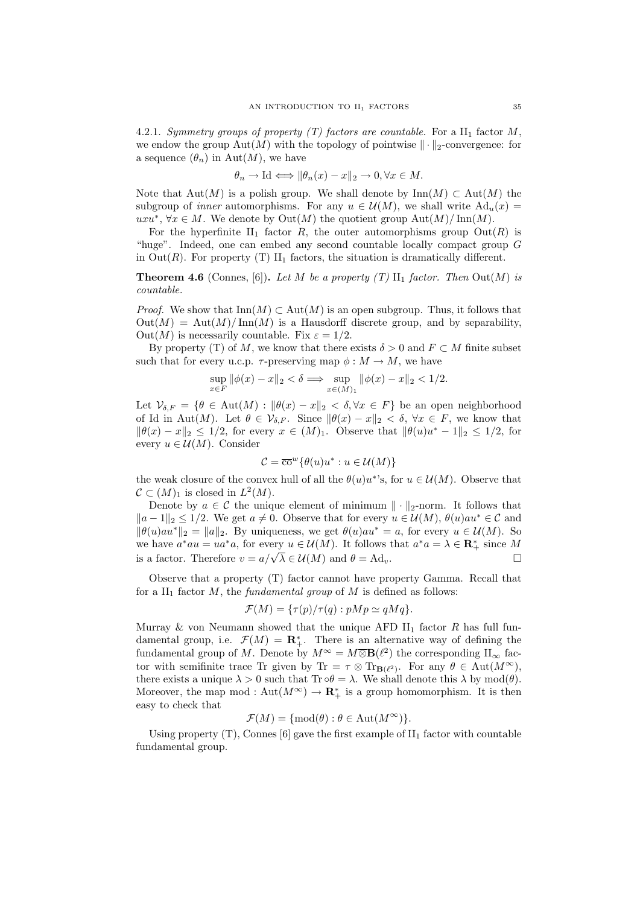4.2.1. Symmetry groups of property (T) factors are countable. For a  $\text{II}_1$  factor M, we endow the group  $\text{Aut}(M)$  with the topology of pointwise  $\|\cdot\|_2$ -convergence: for a sequence  $(\theta_n)$  in Aut $(M)$ , we have

$$
\theta_n \to \text{Id} \Longleftrightarrow \|\theta_n(x) - x\|_2 \to 0, \forall x \in M.
$$

Note that Aut(M) is a polish group. We shall denote by  $\text{Inn}(M) \subset \text{Aut}(M)$  the subgroup of *inner* automorphisms. For any  $u \in \mathcal{U}(M)$ , we shall write  $\text{Ad}_{u}(x)$ uxu<sup>∗</sup>, ∀x ∈ M. We denote by Out(M) the quotient group  $\text{Aut}(M)/\text{Inn}(M)$ .

For the hyperfinite  $II_1$  factor R, the outer automorphisms group  $Out(R)$  is "huge". Indeed, one can embed any second countable locally compact group G in  $Out(R)$ . For property (T)  $II_1$  factors, the situation is dramatically different.

**Theorem 4.6** (Connes, [6]). Let M be a property (T)  $\text{II}_1$  factor. Then Out(M) is countable.

*Proof.* We show that  $\text{Inn}(M) \subset \text{Aut}(M)$  is an open subgroup. Thus, it follows that  $Out(M) = Aut(M)/Inn(M)$  is a Hausdorff discrete group, and by separability,  $Out(M)$  is necessarily countable. Fix  $\varepsilon = 1/2$ .

By property (T) of M, we know that there exists  $\delta > 0$  and  $F \subset M$  finite subset such that for every u.c.p.  $\tau$ -preserving map  $\phi : M \to M$ , we have

$$
\sup_{x\in F} \|\phi(x)-x\|_2 < \delta \Longrightarrow \sup_{x\in (M)_1} \|\phi(x)-x\|_2 < 1/2.
$$

Let  $\mathcal{V}_{\delta,F} = \{\theta \in \text{Aut}(M) : \|\theta(x) - x\|_2 < \delta, \forall x \in F\}$  be an open neighborhood of Id in Aut(M). Let  $\theta \in \mathcal{V}_{\delta F}$ . Since  $\|\theta(x) - x\|_2 < \delta$ ,  $\forall x \in F$ , we know that  $\|\theta(x)-x\|_2 \leq 1/2$ , for every  $x \in (M)_1$ . Observe that  $\|\theta(u)u^* - 1\|_2 \leq 1/2$ , for every  $u \in \mathcal{U}(M)$ . Consider

$$
\mathcal{C} = \overline{\text{co}}^w \{ \theta(u)u^* : u \in \mathcal{U}(M) \}
$$

the weak closure of the convex hull of all the  $\theta(u)u^*$ 's, for  $u \in \mathcal{U}(M)$ . Observe that  $\mathcal{C} \subset (M)_1$  is closed in  $L^2(M)$ .

Denote by  $a \in \mathcal{C}$  the unique element of minimum  $\|\cdot\|_2$ -norm. It follows that  $||a-1||_2 \le 1/2$ . We get  $a \ne 0$ . Observe that for every  $u \in \mathcal{U}(M)$ ,  $\theta(u)au^* \in \mathcal{C}$  and  $\|\theta(u)au^*\|_2 = \|a\|_2$ . By uniqueness, we get  $\theta(u)au^* = a$ , for every  $u \in \mathcal{U}(M)$ . So we have  $a^*au = ua^*a$ , for every  $u \in \mathcal{U}(M)$ . It follows that  $a^*a = \lambda \in \mathbb{R}_+^*$  since M we have  $u$   $du = uu$   $u$ , for every  $u \in U(M)$ . It follows that  $u$   $u = \lambda \in \mathbb{R}_+$  since  $M$ <br>is a factor. Therefore  $v = a/\sqrt{\lambda} \in U(M)$  and  $\theta = \text{Ad}_v$ .

Observe that a property (T) factor cannot have property Gamma. Recall that for a  $II_1$  factor M, the fundamental group of M is defined as follows:

$$
\mathcal{F}(M) = \{ \tau(p)/\tau(q) : pMp \simeq qMq \}.
$$

Murray & von Neumann showed that the unique AFD  $II_1$  factor R has full fundamental group, i.e.  $\mathcal{F}(M) = \mathbf{R}_{+}^{*}$ . There is an alternative way of defining the fundamental group of M. Denote by  $M^{\infty} = M \overline{\otimes} \mathbf{B}(\ell^2)$  the corresponding  $\Pi_{\infty}$  factor with semifinite trace Tr given by Tr =  $\tau \otimes \text{Tr}_{\mathbf{B}(\ell^2)}$ . For any  $\theta \in \text{Aut}(M^{\infty})$ , there exists a unique  $\lambda > 0$  such that  $\text{Tr} \circ \theta = \lambda$ . We shall denote this  $\lambda$  by mod( $\theta$ ). Moreover, the map mod :  $Aut(M^{\infty}) \to \mathbf{R}_{+}^{*}$  is a group homomorphism. It is then easy to check that

$$
\mathcal{F}(M) = \{ \text{mod}(\theta) : \theta \in \text{Aut}(M^{\infty}) \}.
$$

Using property  $(T)$ , Connes [6] gave the first example of  $II_1$  factor with countable fundamental group.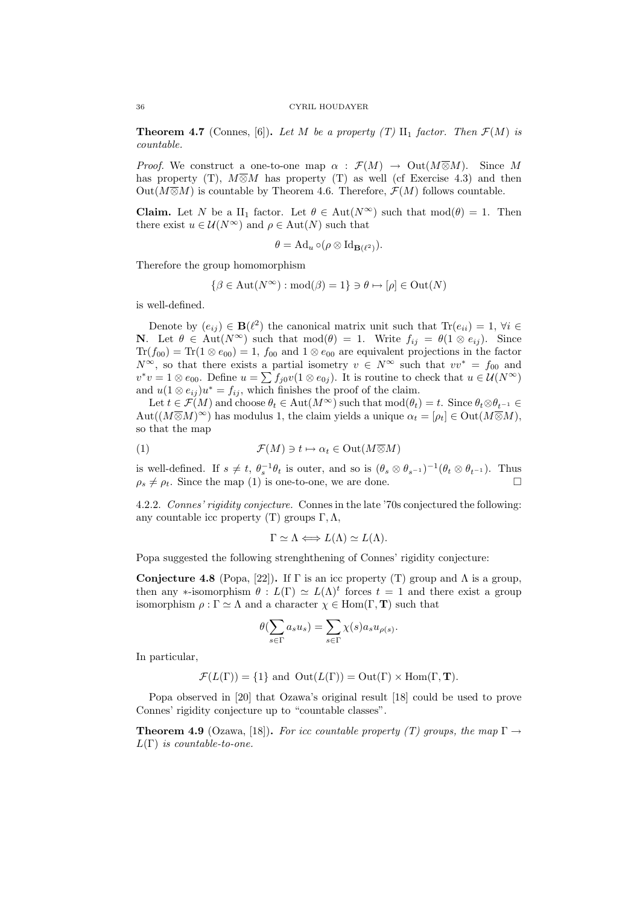### 36 CYRIL HOUDAYER

**Theorem 4.7** (Connes, [6]). Let M be a property (T)  $\text{II}_1$  factor. Then  $\mathcal{F}(M)$  is countable.

*Proof.* We construct a one-to-one map  $\alpha : \mathcal{F}(M) \to \text{Out}(M \overline{\otimes} M)$ . Since M has property (T),  $M\overline{\otimes}M$  has property (T) as well (cf Exercise 4.3) and then Out( $M\overline{\otimes}M$ ) is countable by Theorem 4.6. Therefore,  $\mathcal{F}(M)$  follows countable.

**Claim.** Let N be a II<sub>1</sub> factor. Let  $\theta \in Aut(N^{\infty})$  such that  $mod(\theta) = 1$ . Then there exist  $u \in \mathcal{U}(N^{\infty})$  and  $\rho \in \text{Aut}(N)$  such that

$$
\theta = \mathrm{Ad}_u \circ (\rho \otimes \mathrm{Id}_{\mathbf{B}(\ell^2)}).
$$

Therefore the group homomorphism

$$
\{\beta \in \text{Aut}(N^{\infty}) : \text{mod}(\beta) = 1\} \ni \theta \mapsto [\rho] \in \text{Out}(N)
$$

is well-defined.

Denote by  $(e_{ij}) \in \mathbf{B}(\ell^2)$  the canonical matrix unit such that  $\text{Tr}(e_{ii}) = 1$ ,  $\forall i \in$ **N.** Let  $\theta \in \text{Aut}(N^{\infty})$  such that  $\text{mod}(\theta) = 1$ . Write  $f_{ij} = \theta(1 \otimes e_{ij})$ . Since  $Tr(f_{00}) = Tr(1 \otimes e_{00}) = 1$ ,  $f_{00}$  and  $1 \otimes e_{00}$  are equivalent projections in the factor  $N^{\infty}$ , so that there exists a partial isometry  $v \in N^{\infty}$  such that  $vv^* = f_{00}$  and  $v^*v = 1 \otimes e_{00}$ . Define  $u = \sum f_{j0}v(1 \otimes e_{0j})$ . It is routine to check that  $u \in \mathcal{U}(N^{\infty})$ and  $u(1 \otimes e_{ij})u^* = f_{ij}$ , which finishes the proof of the claim.

Let  $t \in \mathcal{F}(M)$  and choose  $\theta_t \in \text{Aut}(M^{\infty})$  such that  $\text{mod}(\theta_t) = t$ . Since  $\theta_t \otimes \theta_{t-1} \in$  $Aut((M\overline{\otimes}M)^{\infty})$  has modulus 1, the claim yields a unique  $\alpha_t = [\rho_t] \in Out(M\overline{\otimes}M)$ , so that the map

$$
(1) \t\t \mathcal{F}(M) \ni t \mapsto \alpha_t \in \text{Out}(M \overline{\otimes} M)
$$

is well-defined. If  $s \neq t$ ,  $\theta_s^{-1}\theta_t$  is outer, and so is  $(\theta_s \otimes \theta_{s^{-1}})^{-1}(\theta_t \otimes \theta_{t^{-1}})$ . Thus  $\rho_s \neq \rho_t$ . Since the map (1) is one-to-one, we are done.

4.2.2. Connes' rigidity conjecture. Connes in the late '70s conjectured the following: any countable icc property (T) groups Γ, Λ,

$$
\Gamma \simeq \Lambda \Longleftrightarrow L(\Lambda) \simeq L(\Lambda).
$$

Popa suggested the following strenghthening of Connes' rigidity conjecture:

Conjecture 4.8 (Popa, [22]). If  $\Gamma$  is an icc property (T) group and  $\Lambda$  is a group, then any \*-isomorphism  $\theta : L(\Gamma) \simeq L(\Lambda)^t$  forces  $t = 1$  and there exist a group isomorphism  $\rho : \Gamma \simeq \Lambda$  and a character  $\chi \in \text{Hom}(\Gamma, \mathbf{T})$  such that

$$
\theta(\sum_{s \in \Gamma} a_s u_s) = \sum_{s \in \Gamma} \chi(s) a_s u_{\rho(s)}.
$$

In particular,

$$
\mathcal{F}(L(\Gamma)) = \{1\} \text{ and } Out(L(\Gamma)) = Out(\Gamma) \times Hom(\Gamma, \mathbf{T}).
$$

Popa observed in [20] that Ozawa's original result [18] could be used to prove Connes' rigidity conjecture up to "countable classes".

**Theorem 4.9** (Ozawa, [18]). For icc countable property (T) groups, the map  $\Gamma \rightarrow$  $L(\Gamma)$  is countable-to-one.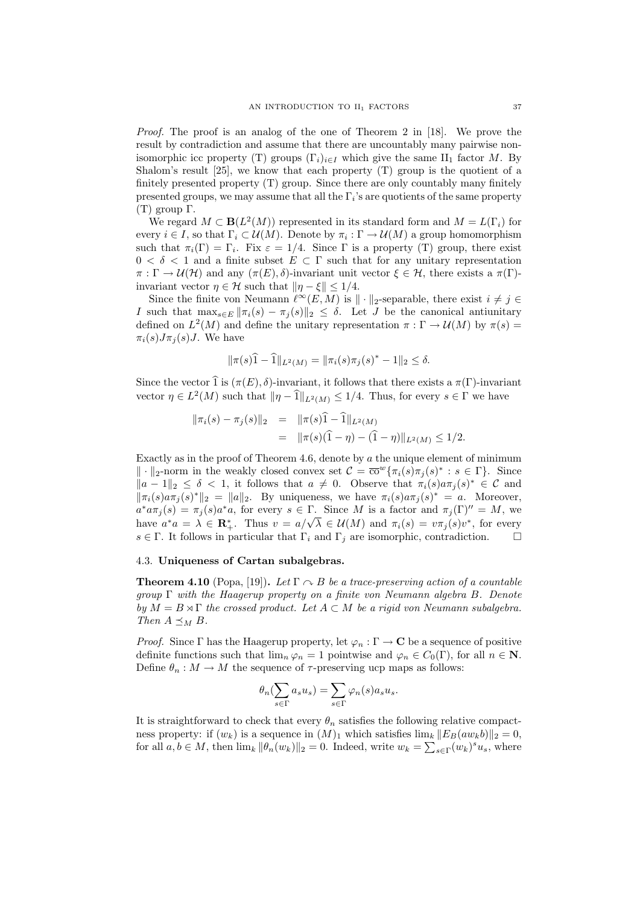Proof. The proof is an analog of the one of Theorem 2 in [18]. We prove the result by contradiction and assume that there are uncountably many pairwise nonisomorphic icc property (T) groups  $(\Gamma_i)_{i\in I}$  which give the same II<sub>1</sub> factor M. By Shalom's result [25], we know that each property (T) group is the quotient of a finitely presented property (T) group. Since there are only countably many finitely presented groups, we may assume that all the  $\Gamma_i$ 's are quotients of the same property (T) group Γ.

We regard  $M \subset \mathbf{B}(L^2(M))$  represented in its standard form and  $M = L(\Gamma_i)$  for every  $i \in I$ , so that  $\Gamma_i \subset \mathcal{U}(M)$ . Denote by  $\pi_i : \Gamma \to \mathcal{U}(M)$  a group homomorphism such that  $\pi_i(\Gamma) = \Gamma_i$ . Fix  $\varepsilon = 1/4$ . Since  $\Gamma$  is a property (T) group, there exist  $0 < \delta < 1$  and a finite subset  $E \subset \Gamma$  such that for any unitary representation  $\pi : \Gamma \to \mathcal{U}(\mathcal{H})$  and any  $(\pi(E), \delta)$ -invariant unit vector  $\xi \in \mathcal{H}$ , there exists a  $\pi(\Gamma)$ invariant vector  $\eta \in \mathcal{H}$  such that  $\|\eta - \xi\| \leq 1/4$ .

Since the finite von Neumann  $\ell^{\infty}(E, M)$  is  $\|\cdot\|_2$ -separable, there exist  $i \neq j \in$ I such that  $\max_{s\in E} \|\pi_i(s) - \pi_i(s)\|_2 \leq \delta$ . Let J be the canonical antiunitary defined on  $L^2(M)$  and define the unitary representation  $\pi : \Gamma \to \mathcal{U}(M)$  by  $\pi(s) =$  $\pi_i(s)J\pi_i(s)J$ . We have

$$
\|\pi(s)\widehat{1} - \widehat{1}\|_{L^2(M)} = \|\pi_i(s)\pi_j(s)^* - 1\|_2 \le \delta.
$$

Since the vector  $\widehat{1}$  is  $(\pi(E), \delta)$ -invariant, it follows that there exists a  $\pi(\Gamma)$ -invariant vector  $\eta \in L^2(M)$  such that  $\|\eta - \hat{\mathbf{1}}\|_{L^2(M)} \leq 1/4$ . Thus, for every  $s \in \Gamma$  we have

$$
\begin{array}{rcl}\n\|\pi_i(s) - \pi_j(s)\|_2 & = & \|\pi(s)\hat{1} - \hat{1}\|_{L^2(M)} \\
& = & \|\pi(s)(\hat{1} - \eta) - (\hat{1} - \eta)\|_{L^2(M)} \le 1/2.\n\end{array}
$$

Exactly as in the proof of Theorem 4.6, denote by  $\alpha$  the unique element of minimum  $\|\cdot\|_2$ -norm in the weakly closed convex set  $\mathcal{C} = \overline{\text{co}}^w \{ \pi_i(s) \pi_j(s)^* : s \in \Gamma \}.$  Since  $||a-1||_2 \leq \delta < 1$ , it follows that  $a \neq 0$ . Observe that  $\pi_i(s)a\pi_j(s)^* \in \mathcal{C}$  and  $\|\pi_i(s)a\pi_j(s)^*\|_2 = \|a\|_2$ . By uniqueness, we have  $\pi_i(s)a\pi_j(s)^* = a$ . Moreover,  $a^* a \pi_j(s) = \pi_j(s) a^* a$ , for every  $s \in \Gamma$ . Since M is a factor and  $\pi_j(\Gamma)'' = M$ , we  $\begin{aligned} a \, u_{ij}(s) &= \pi_j(s) a \, u, \text{ for every } s \in \mathbb{1}. \text{ Since } m \text{ is a factor and } \pi_j(\mathbf{1}) = m, \text{ we} \\ \text{have } a^*a &= \lambda \in \mathbb{R}_+^*. \text{ Thus } v = a/\sqrt{\lambda} \in \mathcal{U}(M) \text{ and } \pi_i(s) = v \pi_j(s) v^*, \text{ for every} \end{aligned}$  $s \in \Gamma$ . It follows in particular that  $\Gamma_i$  and  $\Gamma_j$  are isomorphic, contradiction.

### 4.3. Uniqueness of Cartan subalgebras.

**Theorem 4.10** (Popa, [19]). Let  $\Gamma \sim B$  be a trace-preserving action of a countable  $group \Gamma$  with the Haagerup property on a finite von Neumann algebra B. Denote by  $M = B \rtimes \Gamma$  the crossed product. Let  $A \subset M$  be a rigid von Neumann subalgebra. Then  $A \preceq_M B$ .

*Proof.* Since Γ has the Haagerup property, let  $\varphi_n : \Gamma \to \mathbb{C}$  be a sequence of positive definite functions such that  $\lim_{n \to \infty} \varphi_n = 1$  pointwise and  $\varphi_n \in C_0(\Gamma)$ , for all  $n \in \mathbb{N}$ . Define  $\theta_n : M \to M$  the sequence of  $\tau$ -preserving ucp maps as follows:

$$
\theta_n(\sum_{s \in \Gamma} a_s u_s) = \sum_{s \in \Gamma} \varphi_n(s) a_s u_s.
$$

It is straightforward to check that every  $\theta_n$  satisfies the following relative compactness property: if  $(w_k)$  is a sequence in  $(M)_1$  which satisfies  $\lim_k ||E_B(aw_kb)||_2 = 0$ , for all  $a, b \in M$ , then  $\lim_k ||\theta_n(w_k)||_2 = 0$ . Indeed, write  $w_k = \sum_{s \in \Gamma} (w_k)^s u_s$ , where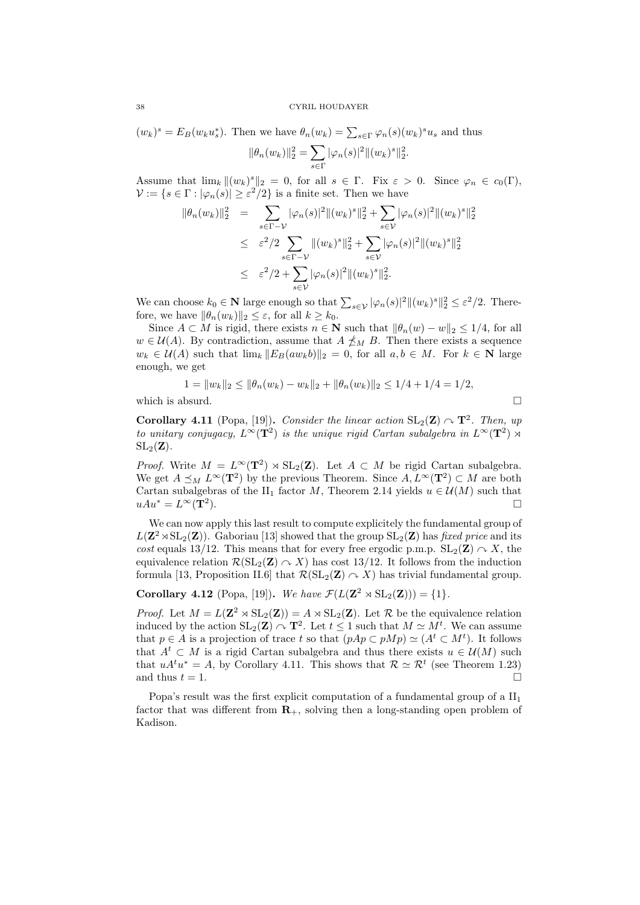$$
(w_k)^s = E_B(w_k u_s^*).
$$
 Then we have  $\theta_n(w_k) = \sum_{s \in \Gamma} \varphi_n(s) (w_k)^s u_s$  and thus  

$$
\|\theta_n(w_k)\|_2^2 = \sum_{s \in \Gamma} |\varphi_n(s)|^2 \|(w_k)^s\|_2^2.
$$

Assume that  $\lim_k \|(w_k)^s\|_2 = 0$ , for all  $s \in \Gamma$ . Fix  $\varepsilon > 0$ . Since  $\varphi_n \in c_0(\Gamma)$ ,  $\mathcal{V} := \{ s \in \Gamma : |\varphi_n(s)| \geq \varepsilon^2/2 \}$  is a finite set. Then we have

$$
\|\theta_n(w_k)\|_2^2 = \sum_{s \in \Gamma - \mathcal{V}} |\varphi_n(s)|^2 \|(w_k)^s\|_2^2 + \sum_{s \in \mathcal{V}} |\varphi_n(s)|^2 \|(w_k)^s\|_2^2
$$
  

$$
\leq \varepsilon^2 / 2 \sum_{s \in \Gamma - \mathcal{V}} \|(w_k)^s\|_2^2 + \sum_{s \in \mathcal{V}} |\varphi_n(s)|^2 \|(w_k)^s\|_2^2
$$
  

$$
\leq \varepsilon^2 / 2 + \sum_{s \in \mathcal{V}} |\varphi_n(s)|^2 \|(w_k)^s\|_2^2.
$$

We can choose  $k_0 \in \mathbb{N}$  large enough so that  $\sum_{s \in \mathcal{V}} |\varphi_n(s)|^2 ||(w_k)^s||_2^2 \leq \varepsilon^2/2$ . Therefore, we have  $\|\theta_n(w_k)\|_2 \leq \varepsilon$ , for all  $k \geq k_0$ .

Since  $A \subset M$  is rigid, there exists  $n \in \mathbb{N}$  such that  $\|\theta_n(w) - w\|_2 \leq 1/4$ , for all  $w \in \mathcal{U}(A)$ . By contradiction, assume that  $A \nleq_M B$ . Then there exists a sequence  $w_k \in \mathcal{U}(A)$  such that  $\lim_k ||E_B(aw_kb)||_2 = 0$ , for all  $a, b \in M$ . For  $k \in \mathbb{N}$  large enough, we get

$$
1 = \|w_k\|_2 \le \|\theta_n(w_k) - w_k\|_2 + \|\theta_n(w_k)\|_2 \le 1/4 + 1/4 = 1/2,
$$

which is absurd.  $\square$ 

**Corollary 4.11** (Popa, [19]). Consider the linear action  $SL_2(\mathbf{Z}) \cap \mathbf{T}^2$ . Then, up to unitary conjugacy,  $L^{\infty}(\mathbf{T}^2)$  is the unique rigid Cartan subalgebra in  $L^{\infty}(\mathbf{T}^2)$   $\rtimes$  $SL_2(\mathbf{Z})$ .

*Proof.* Write  $M = L^{\infty}(\mathbf{T}^2) \rtimes SL_2(\mathbf{Z})$ . Let  $A \subset M$  be rigid Cartan subalgebra. We get  $A \preceq_M L^\infty(\mathbf{T}^2)$  by the previous Theorem. Since  $A, L^\infty(\mathbf{T}^2) \subset M$  are both Cartan subalgebras of the II<sub>1</sub> factor M, Theorem 2.14 yields  $u \in \mathcal{U}(M)$  such that  $uAu^* = L^{\infty}(\mathbf{T}^2).$ ).

We can now apply this last result to compute explicitely the fundamental group of  $L(\mathbf{Z}^2 \rtimes SL_2(\mathbf{Z}))$ . Gaboriau [13] showed that the group  $SL_2(\mathbf{Z})$  has fixed price and its cost equals 13/12. This means that for every free ergodic p.m.p.  $SL_2(\mathbf{Z}) \curvearrowright X$ , the equivalence relation  $\mathcal{R}(\mathrm{SL}_2(\mathbf{Z}) \cap X)$  has cost 13/12. It follows from the induction formula [13, Proposition II.6] that  $\mathcal{R}(\mathrm{SL}_2(\mathbf{Z}) \cap X)$  has trivial fundamental group.

Corollary 4.12 (Popa, [19]). We have  $\mathcal{F}(L(\mathbf{Z}^2 \rtimes SL_2(\mathbf{Z}))) = \{1\}.$ 

*Proof.* Let  $M = L(\mathbf{Z}^2 \rtimes SL_2(\mathbf{Z})) = A \rtimes SL_2(\mathbf{Z})$ . Let  $\mathcal R$  be the equivalence relation induced by the action  $SL_2(\mathbf{Z}) \cap \mathbf{T}^2$ . Let  $t \leq 1$  such that  $M \simeq M^t$ . We can assume that  $p \in A$  is a projection of trace t so that  $(pAp \subset pMp) \simeq (A^t \subset M^t)$ . It follows that  $A^t \subset M$  is a rigid Cartan subalgebra and thus there exists  $u \in \mathcal{U}(M)$  such that  $u A^t u^* = A$ , by Corollary 4.11. This shows that  $\mathcal{R} \simeq \mathcal{R}^t$  (see Theorem 1.23) and thus  $t = 1$ .

Popa's result was the first explicit computation of a fundamental group of a  $II_1$ factor that was different from  $\mathbf{R}_{+}$ , solving then a long-standing open problem of Kadison.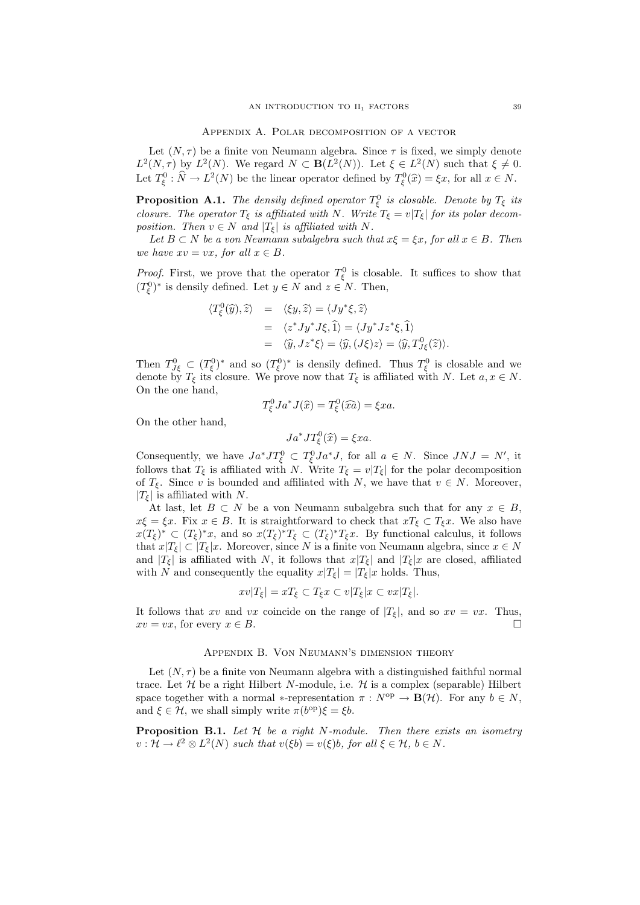Appendix A. Polar decomposition of a vector

Let  $(N, \tau)$  be a finite von Neumann algebra. Since  $\tau$  is fixed, we simply denote  $L^2(N,\tau)$  by  $L^2(N)$ . We regard  $N \subset \mathbf{B}(L^2(N))$ . Let  $\xi \in L^2(N)$  such that  $\xi \neq 0$ . Let  $T_{\xi}^0 : \hat{N} \to L^2(N)$  be the linear operator defined by  $T_{\xi}^0(\hat{x}) = \xi x$ , for all  $x \in N$ .

**Proposition A.1.** The densily defined operator  $T_{\xi}^{0}$  is closable. Denote by  $T_{\xi}$  its closure. The operator  $T_{\xi}$  is affiliated with N. Write  $T_{\xi} = v|T_{\xi}|$  for its polar decomposition. Then  $v \in N$  and  $|T_{\xi}|$  is affiliated with N.

Let  $B \subset N$  be a von Neumann subalgebra such that  $x\xi = \xi x$ , for all  $x \in B$ . Then we have  $xv = vx$ , for all  $x \in B$ .

*Proof.* First, we prove that the operator  $T_{\xi}^{0}$  is closable. It suffices to show that  $(T_{\xi}^0)^*$  is densily defined. Let  $y \in N$  and  $z \in N$ . Then,

$$
\langle T_{\xi}^{0}(\hat{y}), \hat{z} \rangle = \langle \xi y, \hat{z} \rangle = \langle Jy^{*} \xi, \hat{z} \rangle
$$
  
=  $\langle z^{*} Jy^{*} J\xi, \hat{1} \rangle = \langle Jy^{*} Jz^{*} \xi, \hat{1} \rangle$   
=  $\langle \hat{y}, Jz^{*} \xi \rangle = \langle \hat{y}, (J\xi) z \rangle = \langle \hat{y}, T_{J\xi}^{0}(\hat{z}) \rangle.$ 

Then  $T_{J\xi}^0 \subset (T_\xi^0)^*$  and so  $(T_\xi^0)^*$  is densily defined. Thus  $T_\xi^0$  is closable and we denote by  $T_{\xi}$  its closure. We prove now that  $T_{\xi}$  is affiliated with N. Let  $a, x \in N$ . On the one hand,

$$
T_{\xi}^{0} J a^* J(\widehat{x}) = T_{\xi}^{0} (\widehat{x} \widehat{a}) = \xi x a.
$$

On the other hand,

$$
Ja^*JT^0_{\xi}(\widehat{x})=\xi xa.
$$

Consequently, we have  $Ja^*JT^0_{\xi} \subset T^0_{\xi}Ja^*J$ , for all  $a \in N$ . Since  $JNJ = N'$ , it follows that  $T_{\xi}$  is affiliated with N. Write  $T_{\xi} = v|T_{\xi}|$  for the polar decomposition of  $T_{\xi}$ . Since v is bounded and affiliated with N, we have that  $v \in N$ . Moreover,  $|T_{\xi}|$  is affiliated with N.

At last, let  $B \subset N$  be a von Neumann subalgebra such that for any  $x \in B$ ,  $x\xi = \xi x$ . Fix  $x \in B$ . It is straightforward to check that  $xT_{\xi} \subset T_{\xi}x$ . We also have  $x(T_{\xi})^* \subset (T_{\xi})^* x$ , and so  $x(T_{\xi})^* T_{\xi} \subset (T_{\xi})^* T_{\xi} x$ . By functional calculus, it follows that  $x|T_{\xi}| \subset |T_{\xi}|x$ . Moreover, since N is a finite von Neumann algebra, since  $x \in N$ and  $|T_{\xi}|$  is affiliated with N, it follows that  $x|T_{\xi}|$  and  $|T_{\xi}|x$  are closed, affiliated with N and consequently the equality  $x|T_{\xi}| = |T_{\xi}|x$  holds. Thus,

$$
xv|T_{\xi}| = xT_{\xi} \subset T_{\xi}x \subset v|T_{\xi}|x \subset vx|T_{\xi}|.
$$

It follows that xv and vx coincide on the range of  $|T<sub>\xi</sub>|$ , and so  $xv = vx$ . Thus,  $xv = vx$ , for every  $x \in B$ .

### Appendix B. Von Neumann's dimension theory

Let  $(N, \tau)$  be a finite von Neumann algebra with a distinguished faithful normal trace. Let  $\mathcal H$  be a right Hilbert N-module, i.e.  $\mathcal H$  is a complex (separable) Hilbert space together with a normal  $*$ -representation  $\pi : N^{\text{op}} \to \mathbf{B}(\mathcal{H})$ . For any  $b \in N$ , and  $\xi \in \mathcal{H}$ , we shall simply write  $\pi(b^{\text{op}})\xi = \xi b$ .

**Proposition B.1.** Let  $H$  be a right N-module. Then there exists an isometry  $v: \mathcal{H} \to \ell^2 \otimes L^2(N)$  such that  $v(\xi b) = v(\xi)b$ , for all  $\xi \in \mathcal{H}, b \in N$ .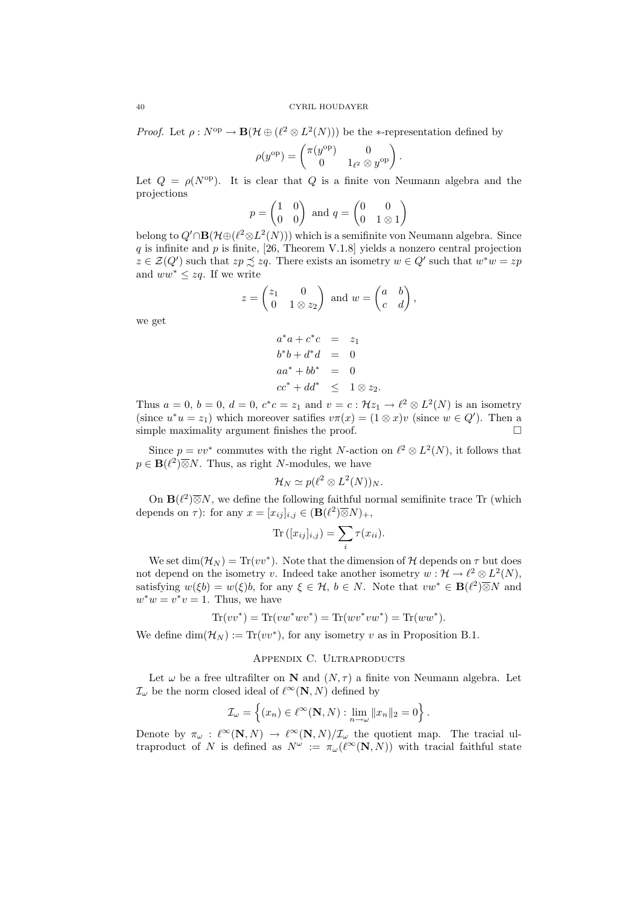*Proof.* Let  $\rho: N^{\text{op}} \to \mathbf{B}(\mathcal{H} \oplus (\ell^2 \otimes L^2(N)))$  be the \*-representation defined by

$$
\rho(y^{\text{op}}) = \begin{pmatrix} \pi(y^{\text{op}}) & 0 \\ 0 & 1_{\ell^2} \otimes y^{\text{op}} \end{pmatrix}.
$$

Let  $Q = \rho(N^{\text{op}})$ . It is clear that Q is a finite von Neumann algebra and the projections

$$
p = \begin{pmatrix} 1 & 0 \\ 0 & 0 \end{pmatrix} \text{ and } q = \begin{pmatrix} 0 & 0 \\ 0 & 1 \otimes 1 \end{pmatrix}
$$

belong to  $Q' \cap \mathbf{B}(\mathcal{H} \oplus (\ell^2 \otimes L^2(N)))$  which is a semifinite von Neumann algebra. Since  $q$  is infinite and  $p$  is finite, [26, Theorem V.1.8] yields a nonzero central projection  $z \in \mathcal{Z}(Q')$  such that  $zp \precsim zq$ . There exists an isometry  $w \in Q'$  such that  $w^*w = zp$ and  $ww^* \leq zq$ . If we write

$$
z = \begin{pmatrix} z_1 & 0 \\ 0 & 1 \otimes z_2 \end{pmatrix} \text{ and } w = \begin{pmatrix} a & b \\ c & d \end{pmatrix},
$$

we get

$$
a^*a + c^*c = z_1
$$
  
\n
$$
b^*b + d^*d = 0
$$
  
\n
$$
aa^* + bb^* = 0
$$
  
\n
$$
cc^* + dd^* \le 1 \otimes z_2.
$$

Thus  $a = 0$ ,  $b = 0$ ,  $d = 0$ ,  $c^*c = z_1$  and  $v = c : \mathcal{H}z_1 \to \ell^2 \otimes L^2(N)$  is an isometry (since  $u^*u = z_1$ ) which moreover satifies  $v\pi(x) = (1 \otimes x)v$  (since  $w \in Q'$ ). Then a simple maximality argument finishes the proof.  $\Box$ 

Since  $p = vv^*$  commutes with the right N-action on  $\ell^2 \otimes L^2(N)$ , it follows that  $p \in \mathbf{B}(\ell^2) \overline{\otimes} N$ . Thus, as right N-modules, we have

$$
\mathcal{H}_N \simeq p(\ell^2 \otimes L^2(N))_N.
$$

On  $\mathbf{B}(\ell^2)\overline{\otimes}N$ , we define the following faithful normal semifinite trace Tr (which depends on  $\tau$ ): for any  $x = [x_{ij}]_{i,j} \in (\mathbf{B}(\ell^2) \overline{\otimes} N)_+,$ 

$$
\operatorname{Tr}\left([x_{ij}]_{i,j}\right) = \sum_i \tau(x_{ii}).
$$

We set dim( $\mathcal{H}_N$ ) = Tr(vv<sup>\*</sup>). Note that the dimension of H depends on  $\tau$  but does not depend on the isometry v. Indeed take another isometry  $w : \mathcal{H} \to \ell^2 \otimes L^2(N)$ , satisfying  $w(\xi b) = w(\xi)b$ , for any  $\xi \in \mathcal{H}$ ,  $b \in N$ . Note that  $vw^* \in \mathbf{B}(\ell^2) \overline{\otimes} N$  and  $w^*w = v^*v = 1$ . Thus, we have

$$
\text{Tr}(vv^*) = \text{Tr}(vw^*wv^*) = \text{Tr}(wv^*vw^*) = \text{Tr}(ww^*).
$$

We define  $\dim(\mathcal{H}_N) := \text{Tr}(vv^*)$ , for any isometry v as in Proposition B.1.

### APPENDIX C. ULTRAPRODUCTS

Let  $\omega$  be a free ultrafilter on N and  $(N, \tau)$  a finite von Neumann algebra. Let  $\mathcal{I}_{\omega}$  be the norm closed ideal of  $\ell^{\infty}(\mathbf{N}, N)$  defined by

$$
\mathcal{I}_{\omega} = \left\{ (x_n) \in \ell^{\infty}(\mathbf{N}, N) : \lim_{n \to \omega} ||x_n||_2 = 0 \right\}.
$$

Denote by  $\pi_{\omega} : \ell^{\infty}(\mathbf{N}, N) \to \ell^{\infty}(\mathbf{N}, N)/\mathcal{I}_{\omega}$  the quotient map. The tracial ultraproduct of N is defined as  $N^{\omega} := \pi_{\omega}(\ell^{\infty}(\mathbf{N}, N))$  with tracial faithful state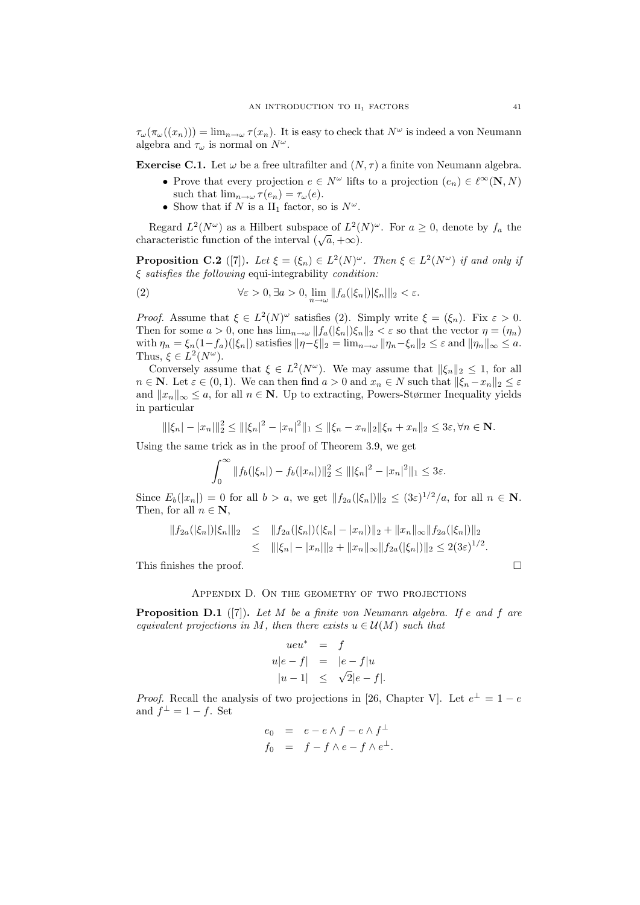$\tau_{\omega}(\tau_{\omega}((x_n))) = \lim_{n \to \omega} \tau(x_n)$ . It is easy to check that  $N^{\omega}$  is indeed a von Neumann algebra and  $\tau_{\omega}$  is normal on  $N^{\omega}$ .

**Exercise C.1.** Let  $\omega$  be a free ultrafilter and  $(N, \tau)$  a finite von Neumann algebra.

- Prove that every projection  $e \in N^{\omega}$  lifts to a projection  $(e_n) \in \ell^{\infty}(\mathbf{N}, N)$ such that  $\lim_{n\to\omega} \tau(e_n) = \tau_\omega(e)$ .
- Show that if N is a II<sub>1</sub> factor, so is  $N^{\omega}$ .

Regard  $L^2(N^{\omega})$  as a Hilbert subspace of  $L^2(N)^{\omega}$ . For  $a \geq 0$ , denote by  $f_a$  the regard  $L$  (*N* ) as a filluler subspace of  $L$  (*a*, +∞).

**Proposition C.2** ([7]). Let  $\xi = (\xi_n) \in L^2(N)^\omega$ . Then  $\xi \in L^2(N^\omega)$  if and only if  $\xi$  satisfies the following equi-integrability condition:

(2) 
$$
\forall \varepsilon > 0, \exists a > 0, \lim_{n \to \omega} ||f_a(|\xi_n|) |\xi_n||_2 < \varepsilon.
$$

*Proof.* Assume that  $\xi \in L^2(N)^\omega$  satisfies (2). Simply write  $\xi = (\xi_n)$ . Fix  $\varepsilon > 0$ . Then for some  $a > 0$ , one has  $\lim_{n \to \omega} ||f_a(|\xi_n|)\xi_n||_2 < \varepsilon$  so that the vector  $\eta = (\eta_n)$ with  $\eta_n = \xi_n(1-f_a)(|\xi_n|)$  satisfies  $\|\eta-\xi\|_2 = \lim_{n\to\infty} \|\eta_n-\xi_n\|_2 \leq \varepsilon$  and  $\|\eta_n\|_{\infty} \leq a$ . Thus,  $\xi \in L^2(N^\omega)$ .

Conversely assume that  $\xi \in L^2(N^{\omega})$ . We may assume that  $\|\xi_n\|_2 \leq 1$ , for all  $n \in \mathbb{N}$ . Let  $\varepsilon \in (0,1)$ . We can then find  $a > 0$  and  $x_n \in N$  such that  $\|\xi_n - x_n\|_2 \leq \varepsilon$ and  $||x_n||_{\infty} \leq a$ , for all  $n \in \mathbb{N}$ . Up to extracting, Powers-Størmer Inequality yields in particular

$$
\|\xi_n| - |x_n|\|_2^2 \le \|\xi_n\|^2 - |x_n|^2\|_1 \le \|\xi_n - x_n\|_2 \|\xi_n + x_n\|_2 \le 3\varepsilon, \forall n \in \mathbb{N}.
$$

Using the same trick as in the proof of Theorem 3.9, we get

$$
\int_0^\infty \|f_b(|\xi_n|) - f_b(|x_n|)\|_2^2 \le |||\xi_n|^2 - |x_n|^2||_1 \le 3\varepsilon.
$$

Since  $E_b(|x_n|) = 0$  for all  $b > a$ , we get  $||f_{2a}(|\xi_n|)||_2 \leq (3\varepsilon)^{1/2}/a$ , for all  $n \in \mathbb{N}$ . Then, for all  $n \in \mathbb{N}$ ,

$$
||f_{2a}(|\xi_n|)|\xi_n||_2 \leq ||f_{2a}(|\xi_n|)(|\xi_n| - |x_n|)||_2 + ||x_n||_{\infty} ||f_{2a}(|\xi_n|)||_2
$$
  

$$
\leq |||\xi_n| - |x_n|||_2 + ||x_n||_{\infty} ||f_{2a}(|\xi_n|)||_2 \leq 2(3\varepsilon)^{1/2}.
$$

This finishes the proof.

### Appendix D. On the geometry of two projections

**Proposition D.1** ([7]). Let M be a finite von Neumann algebra. If e and f are equivalent projections in M, then there exists  $u \in \mathcal{U}(M)$  such that

$$
ueu^* = f
$$
  
\n
$$
u|e - f| = |e - f|u
$$
  
\n
$$
|u - 1| \leq \sqrt{2}|e - f|.
$$

*Proof.* Recall the analysis of two projections in [26, Chapter V]. Let  $e^{\perp} = 1 - e$ and  $f^{\perp} = 1 - f$ . Set

$$
e_0 = e - e \wedge f - e \wedge f^{\perp}
$$
  

$$
f_0 = f - f \wedge e - f \wedge e^{\perp}.
$$

$$
\mathbb{L}^2
$$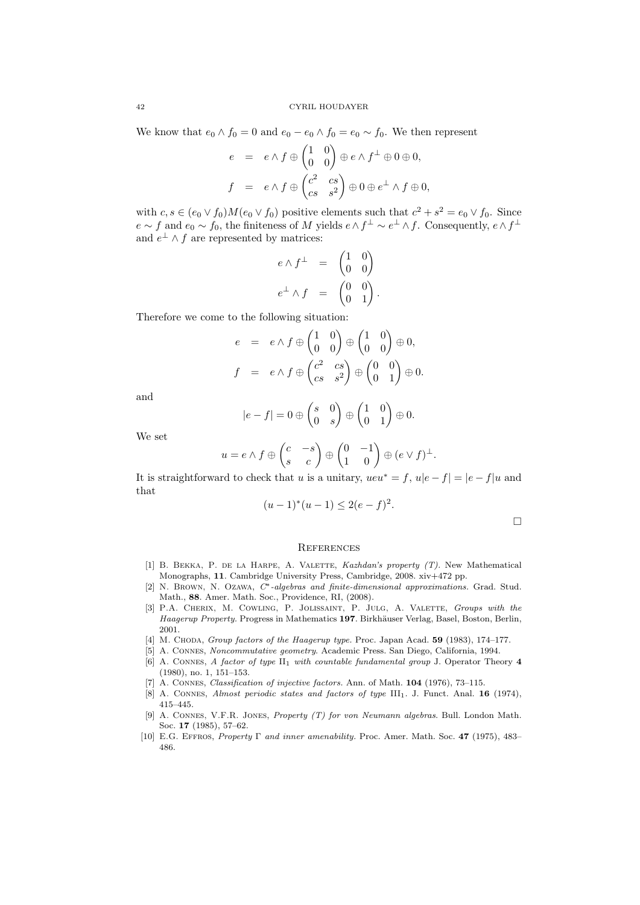We know that  $e_0 \wedge f_0 = 0$  and  $e_0 - e_0 \wedge f_0 = e_0 \sim f_0$ . We then represent

$$
e = e \wedge f \oplus \begin{pmatrix} 1 & 0 \\ 0 & 0 \end{pmatrix} \oplus e \wedge f^{\perp} \oplus 0 \oplus 0,
$$
  

$$
f = e \wedge f \oplus \begin{pmatrix} c^2 & cs \\ cs & s^2 \end{pmatrix} \oplus 0 \oplus e^{\perp} \wedge f \oplus 0,
$$

with  $c, s \in (e_0 \vee f_0)M(e_0 \vee f_0)$  positive elements such that  $c^2 + s^2 = e_0 \vee f_0$ . Since  $e \sim f$  and  $e_0 \sim f_0$ , the finiteness of M yields  $e \wedge f^{\perp} \sim e^{\perp} \wedge f$ . Consequently,  $e \wedge f^{\perp}$ and  $e^{\perp} \wedge f$  are represented by matrices:

$$
e \wedge f^{\perp} = \begin{pmatrix} 1 & 0 \\ 0 & 0 \end{pmatrix}
$$

$$
e^{\perp} \wedge f = \begin{pmatrix} 0 & 0 \\ 0 & 1 \end{pmatrix}.
$$

Therefore we come to the following situation:

$$
e = e \wedge f \oplus \begin{pmatrix} 1 & 0 \\ 0 & 0 \end{pmatrix} \oplus \begin{pmatrix} 1 & 0 \\ 0 & 0 \end{pmatrix} \oplus 0,
$$
  

$$
f = e \wedge f \oplus \begin{pmatrix} c^2 & cs \\ cs & s^2 \end{pmatrix} \oplus \begin{pmatrix} 0 & 0 \\ 0 & 1 \end{pmatrix} \oplus 0.
$$

and

$$
|e - f| = 0 \oplus \begin{pmatrix} s & 0 \\ 0 & s \end{pmatrix} \oplus \begin{pmatrix} 1 & 0 \\ 0 & 1 \end{pmatrix} \oplus 0.
$$

We set

$$
u = e \wedge f \oplus \begin{pmatrix} c & -s \\ s & c \end{pmatrix} \oplus \begin{pmatrix} 0 & -1 \\ 1 & 0 \end{pmatrix} \oplus (e \vee f)^{\perp}.
$$

It is straightforward to check that u is a unitary,  $ueu^* = f$ ,  $u|e - f| = |e - f|u$  and that

$$
(u-1)^*(u-1) \le 2(e-f)^2.
$$

#### **REFERENCES**

- [1] B. BEKKA, P. DE LA HARPE, A. VALETTE, Kazhdan's property (T). New Mathematical Monographs, 11. Cambridge University Press, Cambridge, 2008. xiv+472 pp.
- [2] N. Brown, N. Ozawa, C∗-algebras and finite-dimensional approximations. Grad. Stud. Math., 88. Amer. Math. Soc., Providence, RI, (2008).
- [3] P.A. CHERIX, M. COWLING, P. JOLISSAINT, P. JULG, A. VALETTE, Groups with the Haagerup Property. Progress in Mathematics 197. Birkhäuser Verlag, Basel, Boston, Berlin, 2001.
- [4] M. CHODA, Group factors of the Haagerup type. Proc. Japan Acad. 59 (1983), 174–177.
- [5] A. Connes, Noncommutative geometry. Academic Press. San Diego, California, 1994.
- [6] A. CONNES, A factor of type II<sub>1</sub> with countable fundamental group J. Operator Theory 4 (1980), no. 1, 151–153.
- [7] A. Connes, Classification of injective factors. Ann. of Math. 104 (1976), 73–115.
- [8] A. CONNES, Almost periodic states and factors of type III<sub>1</sub>. J. Funct. Anal. **16** (1974), 415–445.
- [9] A. Connes, V.F.R. Jones, Property (T) for von Neumann algebras. Bull. London Math. Soc. 17 (1985), 57–62.
- [10] E.G. Effros, Property Γ and inner amenability. Proc. Amer. Math. Soc. 47 (1975), 483– 486.